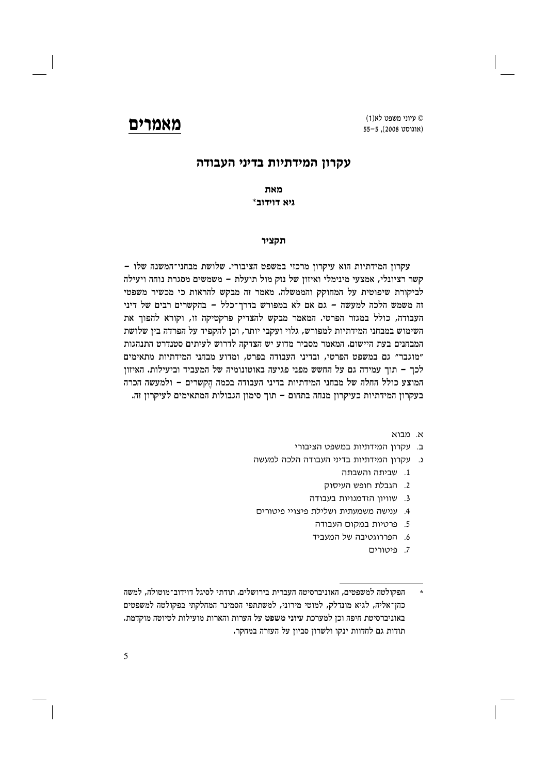עיוני משפט לא(1) (אוגוסט 2008). 55-5

# מאמרים

# עקרון המידתיות בדיני העבודה

מאת  $*$ גיא דוידוב

### תקציר

עקרון המידתיות הוא עיקרון מרכזי במשפט הציבורי. שלושת מבחני־המשנה שלו -קשר רציונלי, אמצעי מינימלי ואיזון של נזק מול תועלת – משמשים מסגרת נוחה ויעילה לביקורת שיפוטית על המחוקק והממשלה. מאמר זה מבקש להראות כי מכשיר משפטי זה משמש הלכה למעשה - גם אם לא במפורש בדרך־כלל - בהקשרים רבים של דיני העבודה, כולל במגזר הפרטי. המאמר מבקש להצדיק פרקטיקה זו, וקורא להפוך את השימוש במבחני המידתיות למפורש, גלוי ועקבי יותר, וכן להקפיד על הפרדה בין שלושת המבחנים בעת היישום. המאמר מסביר מדוע יש הצדקה לדרוש לעיתים סטנדרט התנהגות "מוגבר" גם במשפט הפרטי, ובדיני העבודה בפרט, ומדוע מבחני המידתיות מתאימים לכך – תוך עמידה גם על החשש מפני פגיעה באוטונומיה של המעביד וביעילות. האיזון המוצע כולל החלה של מבחני המידתיות בדיני העבודה בכמה הקשרים – ולמעשה הכרה בעקרון המידתיות כעיקרון מנחה בתחום – תוך סימון הגבולות המתאימים לעיקרון זה.

- א מרוא
- ב. עקרון המידתיות במשפט הציבורי
- ג. עקרון המידתיות בדיני העבודה הלכה למעשה
	- 1. שביתה והשבתה
	- 2. הגבלת חופש העיסוק
	- 3. שוויון הזדמנויות בעבודה
- 4. ענישה משמעתית ושלילת פיצויי פיטורים
	- 5. פרטיות במקום העבודה
	- 6. הפררוגטיבה של המעביד
		- 7. פיטורים
- הפקולטה למשפטים, האוניברסיטה העברית בירושלים. תודתי לסיגל דוידוב־מוטולה, למשה כהן־אליה, לגיא מונדלק, למוטי מירוני, למשתתפי הסמינר המחלקתי בפקולטה למשפטים באוניברסיטת חיפה וכן למערכת עיוני משפט על הערות והארות מועילות לטיוטה מוקדמת. תודות גם לחדוות ינקו ולשרון סביון על העזרה במחקר.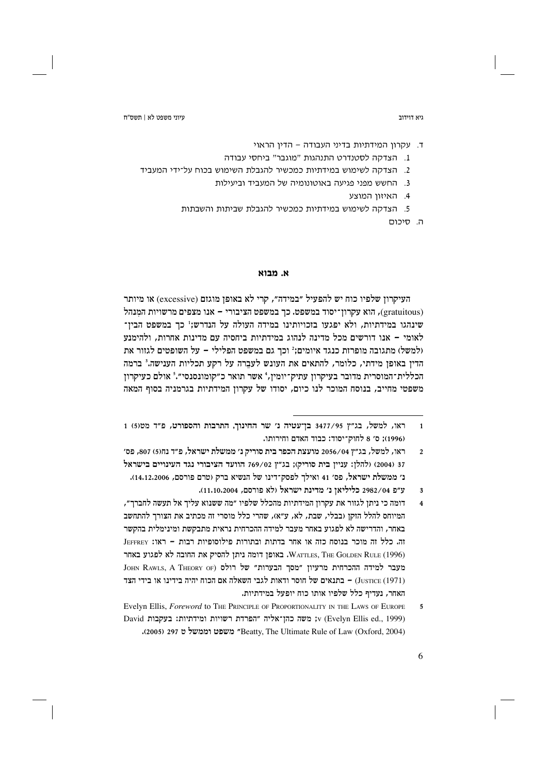גיא דוידור

ד. עקרון המידתיות בדיני העבודה – הדין הראוי

- 1. הצדקה לסטנדרט התנהגות "מוגבר" ביחסי עבודה
- 2. הצדקה לשימוש במידתיות כמכשיר להגבלת השימוש בכוח על־ידי המעביד
	- 3. החשש מפני פגיעה באוטונומיה של המעביד וביעילות
		- 4. האיזון המוצע
	- 5. הצדקה לשימוש במידתיות כמכשיר להגבלת שביתות והשבתות
		- ה. סיכום

### א. מבוא

העיקרוז שלפיו כוח יש להפעיל "במידה", קרי לא באופז מוגזם (excessive) או מיותר (gratuitous), הוא עקרון־יסוד במשפט. כך במשפט הציבורי – אנו מצפים מרשויות המנהל שינהגו במידתיות, ולא יפגעו בזכויותינו במידה העולה על הנדרש;' כך במשפט הבין־ לאומי – אנו דורשים מכל מדינה לנהוג במידתיות ביחסיה עם מדינות אחרות, ולהימנע (למשל) מתגובה מופרזת כנגד איומים;' וכך גם במשפט הפלילי – על השופטים לגזור את הדין באופן מידתי, כלומר, להתאים את העונש לעברה על רקע תכליות הענישה.<sup>3</sup> ברמה הכללית־המוסרית מדובר בעיקרון עתיק־יומין, 4אשר תואר כ״קומונסנסי״.5 אולם כעיקרון משפטי מחייב, בנוסח המוכר לנו כיום, יסודו של עקרון המידתיות בגרמניה בסוף המאה

ראו, למשל, בג"ץ 3477/95 בן־עטיה נ' שר החינוך, התרבות והספורט, פ"ד מט(5) 1  $\overline{1}$ (1996): ס׳ 8 לחוק־יסוד: כבוד האדם וחירותו.

ראו, למשל, בג״ז 2056/04 מועצת הכפר בית סוריק נ׳ ממשלת ישראל, פ״ד נח(5) 807, פס׳  $\mathfrak{Z}$ 37 (2004) ולהלן: עניין בית סוריק); בג"ץ 769/02 הוועד הציבורי נגד העינויים בישראל נ׳ ממשלת ישראל, פס׳ 41 ואילך לפסק־דינו של הנשיא ברק (טרם פורסם, 14,12,2006).

ע״פּ 2982/04 כליליאן נ׳ מדינת ישראל (לא פורסם, 11,10,2004).  $\overline{\mathbf{3}}$ 

דומה כי ניתן לגזור את עקרון המידתיות מהכלל שלפיו ״מה ששנוא עליך אל תעשה לחברך״,  $\overline{4}$ המיוחס להלל הזקן (בבלי, שבת, לא, ע"א), שהרי כלל מוסרי זה מכתיב את הצורך להתחשב באחר, והדרישה לא לפגוע באחר מעבר למידה ההכרחית נראית מתבקשת ומינימלית בהקשר זה. כלל זה מוכר בנוסח כזה או אחר בדתות ובתורות פילוסופיות רבות – ראו: JEFFREY WATTLES, THE GOLDEN RULE (1996). באופן דומה ניתן להסיק את החובה לא לפגוע באחר JOHN RAWLS, A THEORY OF) של רולס של הבערות" של האכרחית מרעיון "מסך הבערות" (Justice (1971) – בתנאים של חוסר ודאות לגבי השאלה אם הכוח יהיה בידינו או בידי הצד האחר, נעדיף כלל שלפיו אותו כוח יופעל במידתיות.

Evelyn Ellis, Foreword to THE PRINCIPLE OF PROPORTIONALITY IN THE LAWS OF EUROPE  $\overline{5}$ David נמידתיות: בעקבות השויות ומידתיות: עקבות v (Evelyn Ellis ed., 1999) (2004) Beatty, The Ultimate Rule of Law (Oxford, 2004)<br/> יממשל טיום "Beatty, The Ultimate Rule of Law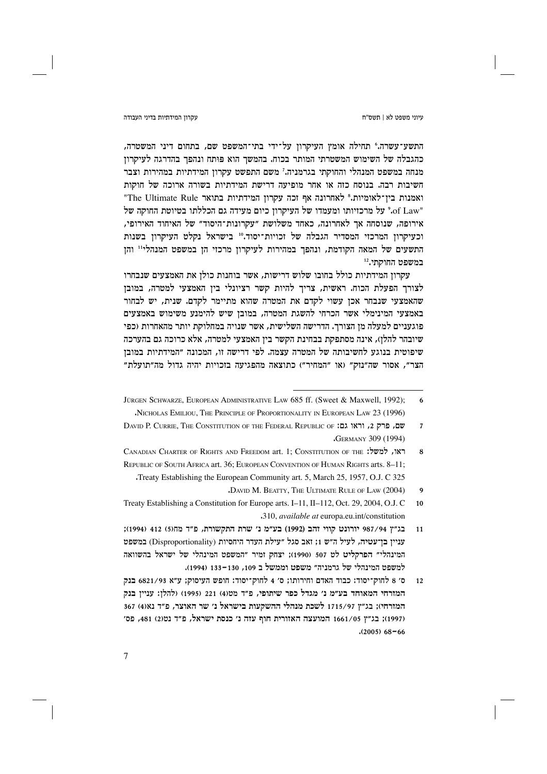עיוני משפט לא | תשס"ח

### עקרוו המידתיות בדיני העבודה

התשע־עשרה.° תחילה אומץ העיקרון על־ידי בתי־המשפט שם, בתחום דיני המשטרה, כהגבלה של השימוש המשטרתי המותר בכוח. בהמשך הוא פותח ונהפך בהדרגה לעיקרון מנחה במשפט המנהלי והחוקתי בגרמניה.' משם התפשט עקרון המידתיות במהירות וצבר חשיבות רבה. בנוסח כזה או אחר מופיעה דרישת המידתיות בשורה ארוכה של חוקות "The Ultimate Rule ואמנות בתואר "The Ultimate Rule" "of Law." על מרכזיותו ומעמדו של העיקרון כיום מעידה גם הכללתו בטיוטת החוקה של אירופה, שנוסחה אך לאחרונה, כאחד משלושת "עקרונות־היסוד" של האיחוד האירופי, וכעיקרון המרכזי המסדיר הגבלה של זכויות־יסוד.10 בישראל נקלט העיקרון בשנות התשעים של המאה הקודמת, ונהפך במהירות לעיקרון מרכזי הן במשפט המנהלי" והן במשפט החוקתי.12

עקרון המידתיות כולל בחובו שלוש דרישות, אשר בוחנות כולן את האמצעים שנבחרו לצורך הפעלת הכוח. ראשית, צריך להיות קשר רציונלי ביז האמצעי למטרה, במובז שהאמצעי שנבחר אכן עשוי לקדם את המטרה שהוא מתיימר לקדם. שנית, יש לבחור באמצעי המינימלי אשר הכרחי להשגת המטרה, במובן שיש להימנע משימוש באמצעים פוגעניים למעלה מן הצורך. הדרישה השלישית, אשר שנויה במחלוקת יותר מהאחרות (כפי שיובהר להלן), אינה מסתפקת בבחינת הקשר בין האמצעי למטרה, אלא כרוכה גם בהערכה שיפוטית בנוגע לחשיבותה של המטרה עצמה. לפי דרישה זו, המכונה "המידתיות במובן הצר", אסור שה"נזק" (או "המחיר") כתוצאה מהפגיעה בזכויות יהיה גדול מה"תועלת"

JÜRGEN SCHWARZE, EUROPEAN ADMINISTRATIVE LAW 685 ff. (Sweet & Maxwell, 1992); 6 NICHOLAS EMILIOU, THE PRINCIPLE OF PROPORTIONALITY IN EUROPEAN LAW 23 (1996)

DAVID P. CURRIE, THE CONSTITUTION OF THE FEDERAL REPUBLIC OF :עם, פרק 2, וראו גם:  $\overline{7}$ **GERMANY 309 (1994)** 

CANADIAN CHARTER OF RIGHTS AND FREEDOM art. 1: CONSTITUTION OF THE :כאו, למשל:  $\mathbf{g}$ REPUBLIC OF SOUTH AFRICA art. 36; EUROPEAN CONVENTION OF HUMAN RIGHTS arts. 8-11; Treaty Establishing the European Community art. 5, March 25, 1957, O.J. C 325

DAVID M. BEATTY, THE ULTIMATE RULE OF LAW (2004)  $\mathbf q$ 

Treaty Establishing a Constitution for Europe arts. I-11, II-112, Oct. 29, 2004, O.J. C  $10$ .310, available at europa.eu.int/constitution

בג"ץ 987/94 יורונט קווי זהב (1992) בע״מ נ׳ שרת התקשורת, פ״ד מחו5) 412 (1994);  $11$ עניין בן־עטיה, לעיל ה״ש 1; זאב סגל ״עילת העדר היחסיות (Disproportionality) במשפט המינהלי״ הפרקליט לט 507 (1990); יצחק זמיר ״המשפט המינהלי של ישראל בהשוואה למשפט המינהלי של גרמניה" משפט וממשל ב 109, 130–133 (1994).

ס׳ 8 לחוק־יסוד: כבוד האדם וחירותו; ס׳ 4 לחוק־יסוד: חופש העיסוק; ע״א 6821/93 בנק  $12$ המזרחי המאוחד בע״מ נ׳ מגדל כפר שיתופי, פ״ד מט(4) 221 (1995) (להלן: עניין בנק המזרחי); בג"ץ 1715/97 לשכת מנהלי ההשקעות בישראל נ' שר האוצר, פ"ד נא(4) 367 (1997); בג"ץ 1661/05 המועצה האזורית חוף עזה נ' כנסת ישראל, פ"ד נט(2) 481, פס'  $(2005)$  68-66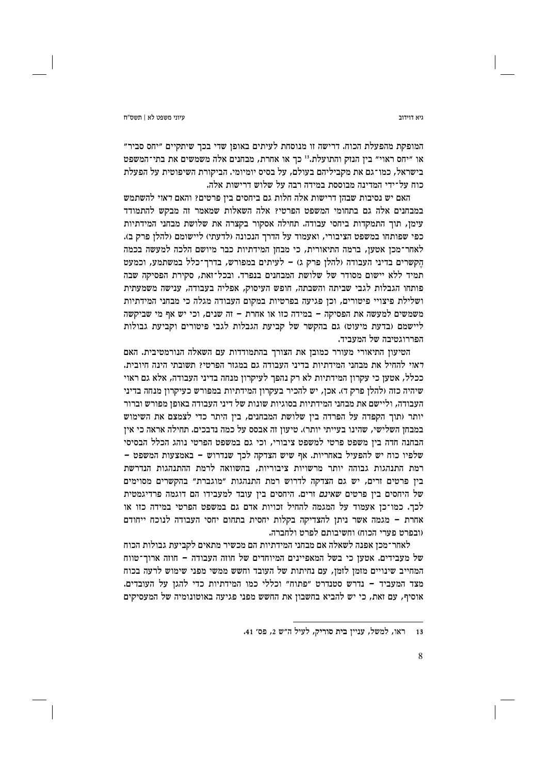גיא דוידור

המופקת מהפעלת הכוח. דרישה זו מנוסחת לעיתים באופן שדי בכך שיתקיים "יחס סביר" או "יחס ראוי" בין הנזק והתועלת.<sup>13</sup> כך או אחרת, מבחנים אלה משמשים את בתי־המשפט בישראל, כמו־גם את מקביליהם בעולם, על בסיס יומיומי. הביקורת השיפוטית על הפעלת כוח על־ידי המדינה מבוססת במידה רבה על שלוש דרישות אלה.

האם יש נסיבות שבהז דרישות אלה חלות גם ביחסים ביז פרטים? והאם דאזי להשתמש במבחנים אלה גם בתחומי המשפט הפרטי? אלה השאלות שמאמר זה מבקש להתמודד עימן, תוך התמקדות ביחסי עבודה. תחילה אסקור בקצרה את שלושת מבחני המידתיות כפי שפותחו במשפט הציבורי, ואעמוד על הדרך הנכונה (לדעתי) ליישומם (להלן פרק ב). לאחר־מכן אטען, ברמה התיאורית, כי מבחן המידתיות כבר מיושם הלכה למעשה בכמה הקשרים בדיני העבודה ולהלן פרק ג) – לעיתים במפורש, בדרך־כלל במשתמע, וכמעט תמיד ללא יישום מסודר של שלושת המבחנים בנפרד. ובכל־זאת, סקירת הפסיקה שבה פותחו הגבלות לגבי שביתה והשבתה, חופש העיסוק, אפליה בעבודה, ענישה משמעתית ושלילת פיצויי פיטורים, וכן פגיעה בפרטיות במקום העבודה מגלה כי מבחני המידתיות משמשים למעשה את הפסיקה - במידה כזו או אחרת - זה שנים, וכי יש אף מי שביקשה ליישמם (בדעת מיעוט) גם בהקשר של קביעת הגבלות לגבי פיטורים וקביעת גבולות הפררוגטיבה של המעביד.

הטיעון התיאורי מעורר כמובן את הצורך בהתמודדות עם השאלה הנורמטיבית. האם ראוי להחיל את מבחני המידתיות בדיני העבודה גם במגזר הפרטי? תשובתי הינה חיובית. ככלל, אטען כי עקרון המידתיות לא רק נהפך לעיקרון מנחה בדיני העבודה, אלא גם ראוי שיהיה כזה (להלן פרק ד). אכן, יש להכיר בעקרון המידתיות במפורש כעיקרון מנחה בדיני העבודה, וליישם את מבחני המידתיות בסוגיות שונות של דיני העבודה באופז מפורש וברור יותר (תוך הקפדה על הפרדה בין שלושת המבחנים, בין היתר כדי לצמצם את השימוש במבחן השלישי, שהינו בעייתי יותר). טיעון זה אבסס על כמה נדבכים. תחילה אראה כי אין הבחנה חדה בין משפט פרטי למשפט ציבורי, וכי גם במשפט הפרטי נוהג הכלל הבסיסי שלפיו כוח יש להפעיל באחריות. אף שיש הצדקה לכך שנדרוש – באמצעות המשפט – רמת התנהגות גבוהה יותר מרשויות ציבוריות, בהשוואה לרמת ההתנהגות הנדרשת ביו פרטים זרים, יש גם הצדקה לדרוש רמת התנהגות "מוגברת" בהקשרים מסוימים של היחסים בין פרטים *שאינם* זרים. היחסים בין עובד למעבידו הם דוגמה פרדיגמטית לכך. כמו־כן אעמוד על המגמה להחיל זכויות אדם גם במשפט הפרטי במידה כזו או אחרת - מגמה אשר ניתן להצדיקה בקלות יחסית בתחום יחסי העבודה לנוכח ייחודם וובפרט פערי הכוח) וחשיבותם לפרט ולחברה.

לאחר־מכן אפנה לשאלה אם מבחני המידתיות הם מכשיר מתאים לקביעת גבולות הכוח של מעבידים. אטען כי בשל המאפיינים המיוחדים של חוזה העבודה – חוזה ארוך־טווח המחייב שינויים מזמן לזמן, עם נחיתות של העובד וחשש ממשי מפני שימוש לרעה בכוח מצד המעביד – נדרש סטנדרט ״פתוח״ וכללי כמו המידתיות כדי להגן על העובדים. אוסיף, עם זאת, כי יש להביא בחשבוז את החשש מפני פגיעה באוטונומיה של המעסיקים

ראו, למשל, עניין בית סוריק, לעיל ה״ש 2, פס׳ 41.  $13$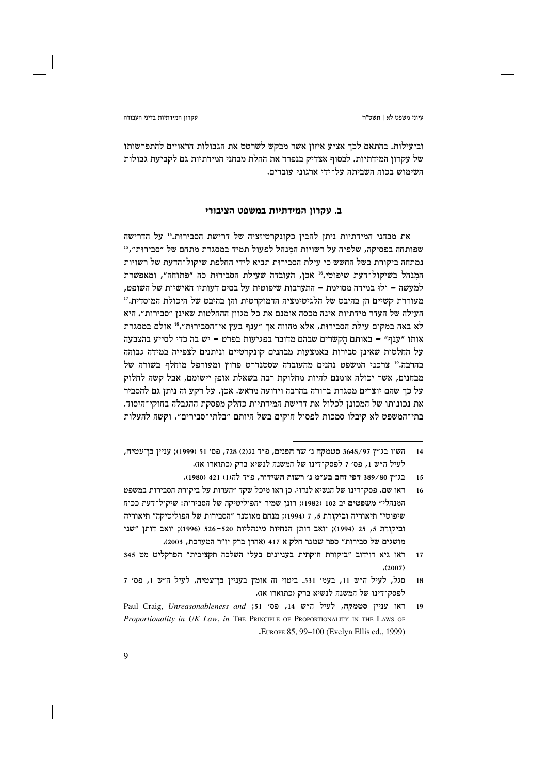עקרוו המידתיות בדיני העבודה

וביעילות. בהתאם לכך אציע איזון אשר מבקש לשרטט את הגבולות הראויים להתפרשותו של עקרון המידתיות. לבסוף אצדיק בנפרד את החלת מבחני המידתיות גם לקביעת גבולות השימוש בכוח השביתה על־ידי ארגוני עובדים.

# ב. עקרון המידתיות במשפט הציבורי

את מבחני המידתיות ניתן להבין כקונקרטיזציה של דרישת הסבירוּת.14 על הדרישה שפותחה בפסיקה, שלפיה על רשויות המנהל לפעול תמיד במסגרת מתחם של ״סבירוּת״, 15 נמתחה ביקורת בשל החשש כי עילת הסבירות תביא לידי החלפת שיקול־הדעת של רשויות המנהל בשיקול־דעת שיפוטי.<sup>16</sup> אכן, העובדה שעילת הסבירוּת כה "פתוחה", ומאפשרת למעשה – ולוּ במידה מסוימת – התערבות שיפוטית על בסיס דעותיו האישיות של השופט. מעוררת קשיים הן בהיבט של הלגיטימציה הדמוקרטית והן בהיבט של היכולת המוסדית.'' העילה של העדר מידתיות אינה מכסה אומנם את כל מגוון ההחלטות שאינן "סבירות". היא לא באה במקום עילת הסבירוּת, אלא מהווה אך "ענף בעץ אי־הסבירוּת".<sup>18</sup> אולם במסגרת אותו "ענף" – באותם הקשרים שבהם מדובר בפגיעות בפרט – יש בה כדי לסייע בהצבעה על החלטות שאינן סבירות באמצעות מבחנים קונקרטיים וניתנים לצפייה במידה גבוהה בהרבה." צרכני המשפט נהנים מהעובדה שסטנדרט פרוץ ומעורפל מוחלף בשורה של מבחנים, אשר יכולה אומנם להיות מחלוקת רבה בשאלת אופן יישומם, אבל קשה לחלוק על כך שהם יוצרים מסגרת ברורה בהרבה וידועה מראש. אכן, על רקע זה ניתן גם להסביר את נכונותו של המכונן לכלול את דרישת המידתיות כחלק מפסקת ההגבלה בחוקי־היסוד. בתי־המשפט לא קיבלו סמכות לפסול חוקים בשל היותם "בלתי־סבירים", וקשה להעלות

השוו בג״ץ 3648/97 סטמקה נ׳ שר הפנים, פ״ד נג(2) 728, פס׳ 51 (1999): עניין בו־עטיה,  $14$ לעיל ה״ש 1, פס׳ 7 לפסק־דינו של המשנה לנשיא ברק (כתוארו אז).

בג"ץ 389/80 דפי זהב בע״מ נ׳ רשות השידור, פ״ד להוו) 421 (1980). 15

ראו שם, פסק־דינו של הנשיא לנדוי. כז ראו מיכל שקד ״הערות על ביקורת הסבירות במשפט  $16$ המנהלי״ משפטים יב 102 (1982); רונן שמיר ״הפוליטיקה של הסבירות: שיקול־דעת ככוח שיפוטי" תיאוריה וביקורת 5, 7 (1994); מנחם מאוטנר "הסבירות של הפוליטיקה" תיאוריה וביקורת 5, 25 (1994); יואב דותן הנחיות מינהליות 520–526 (1996); יואב דותן "שני מושגים של סבירות" ספר שמגר חלק א 417 (אהרן ברק יו"ר המערכת, 2003).

ראו גיא דוידוב ״ביקורת חוקתית בעניינים בעלי השלכה תקציבית״ הפרקליט מט 345  $17$  $(2007)$ 

סגל, לעיל ה״ש 11, בעמ׳ 531. ביטוי זה אומץ בעניין בן־עטיה, לעיל ה״ש 1, פס׳ 7 18 לפסק־דינו של המשנה לנשיא ברק (כתוארו אז).

Paul Craig, Unreasonableness and ;51 , פס׳ 14, פס׳ באו עניין סטמקה, לעיל ה״ש 14,  $19$ Proportionality in UK Law, in THE PRINCIPLE OF PROPORTIONALITY IN THE LAWS OF "EUROPE 85, 99-100 (Evelyn Ellis ed., 1999)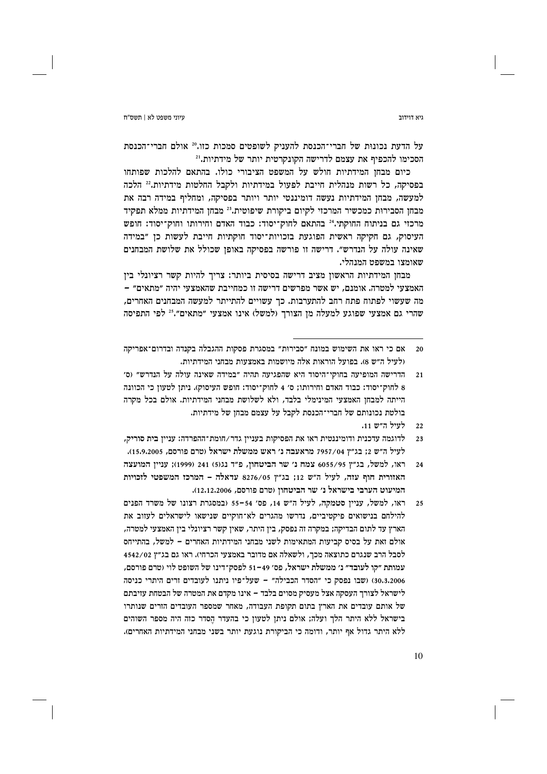גיא דוידור

על הדעת נכונות של חברי־הכנסת להעניק לשופטים סמכות כזו.20 אולם חברי־הכנסת הסכימו להכפיף את עצמם לדרישה הקונקרטית יותר של מידתיות.<sup>21</sup>

כיום מבחז המידתיות חולש על המשפט הציבורי כולו. בהתאם להלכות שפותחו בפסיקה, כל רשות מנהלית חייבת לפעול במידתיות ולקבל החלטות מידתיות.22 הלכה למעשה, מבחז המידתיות נעשה דומיננטי יותר ויותר בפסיקה, ומחליף במידה רבה את מבחן הסבירות כמכשיר המרכזי לקיום ביקורת שיפוטית.<sup>23</sup> מבחן המידתיות ממלא תפקיד מרכזי גם בניתוח החוקתי.<sup>24</sup> בהתאם לחוק־יסוד: כבוד האדם וחירותו וחוק־יסוד: חופש העיסוק, גם חקיקה ראשית הפוגעת בזכויות־יסוד חוקתיות חייבת לעשות כן "במידה שאינה עולה על הנדרש״. דרישה זו פורשה בפסיקה באופן שכולל את שלושת המבחנים שאומצו במשפט המנהלי.

מבחן המידתיות הראשון מציב דרישה בסיסית ביותר: צריך להיות קשר רציונלי בין האמצעי למטרה. אומנם. יש אשר מפרשים דרישה זו כמחייבת שהאמצעי יהיה ״מתאים״ **–** מה שעשוי לפתוח פתח רחב להתערבות. כך עשויים להתייתר למעשה המבחנים האחרים, שהרי גם אמצעי שפוגע למעלה מן הצורך (למשל) אינו אמצעי "מתאים".<sup>25</sup> לפי התפיסה

אם כי ראו את השימוש במונח ״סבירוּת״ במסגרת פסקות ההגבלה בקנדה ובדרום־אפריקה  $20$ (לעיל ה״ש 8). בפועל הוראות אלה מיושמות באמצעות מבחני המידתיות.

הדרישה המופיעה בחוקי־היסוד היא שהפגיעה תהיה ״במידה שאינה עולה על הנדרש״ (ס׳  $21$ 8 לחוק־יסוד: כבוד האדם וחירותו; ס׳ 4 לחוק־יסוד: חופש העיסוק). ניתן לטעון כי הכוונה הייתה למבחז האמצעי המינימלי בלבד, ולא לשלושת מבחני המידתיות. אולם בכל מקרה בולטת נכונותם של חברי־הכנסת לקבל על עצמם מבחז של מידתיות.

לעיל ה״ש 11.  $22$ 

לדוגמה עדכנית ודומיננטית ראו את הפסיקות בענייז גדר/חומת־ההפרדה: ענייז בית סוריק, לעיל ה״ש 2: בג״ז 7957/04 מראעבה נ׳ ראש ממשלת ישראל (טרם פורסם, 15.9.2005).

ראו, למשל, בג״ץ 6055/95 צמח נ׳ שר הביטחון, פ״ד נג(5) 241 (1999); עניין המועצה  $24$ האזורית חוף עזה, לעיל ה"ש 12; בג"ץ 8276/05 עדאלה - המרכז המשפטי לזכויות המיעוט הערבי בישראל נ׳ שר הביטחוז (טרם פורסם, 12.12.2006).

ראו, למשל, עניין סטמקה, לעיל ה"ש 14, פס' 54–55 (במסגרת רצונו של משרד הפנים  $2.5$ להילחם בנישואים פיקטיביים, נדרשו מהגרים לא־חוקיים שנישאו לישראלים לעזוב את הארץ עד לתום הבדיקה; במקרה זה נפסק, בין היתר, שאין קשר רציונלי בין האמצעי למטרה, אולם זאת על בסיס קביעות המתאימות לשני מבחני המידתיות האחרים – למשל, בהתייחס לסבל הרב שנגרם כתוצאה מכך, ולשאלה אם מדובר באמצעי הכרחי). ראו גם בג״ץ 4542/02 עמותת ״קו לעובד״ נ׳ ממשלת ישראל. פס׳ 49–51 לפסק־דינו של השופט לוי (טרם פורסם. 30.3.2006) (שבו נפסק כי "הסדר הכבילה" - שעל־פיו ניתנו לעובדים זרים היתרי כניסה לישראל לצורך העסקה אצל מעסיק מסוים בלבד – אינו מקדם את המטרה של הבטחת עזיבתם של אותם עובדים את הארץ בתום תקופת העבודה, מאחר שמספר העובדים הזרים שנותרו בישראל ללא היתר הלך ועלה; אולם ניתן לטעון כי בהעדר הסדר כזה היה מספר השוהים ללא היתר גדול אף יותר, ודומה כי הביקורת נוגעת יותר בשני מבחני המידתיות האחרים).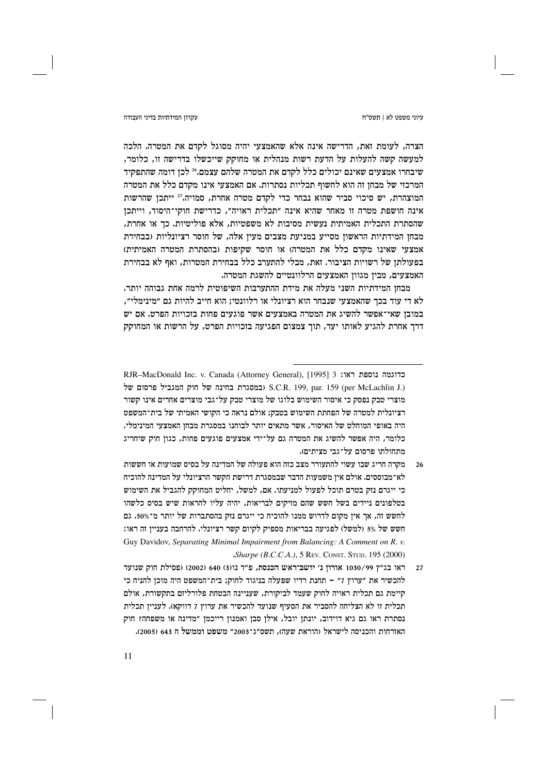### עקרוו המידתיות בדיני העבודה

הצרה, לעומת זאת, הדרישה אינה אלא שהאמצעי יהיה מסוגל לקדם את המטרה. הלכה למעשה קשה להעלות על הדעת רשות מנהלית או מחוקק שייכשלו בדרישה זו, כלומר, שיבחרו אמצעים שאינם יכולים כלל לקדם את המטרה שלהם עצמם.24 לכז דומה שהתפקיד המרכזי של מבחן זה הוא לחשוף תכליות נסתרות. אם האמצעי אינו מקדם כלל את המטרה המוצהרת, יש סיכוי סביר שהוא נבחר כדי לקדם מטרה אחרת, סמויה.<sup>27</sup> ייתכן שהרשות אינה חושפת מטרה זו מאחר שהיא אינה "תכלית ראויה", כדרישת חוקי־היסוד, וייתכן שהסתרת התכלית האמיתית נעשית מסיבות לא משפטיות, אלא פוליטיות. כך או אחרת, מבחן המידתיות הראשון מסייע במניעת מצבים מעין אלה, של חוסר רציונליות (בבחירת אמצעי שאינו מקדם כלל את המטרה) או חוסר שקיפות (בהסתרת המטרה האמיתית) בפעולתן של רשויות הציבור. זאת, מבלי להתערב כלל בבחירת המטרות, ואף לא בבחירת האמצעים, מבין מגוון האמצעים הרלוונטיים להשגת המטרה.

מבחו המידתיות השני מעלה את מידת ההתערבות השיפוטית לרמה אחת גבוהה יותר. לא די עוד בכך שהאמצעי שנבחר הוא רציונלי או רלוונטי; הוא חייב להיות גם ״מינימלי״, במובן שאי־אפשר להשיג את המטרה באמצעים אשר פוגעים פחות בזכויות הפרט. אם יש דרך אחרת להגיע לאותו יעד, תוך צמצום הפגיעה בזכויות הפרט, על הרשות או המחוקק

RJR-MacDonald Inc. v. Canada (Attorney General), [1995] 3 בדוגמה נוספת ראו: של חוק המגביל פרסום של S.C.R. 199, par. 159 (per McLachlin J.) מוצרי טבק נפסק כי איסור השימוש בלוגו של מוצרי טבק על־גבי מוצרים אחרים אינו קשור רציונלית למטרה של הפחתת השימוש בטבק: אולם נראה כי הקושי האמיתי של בית־המשפט היה באופי המוחלט של האיסור, אשר מתאים יותר לבוחנו במסגרת מבחן האמצעי המינימלי. כלומר, היה אפשר להשיג את המטרה גם על־ידי אמצעים פוגעים פחות, כגוז חוק שיחריג מתחולתו פרסום על־גבי מציתים).

מקרה חריג שבו עשוי להתעורר מצב כזה הוא פעולה של המדינה על בסיס שמועות או חששות  $26$ לא־מבוססים. אולם אין משמעות הדבר שבמסגרת דרישת הקשר הרציונלי על המדינה להוכיח כי ייגרם נזק בטרם תוכל לפעול למניעתו. אם, למשל, יחליט המחוקק להגביל את השימוש בטלפונים ניידים בשל חשש שהם מזיקים לבריאות, יהיה עליו להראות שיש בסיס כלשהו לחשש זה, אך אין מקום לדרוש ממנו להוכיח כי ייגרם נזק בהסתברות של יותר מ־50%. גם חשש של 5% (למשל) לפגיעה בבריאות מספיק לקיום קשר רציונלי. להרחבה בעניין זה ראו: Guy Davidov, Separating Minimal Impairment from Balancing: A Comment on R. v. Sharpe (B.C.C.A.), 5 REV. CONST. STUD. 195 (2000).

ראו בג״ץ 1030/99 אורון נ׳ יושב־ראש הכנסת, פ״ד נו<610 (2002) ופסילת חוק שנועד  $27$ להכשיר את "ערוץ 7" – תחנת רדיו שפעלה בניגוד לחוק; בית־המשפט היה מוכן להניח כי קיימת גם תכלית ראויה לחוק שעמד לביקורת, שעניינה הבטחת פלורליזם בתקשורת, אולם תכלית זו לא הצליחה להסביר את הסעיף שנועד להכשיר את ערוץ 7 דווקא). לעניין תכלית נסתרת ראו גם גיא דוידוב, יונתן יובל, אילן סבן ואמנון רייכמן "מדינה או משפחה? חוק האזרחות והכניסה לישראל (הוראת שעה), תשס״ג־2003″ משפט וממשל ח 643 (2005).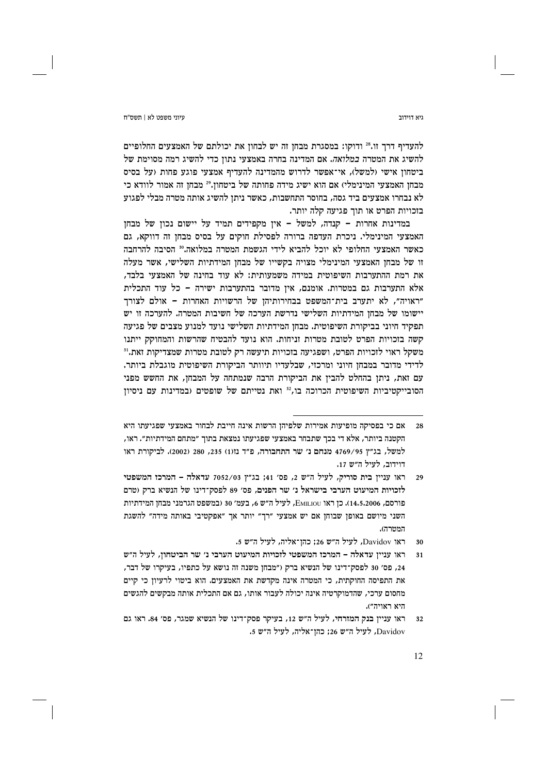להעדיף דרך זו.<sup>28</sup> ודוקו: במסגרת מבחן זה יש לבחון את יכולתם של האמצעים החלופיים להשיג את המטרה *במלואה.* אם המדינה בחרה באמצעי נתון כדי להשיג רמה מסוימת של ביטחוז אישי (למשל), אי־אפשר לדרוש מהמדינה להעדיף אמצעי פוגע פחות (על בסיס מבחן האמצעי המינימלי) אם הוא ישיג מידה פחותה של ביטחון.29 מבחן זה אמור לוודא כי לא נבחרו אמצעים ביד גסה, בחוסר התחשבות, כאשר ניתז להשיג אותה מטרה מבלי לפגוע בזכויות הפרט או תוך פגיעה קלה יותר.

במדינות אחרות – קנדה, למשל – אין מקפידים תמיד על יישום נכון של מבחן האמצעי המינימלי. ניכרת העדפה ברורה לפסילת חוקים על בסיס מבחן זה דווקא, גם כאשר האמצעי החלופי לא יוכל להביא לידי הגשמת המטרה במלואה.30 הסיבה להרחבה זו של מבחן האמצעי המינימלי מצויה בקשייו של מבחן המידתיות השלישי, אשר מעלה את רמת ההתערבות השיפוטית במידה משמעותית: לא עוד בחינה של האמצעי בלבד, אלא התערבות גם במטרות. אומנם, איז מדובר בהתערבות ישירה – כל עוד התכלית "ראויה", לא יתערב בית־המשפט בבחירותיהן של הרשויות האחרות – אולם לצורך יישומו של מבחן המידתיות השלישי נדרשת הערכה של חשיבות המטרה. להערכה זו יש תפקיד חיוני בביקורת השיפוטית. מבחן המידתיות השלישי נועד למנוע מצבים של פגיעה קשה בזכויות הפרט לטובת מטרות זניחות. הוא נועד להבטיח שהרשות והמחוקק ייתנו משקל ראוי לזכויות הפרט, ושפגיעה בזכויות תיעשה רק לטובת מטרות שמצדיקות זאת.<sup>31</sup> לדידי מדובר במבחן חיוני ומרכזי, שבלעדיו תיוותר הביקורת השיפוטית מוגבלת ביותר. עם זאת, ניתן בהחלט להבין את הביקורת הרבה שנמתחה על המבחן, את החשש מפני הסובייקטיביות השיפוטית הכרוכה בו, 32 ואת נטייתם של שופטים (במדינות עם ניסיון

ראו Davidov, לעיל ה"ש 26; כהן־אליה, לעיל ה"ש 5. 30

גיא דוידור

אם כי בפסיקה מופיעות אמירות שלפיהן הרשות אינה חייבת לבחור באמצעי שפגיעתו היא  $28$ הקטנה ביותר, אלא די בכר שתבחר באמצעי שפגיעתו נמצאת בתור ״מתחם המידתיות״. ראו, למשל, בג״ץ 4769/95 מנחם נ׳ שר התחבורה, פ״ד נז(1) 235, 280 (2002). לביקורת ראו דוידוב, לעיל ה״ש 17.

ראו עניין בית סוריק, לעיל ה"ש 2, פס' 41; בג"ץ 7052/03 עדאלה - המרכז המשפטי 29 לזכויות המיעוט הערבי בישראל נ׳ שר הפנים, פס׳ 89 לפסק־דינו של הנשיא ברק (טרם פורסם, 14.5.2006). כן ראו EMILIOU, לעיל ה״ש 6, בעמ׳ 30 (במשפט הגרמני מבחן המידתיות השני מיושם באופן שבוחן אם יש אמצעי "רך" יותר אך "אפקטיבי באותה מידה" להשגת המטרה).

ראו עניין עדאלה – המרכז המשפטי לזכויות המיעוט הערבי נ׳ שר הביטחון, לעיל ה״ש  $31$ 24, פס׳ 30 לפסק־דינו של הנשיא ברק ("מבחן משנה זה נושא על כתפיו, בעיקרו של דבר, את התפיסה החוקתית, כי המטרה אינה מקדשת את האמצעים. הוא ביטוי לרעיון כי קיים מחסום ערכי, שהדמוקרטיה אינה יכולה לעבור אותו, גם אם התכלית אותה מבקשים להגשים היא ראויה").

ראו עניין בנק המזרחי, לעיל ה"ש 12, בעיקר פסק־דינו של הנשיא שמגר, פס׳ 84. ראו גם  $32$ Davidov, לעיל ה"ש 26; כהן־אליה, לעיל ה"ש 5.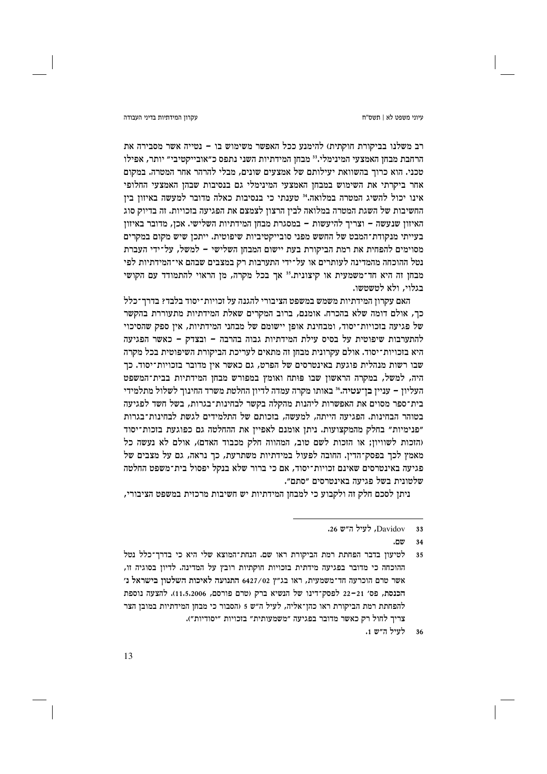עקרוו המידתיות בדיני העבודה

רב משלנו בביקורת חוקתית) להימנע ככל האפשר משימוש בו – נטייה אשר מסבירה את הרחבת מבחן האמצעי המינימלי.<sup>33</sup> מבחן המידתיות השני נתפס כ"אובייקטיבי" יותר, אפילו טכני. הוא כרוד בהשוואת יעילותם של אמצעים שונים, מבלי להרהר אחר המטרה. במקום אחר ביקרתי את השימוש במבחן האמצעי המינימלי גם בנסיבות שבהן האמצעי החלופי אינו יכול להשיג המטרה במלואה.<sup>34</sup> טענתי כי בנסיבות כאלה מדובר למעשה באיזוז ביז החשיבות של השגת המטרה במלואה לבין הרצון לצמצם את הפגיעה בזכויות. זה בדיוק סוג האיזון שנעשה - וצריך להיעשות - במסגרת מבחן המידתיות השלישי. אכן, מדובר באיזון בעייתי מנקודת־המבט של החשש מפני סובייקטיביות שיפוטית. ייתכן שיש מקום במקרים מסוימים להפחית את רמת הביקורת בעת יישום המבחן השלישי – למשל, על־ידי העברת נטל ההוכחה מהמדינה לעותרים או על־ידי התערבות רק במצבים שבהם אי־המידתיות לפי מבחן זה היא חד־משמעית או קיצונית. 35 אך בכל מקרה, מן הראוי להתמודד עם הקושי בגלוי. ולא לטשטשו.

האם עקרון המידתיות משמש במשפט הציבורי להגנה על זכויות־יסוד בלבד? בדרך־כלל כך, אולם דומה שלא בהכרח. אומנם, ברוב המקרים שאלת המידתיות מתעוררת בהקשר של פגיעה בזכויות־יסוד, ומבחינת אופן יישומם של מבחני המידתיות, אין ספק שהסיכוי להתערבות שיפוטית על בסיס עילת המידתיות גבוה בהרבה – ובצדק – כאשר הפגיעה היא בזכויות־יסוד. אולם עקרונית מבחן זה מתאים לעריכת הביקורת השיפוטית בכל מקרה שבו רשות מנהלית פוגעת באינטרסים של הפרט, גם כאשר אין מדובר בזכויות־יסוד. כך היה, למשל, במקרה הראשון שבו פותח ואומץ במפורש מבחן המידתיות בבית־המשפט העליון – עניין בן־עטיה.<sup>36</sup> באותו מקרה עמדה לדיון החלטת משרד החינוך לשלול מתלמידי בית־ספר מסוים את האפשרות ליהנות מהקלה בקשר לבחינות־בגרות, בשל חשד לפגיעה בטוהר הבחינות. הפגיעה הייתה, למעשה, בזכותם של התלמידים לגשת לבחינות־בגרות "פנימיות" בחלק מהמקצועות. ניתן אומנם לאפיין את ההחלטה גם כפוגעת בזכות־יסוד (הזכות לשוויון; או הזכות לשם טוב, המהווה חלק מכבוד האדם), אולם לא נעשה כל מאמץ לכך בפסק־הדין. החובה לפעול במידתיות משתרעת, כך נראה, גם על מצבים של פגיעה באינטרסים שאינם זכויות־יסוד, אם כי ברור שלא בנקל יפסול בית־משפט החלטה שלטונית בשל פגיעה באינטרסים ״סתם״.

ניתן לסכם חלק זה ולקבוע כי למבחן המידתיות יש חשיבות מרכזית במשפט הציבורי,

לעיל ה״ש 1.  $36$ 

Davidov, לעיל ה״ש 26.  $33$ 

ישם.  $34$ 

לטיעון בדבר הפחתת רמת הביקורת ראו שם. הנחת־המוצא שלי היא כי בדרך־כלל נטל 35 ההוכחה כי מדובר בפגיעה מידתית בזכויות חוקתיות רובץ על המדינה. לדיון בסוגיה זו, אשר טרם הוכרעה חד־משמעית, ראו בג״ץ 6427/02 התנועה לאיכות השלטון בישראל נ׳ הכנסת, פס׳ 21–22 לפסק־דינו של הנשיא ברק (טרם פורסם, 11.5.2006). להצעה נוספת להפחתת רמת הביקורת ראו כהן־אליה, לעיל ה״ש 5 (הסבור כי מבחן המידתיות במובן הצר צריך לחול רק כאשר מדובר בפגיעה "משמעותית" בזכויות "יסודיות").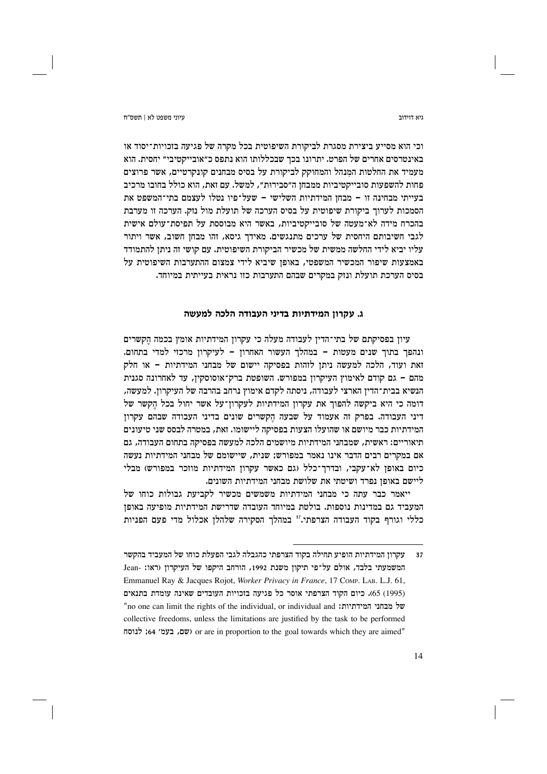ויא דוידור

ויווי משפט לא L חשס"ח

וכי הוא מסייע ביצירת מסגרת לביקורת השיפוטית בכל מקרה של פגיעה בזכויות־יסוד או באינטרסים אחרים של הפרט. יתרונו בכך שבכללותו הוא נתפס כ"אובייקטיבי" יחסית. הוא מעמיד את החלטות המנהל והמחוקק לביקורת על בסיס מבחנים קונקרטיים, אשר פרוצים פחות להשפעות סובייקטיביות ממבחן ה״סבירוּת״, למשל. עם זאת, הוא כולל בחובו מרכיב בעייתי מבחינה זו - מבחן המידתיות השלישי - שעל־פיו נטלו לעצמם בתי־המשפט את הסמכות לערוך ביקורת שיפוטית על בסיס הערכה של תועלת מול נזק. הערכה זו מערבת בהכרח מידה לא־מעטה של סובייקטיביות, באשר היא מבוססת על תפיסת־עולם אישית לגבי חשיבותם היחסית של ערכים מתנגשים. מאידך גיסא, זהו מבחן חשוב, אשר ויתור עליו יביא לידי החלשה ממשית של מכשיר הביקורת השיפוטית. עם קושי זה ניתן להתמודד באמצעות שיפור המכשיר המשפטי, באופן שיביא לידי צמצום ההתערבות השיפוטית על בסיס הערכת תועלת ונזק במקרים שבהם התערבות כזו נראית בעייתית במיוחד.

# ג. עקרון המידתיות בדיני העבודה הלכה למעשה

עיון בפסיקתם של בתי־הדין לעבודה מעלה כי עקרון המידתיות אומץ בכמה הקשרים ונהפך בתוך שנים מעטות – במהלך העשור האחרון – לעיקרון מרכזי למדי בתחום. זאת ועוד, הלכה למעשה ניתן לזהות בפסיקה יישום של מבחני המידתיות – או חלק מהם – גם קודם לאימוץ העיקרון במפורש. השופטת ברק־אוסוסקין, עד לאחרונה סגנית הנשיא בבית־הדין הארצי לעבודה, ניסתה לקדם אימוץ נרחב בהרבה של העיקרון. למעשה, דומה כי היא ביקשה להפוך את עקרון המידתיות לעקרון־על אשר יחול בכל הקשר של דיני העבודה. בפרק זה אעמוד על שבעה הקשרים שונים בדיני העבודה שבהם עקרון המידתיות כבר מיושם או שהועלו הצעות בפסיקה ליישומו. זאת, במטרה לבסס שני טיעונים תיאוריים: ראשית, שמבחני המידתיות מיושמים הלכה למעשה בפסיקה בתחום העבודה, גם אם במקרים רבים הדבר אינו נאמר במפורש; שנית, שיישומם של מבחני המידתיות נעשה כיום באופן לא־עקבי, ובדרך־כלל (גם כאשר עקרון המידתיות מוזכר במפורש) מבלי ליישם באופז נפרד ושיטתי את שלושת מבחני המידתיות השונים.

ייאמר כבר עתה כי מבחני המידתיות משמשים מכשיר לקביעת גבולות כוחו של המעביד גם במדינות נוספות. בולטת במיוחד העובדה שדרישת המידתיות מופיעה באופן כללי וגורף בקוד העבודה הצרפתי." במהלך הסקירה שלהלן אכלול מדי פעם הפניות

עקרון המידתיות הופיע תחילה בקוד הצרפתי כהגבלה לגבי הפעלת כוחו של המעביד בהקשר המשמעתי בלבד, אולם על־פי תיקון משנת 1992, הורחב היקפו של העיקרון (ראו: -Jean Emmanuel Ray & Jacques Rojot, Worker Privacy in France, 17 Comp. LAB. L.J. 61, (1995) 65). כיום הקוד הצרפתי אוסר כל פגיעה בזכויות העובדים שאינה עומדת בתנאים "no one can limit the rights of the individual, or individual and 'של מבחני המידתיות collective freedoms, unless the limitations are justified by the task to be performed "or are in proportion to the goal towards which they are aimed" (שם, בעמ׳ 64; לנוסח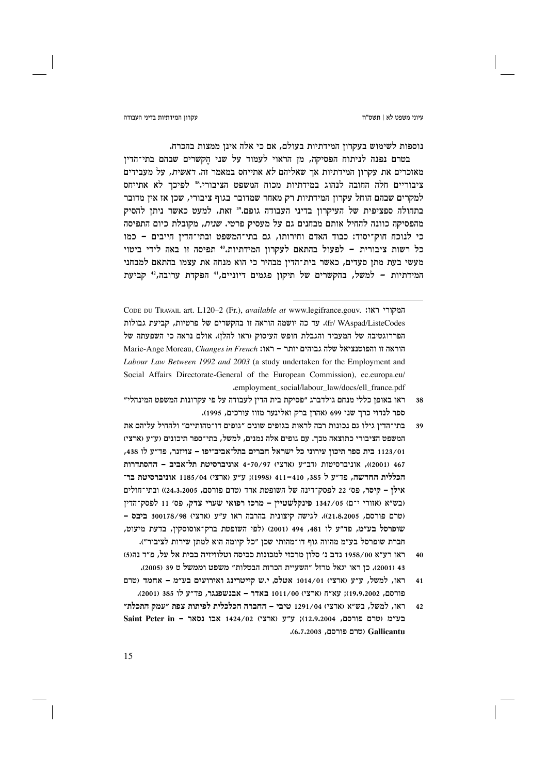#### עקרוו המידתיות בדיני העבודה

נוספות לשימוש בעקרון המידתיות בעולם, אם כי אלה אינן ממצות בהכרח.

בטרם נפנה לניתוח הפסיקה, מן הראוי לעמוד על שני הקשרים שבהם בתי־הדין מאזכרים את עקרוז המידתיות אר שאליהם *לא* אתייחס במאמר זה. *ראשית,* על מעבידים ציבוריים חלה החובה לנהוג במידתיות מכוח המשפט הציבורי.<sup>38</sup> לפיכך לא אתייחס למקרים שבהם הוחל עקרון המידתיות רק מאחר שמדובר בגוף ציבורי, שכן אז אין מדובר בתחולה ספציפית של העיקרון בדיני העבודה גופם.<sup>3</sup>° זאת, למעט כאשר ניתן להסיק מהפסיקה כוונה להחיל אותם מבחנים גם על מעסיק פרטי. שנית, מקובלת כיום התפיסה כי לנוכח חוק־יסוד: כבוד האדם וחירותו, גם בתי־המשפט ובתי־הדין חייבים - כמו כל רשות ציבורית – לפעול בהתאם לעקרון המידתיות.40 תפיסה זו באה לידי ביטוי מעשי בעת מתן סעדים, כאשר בית־הדין מבהיר כי הוא מנחה את עצמו בהתאם למבחני המידתיות - למשל, בהקשרים של תיקון פגמים דיוניים,<sup>41</sup> הפקדת ערובה,<sup>42</sup> קביעת

CODE DU TRAVAIL art. L120-2 (Fr.), available at www.legifrance.gouv. "המקורי ראו fr/ WAspad/ListeCodes). עד כה יושמה הוראה זו בהקשרים של פרטיות, קביעת גבולות הפררוגטיבה של המעביד והגבלת חופש העיסוק (ראו להלו). אולם נראה כי השפעתה של Marie-Ange Moreau, Changes in French ו- ראו: Marie-Ange Moreau, Changes in French Labour Law Between 1992 and 2003 (a study undertaken for the Employment and Social Affairs Directorate-General of the European Commission), ec.europa.eu/ .employment social/labour law/docs/ell france.pdf

- ראו באופז כללי מנחם גולדברג ״פסיקת בית הדיז לעבודה על פי עקרונות המשפט המינהלי״ 38 ספר לנדוי כרד שני 699 (אהרז ברק ואלינער מזוז עורכים, 1995).
- בתי־הדין גילו גם נכונות רבה לראות בגופים שונים ״גופים דו־מהותיים״ ולהחיל עליהם את 39 המשפט הציבורי כתוצאה מכר. עם גופים אלה נמנים, למשל, בתי־ספר תיכונים (ע״ע (ארצי) 1123/01 בית ספר תיכוז עירוני כל ישראל חברים בתל־אביב־יפו – צויזנר, פד״ע לו 438, 467 (2001), אוניברסיטות (דב"ע (ארצי) 70/97 -4 אוניברסיטת תל־אביב - ההסתדרות הכללית החדשה, פד״ע ל 385, 410–411 (1998); ע״ע (ארצי) 1185/04 אוניברסיטת בר־ אילו – קיסר, פס׳ 22 לפסק־דינה של השופטת ארד (טרם פורסם, 24,3,2005)) ובתי־חולים (בש"א (אזורי י־ם) 1347/05 פינקלשטיין – מרכז רפואי שערי צדק, פס׳ 11 לפסק־הדין (טרם פורסם, 21.8.2005)). לגישה קיצונית בהרבה ראו ע"ע (ארצי) 300178/98 ביבס -שופרסל בע״מ, פד״ע לו 481, 494 (2001) (לפי השופטת ברק־אוסוסקין, בדעת מיעוט, חברת שופרסל בע״מ מהווה גוף דו־מהותי שכן ״כל קיומה הוא למתן שירות לציבור״).
- ראו רע״א 1958/00 נדב נ׳ סלון מרכזי למכונות כביסה וטלוויזיה בבית אל על, פ״ד נה(5)  $40$ 43 (2001). כז ראו יגאל מרזל ״השעיית הכרזת הבטלות״ משפט וממשל ט 39 (2005).
- ראו, למשל, ע״ע (ארצי) 1014/01 אטלס, י.ש קייטרינג ואירועים בע״מ אחמד (טרם  $41$ פורסם, 19,9,2002); עא"ח (ארצי) 1011/00 באדר - אבנשפנגר, פד"ע לו 385 (2001).
- ראו, למשל, בש"א (ארצי) 1291/04 טיבי החברה הכלכלית לפיתות צפת "עמק התכלת"  $\Delta$ 2  $Saint$  Peter in - אבו נסאר 1424/02 (ארצי); צ״ע (ארצי); בע״מ Gallicantu) (טרם פורסם, 6.7.2003).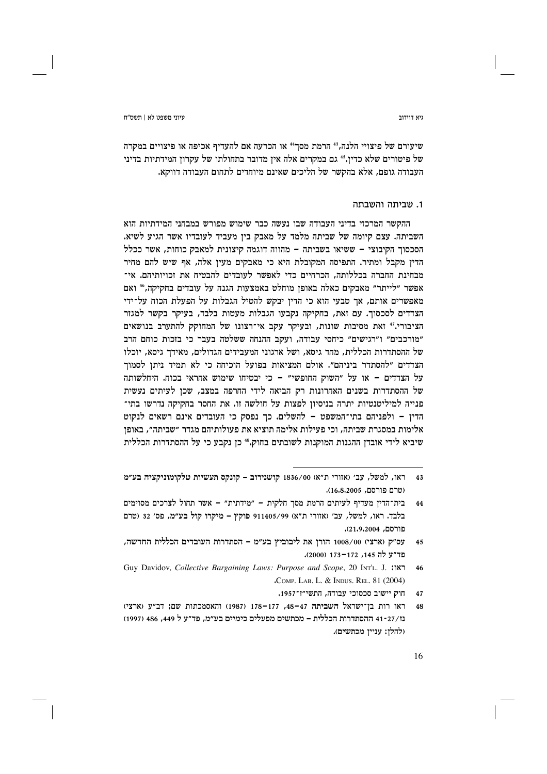גיא דוידור

שיעורם של פיצויי הלנה,<sup>41</sup> הרמת מסך<sup>41</sup> או הכרעה אם להעדיף אכיפה או פיצויים במקרה של פיטורים שלא כדין.45 גם במקרים אלה אין מדובר בתחולתו של עקרון המידתיות בדיני העבודה גופם, אלא בהקשר של הליכים שאינם מיוחדים לתחום העבודה דווקא.

### 1. שביתה והשבתה

ההקשר המרכזי בדיני העבודה שבו נעשה כבר שימוש מפורש במבחני המידתיות הוא השביתה. עצם קיומה של שביתה מלמד על מאבק בין מעביד לעובדיו אשר הגיע לשיא. הסכסוך הקיבוצי – ששיאו בשביתה – מהווה דוגמה קיצונית למאבק כוחות, אשר ככלל הדין מקבל ומתיר. התפיסה המקובלת היא כי מאבקים מעין אלה, אף שיש להם מחיר מבחינת החברה בכללותה, הכרחיים כדי לאפשר לעובדים להבטיח את זכויותיהם. אי־ אפשר ״לייתר״ מאבקים כאלה באופו מוחלט באמצעות הגנה על עובדים בחקיקה.46 ואם מאפשרים אותם, אך טבעי הוא כי הדין יבקש להטיל הגבלות על הפעלת הכוח על־ידי הצדדים לסכסוך. עם זאת, בחקיקה נקבעו הגבלות מעטות בלבד, בעיקר בקשר למגזר הציבורי.<sup>47</sup> זאת מסיבות שונות, ובעיקר עקב אי־רצונו של המחוקק להתערב בנושאים "מורכבים" ו"רגישים" כיחסי עבודה, ועקב ההנחה ששלטה בעבר כי בזכות כוחם הרב של ההסתדרות הכללית, מחד גיסא, ושל ארגוני המעבידים הגדולים, מאידך גיסא, יוכלו הצדדים "להסתדר ביניהם". אולם המציאות בפועל הוכיחה כי לא תמיד ניתן לסמוך על הצדדים – או על "השוק החופשי" – כי יבטיחו שימוש אחראי בכוח. היחלשותה של ההסתדרות בשנים האחרונות רק הביאה לידי החרפה במצב, שכן לעיתים נעשית פנייה למיליטנטיות יתרה בניסיון לפצות על חולשה זו. את החסר בחקיקה נדרשו בתי־ הדין - ולפניהם בתי־המשפט - להשלים. כך נפסק כי העובדים אינם רשאים לנקוט אלימות במסגרת שביתה, וכי פעילות אלימה תוציא את פעולותיהם מגדר "שביתה", באופן שיביא לידי אובדן ההגנות המוקנות לשובתים בחוק.45 כן נקבע כי על ההסתדרות הכללית

חוק יישוב סכסוכי עבודה, התשי״ז־1957.

ראו, למשל, עב׳ (אזורי ת"א) 1836/00 קושנירוב - קונקס תעשיות טלקומוניקציה בע"מ  $43$ (טרם פורסם, 16.8.2005).

בית־הדין מעדיף לעיתים הרמת מסך חלקית – ״מידתית״ – אשר תחול לצרכים מסוימים  $44$ בלבד. ראו, למשל, עב׳ (אזורי ת"א) 911405/99 פוקץ - מיקרו קול בע״מ, פס׳ 32 (טרם פורסם, 21.9.2004).

עס״ק (ארצי) 1008/00 הורן את ליבוביץ בע״מ – הסתדרות העובדים הכללית החדשה,  $45$ פד״ע לה 145, 172–173 (2000).

Guy Davidov, Collective Bargaining Laws: Purpose and Scope, 20 INTL. J. : NT  $46$ .COMP. LAB. L. & INDUS. REL. 81 (2004)

ראו רות בן־ישראל השביתה 47–48, 177–178 (1987) והאסמכתות שם; דב"ע (ארצי) נו/41-27 ההסתדרות הכללית – מכתשים מפעלים כימיים בע״מ, פד״ע ל 449, 486 (1997) (להלן: עניין מכתשים).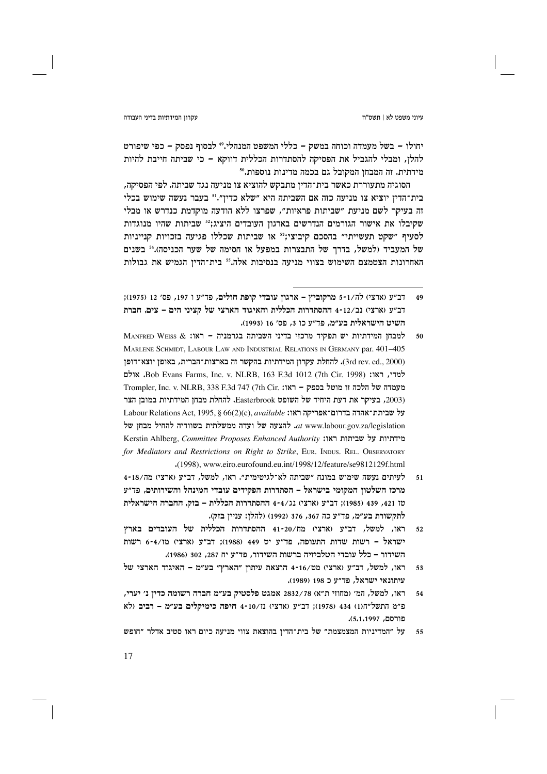יחולו – בשל מעמדה וכוחה במשק – כללי המשפט המנהלי.49 לבסוף נפסק – כפי שיפורט להלן, ומבלי להגביל את הפסיקה להסתדרות הכללית דווקא – כי שביתה חייבת להיות מידתית. זה המבחז המקובל גם בכמה מדינות נוספות."

הסוגיה מתעוררת כאשר בית־הדין מתבקש להוציא צו מניעה נגד שביתה. לפי הפסיקה, בית־הדיז יוציא צו מניעה כזה אם השביתה היא "שלא כדיז".<sup>51</sup> בעבר נעשה שימוש בכלי זה בעיקר לשם מניעת "שביתות פראיות", שפרצו ללא הודעה מוקדמת כנדרש או מבלי שקיבלו את אישור הגורמים הנדרשים בארגון העובדים היציג;<sup>52</sup> שביתות שהיו מנוגדות לסעיף "שקט תעשייתי" בהסכם קיבוצי;<sup>53</sup> או שביתות שכללו פגיעה בזכויות קנייניות של המעביד (למשל, בדרך של התבצרות במפעל או חסימה של שער הכניסה).54 בשנים האחרונות הצטמצם השימוש בצווי מניעה בנסיבות אלה." בית־הדין הגמיש את גבולות

- MANFRED WEISS & <br/> ראו: אבחו המידתיות יש תפקיד מרכזי בדיני השביתה למבחו ה 50 MARLENE SCHMIDT, LABOUR LAW AND INDUSTRIAL RELATIONS IN GERMANY par. 401-405 (3rd rev. ed., 2000). להחלת עקרוז המידתיות בהקשר זה בארצות־הברית, באופז יוצא־דופז ה האולם Bob Evans Farms, Inc. v. NLRB, 163 F.3d 1012 (7th Cir. 1998). אולם Trompler, Inc. v. NLRB, 338 F.3d 747 (7th Cir. או: Trompler, Inc. v. NLRB, 338 F.3d 747 (7th Cir. אונ (2003, בעיקר את דעת היחיד של השופט Easterbrook. להחלת מבחז המידתיות במובז הצר Labour Relations Act, 1995, § 66(2)(c), available על שביתת־אהדה בדרום־אפריקה ראו: ית החיל מבחן של at www.labour.gov.za/legislation Kerstin Ahlberg, Committee Proposes Enhanced Authority :המירתיות על שביתות ראו for Mediators and Restrictions on Right to Strike, EUR, INDUS, REL. OBSERVATORY .(1998), www.eiro.eurofound.eu.int/1998/12/feature/se9812129f.html
- לעיתים נעשה שימוש במונח "שביתה לא־לגיטימית". ראו, למשל, דב"ע (ארצי) מה/18-1  $51$ מרכז השלטוז המקומי בישראל – הסתדרות הפקידים עובדי המינהל והשירותים. פד״ע טז 421, 439 (1985); דב"ע (ארצי) נג/4-4 ההסתדרות הכללית – בזק, החברה הישראלית לתקשורת בע״מ, פד״ע כה 367, 376 (1992) (להלן: עניין בזק).
- ראו, למשל, דב״ע (ארצי) מח/20-41 ההסתדרות הכללית של העובדים בארץ  $52$ ישראל – רשות שדות התעופה, פד"ע יט 449 (1988); דב"ע (ארצי) מז/6-4 רשות השידור – כלל עובדי הטלביזיה ברשות השידור, פד״ע יח 287, 302 (1986).
- יאו, למשל, דב"ע (ארצי) מט/16-14 הוצאת עיתון "הארץ" בע"מ האיגוד הארצי של 53 עיתונאי ישראל. פד״ע כ 198 (1989).
- ראו, למשל, המ׳ (מחוזי ת״א) 2832/78 אמגט פלסטיק בע״מ חברה רשומה כדין נ׳ יערי,  $54$ פ"מ התשל"ח(1) 434 (1978); דב"ע (ארצי) נז/10-4 חיפה כימיקלים בע"מ - רביב (לא פורסם, 1,1997).
- על "המדיניות המצמצמת" של בית־הדין בהוצאת צווי מניעה כיום ראו סטיב אדלר "חופש 55

דב"ע (ארצי) לה/1-5 מרקוביץ - ארגון עובדי קופת חולים, פד"ע ו 197, פס' 12 (1975);  $\overline{49}$ דב״ע (ארצי) נב/12-4 ההסתדרות הכללית והאיגוד הארצי של קציני הים – צים, חברת השיט הישראלית בע״מ, פד״ע כו 3, פס׳ 16 (1993).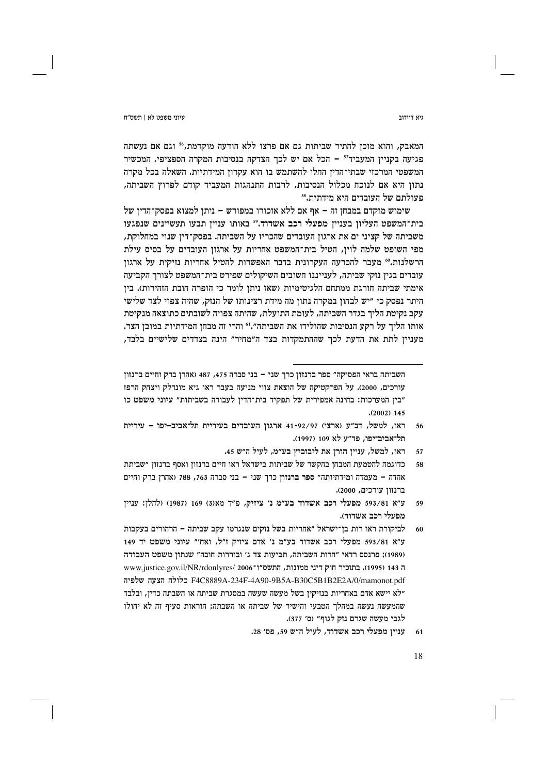המאבק, והוא מוכן להתיר שביתות גם אם פרצו ללא הודעה מוקדמת,50 וגם אם נעשתה פגיעה בקניין המעביד" - הכל אם יש לכך הצדקה בנסיבות המקרה הספציפי. המכשיר המשפטי המרכזי שבתי־הדין החלו להשתמש בו הוא עקרון המידתיות. השאלה בכל מקרה נתון היא אם לנוכח מכלול הנסיבות, לרבות התנהגות המעביד קודם לפרוץ השביתה, פעולתם של העובדים היא מידתית.88

שימוש מוקדם במבחן זה – אף אם ללא אזכורו במפורש – ניתן למצוא בפסק־הדין של בית־המשפט העליון בעניין מפעלי רכב אשדוד." באותו עניין תבעו תעשיינים שנפגעו משביתה של קציני ים את ארגון העובדים שהכריז על השביתה. בפסק־דין שנוי במחלוקת, מפי השופט שלמה לוין, הטיל בית־המשפט אחריות על ארגון העובדים על בסיס עילת הרשלנות.<sup>60</sup> מעבר להכרעה העקרונית בדבר האפשרות להטיל אחריות נזיקית על ארגון עובדים בגין נזקי שביתה, לענייננו חשובים השיקולים שפירט בית־המשפט לצורך הקביעה אימתי שביתה חורגת ממתחם הלגיטימיות (שאז ניתז לומר כי הופרה חובת הזהירות). ביז היתר נפסק כי ״יש לבחון במקרה נתון מה מידת רצינותו של הנזק, שהיה צפוי לצד שלישי עקב נקיטת הליך בגדר השביתה, לעומת התועלת, שהיתה צפויה לשובתים כתוצאה מנקיטת אותו הליך על רקע הנסיבות שהולידו את השביתה".<sup>61</sup> והרי זה מבחן המידתיות במובן הצר. מעניין לתת את הדעת לכך שההתמקדות בצד ה״מחיר״ הינה בצדדים שלישיים בלבד,

- ראו, למשל, ענייז הורז את ליבוביץ בע״מ, לעיל ה״ש 45.
- כדוגמה להטמעת המבחן בהקשר של שביתות בישראל ראו חיים ברנזון ואסף ברנזון ״שביתת אהדה - מעמדה ומידתיותה" ספר ברנזון כרך שני - בני סברה 763, 768 (אהרן ברק וחיים ברנזוז עורכים, 2000).
- ע״א 593/81 מפעלי רכב אשדוד בע״מ נ׳ ציזיק, פ״ד מא(3) 169 (1987) (להלן: עניין 59 מפעלי רכב אשדוד).
- לביקורת ראו רות בן־ישראל ״אחריות בשל נזקים שנגרמו עקב שביתה הרהורים בעקבות 60 ע״א 593/81 מפעלי רכב אשדוד בע״מ נ׳ אדם ציזיק ז״ל, ואח׳״ עיוני משפט יד 149 (1989); פרנסס רדאי "חרות השביתה, תביעות צד ג' ובוררות חובה" שנתון משפט העבודה ה 143 (1995). בתוכיר חוק דיני ממונות, התשס"ו־www.justice.gov.il/NR/rdonlyres/ 2006 F4C8889A-234F-4A90-9B5A-B30C5B1B2E2A/0/mamonot.pdf כלולה הצעה שלפיה "לא יישא אדם באחריות בנזיקין בשל מעשה שעשה במסגרת שביתה או השבתה כדין, ובלבד שהמעשה נעשה במהלך הטבעי והישיר של שביתה או השבתה; הוראות סעיף זה לא יחולו לגבי מעשה שגרם נזק לגוף" (ס' 377).
	- עניין מפעלי רכב אשדוד, לעיל ה"ש 59, פס' 28. 61

ויא דוידור

השביתה בראי הפסיקה" ספר ברנזון כרך שני - בני סברה 475, 487 (אהרן ברק וחיים ברנזון עורכים, 2000). על הפרקטיקה של הוצאת צווי מניעה בעבר ראו גיא מונדלק ויצחק הרפז "בין המערכות: בחינה אמפירית של תפקיד בית־הדין לעבודה בשביתות" עיוני משפט כו  $(2002)$  145

ראו, למשל, דב"ע (ארצי) 41-92/97 ארגון העובדים בעיריית תל־אביב-יפו – עיריית 56 תל־אביב־יפו, פד״ע לא 109 (1997).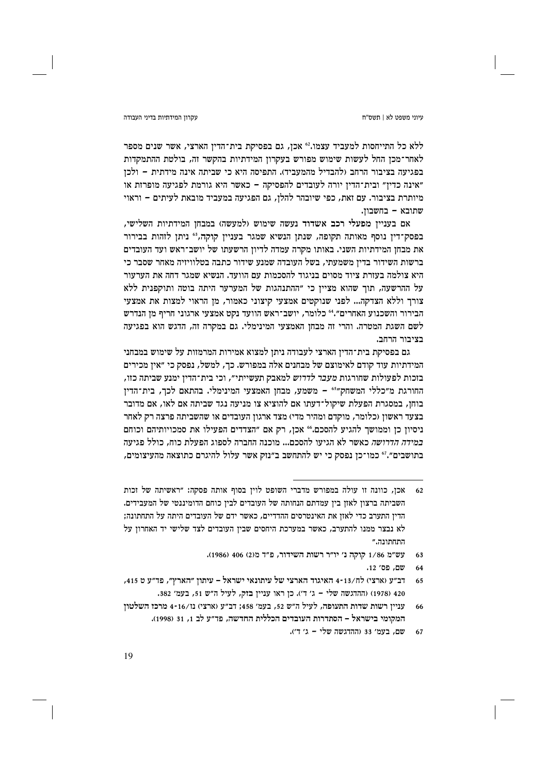עיוני משפט לא | תשס"ח

### עקרוו המידתיות בדיני העבודה

ללא כל התייחסות למעביד עצמו.<sup>62</sup> אכן, גם בפסיקת בית־הדין הארצי, אשר שנים מספר לאחר־מכן החל לעשות שימוש מפורש בעקרון המידתיות בהקשר זה, בולטת ההתמקדות בפגיעה בציבור הרחב (להבדיל מהמעביד). התפיסה היא כי שביתה אינה מידתית – ולכז ״אינה כדין״ ובית־הדין יורה לעובדים להפסיקה – כאשר היא גורמת לפגיעה מופרזת או מיותרת בציבור. עם זאת, כפי שיובהר להלן, גם הפגיעה במעביד מובאת לעיתים – וראוי שתובא - בחשבון.

אם בעניין מפעלי רכב אשדוד נעשה שימוש (למעשה) במבחן המידתיות השלישי, בפסק־דין נוסף מאותה תקופה, שנתן הנשיא שמגר בעניין קוקה, 63 ניתן לזהות בבירור את מבחן המידתיות השני. באותו מקרה עמדה לדיון הרשעתו של יושב־ראש ועד העובדים ברשות השידור בדין משמעתי, בשל העובדה שמנע שידור כתבה בטלוויזיה מאחר שסבר כי היא צולמה בעזרת ציוד מסוים בניגוד להסכמות עם הוועד. הנשיא שמגר דחה את הערעור על ההרשעה, תור שהוא מצייז כי ״ההתנהגות של המערער היתה בוטה ותוקפנית ללא צורך וללא הצדקה... לפני שנוקטים אמצעי קיצוני כאמור, מן הראוי למצות את אמצעי הבירור והשכנוע האחרים".46 כלומר, יושב־ראש הוועד נקט אמצעי ארגוני חריף מן הנדרש לשם השגת המטרה. והרי זה מבחן האמצעי המינימלי. גם במקרה זה, הדגש הוא בפגיעה בציבור הרחב.

גם בפסיקת בית־הדין הארצי לעבודה ניתן למצוא אמירות המרמזות על שימוש במבחני המידתיות עוד קודם לאימוצם של מבחנים אלה במפורש. כך, למשל, נפסק כי ״אין מכירים בזכות לפעולות שחורגות *מעבר לדרוש* למאבק תעשייתי״, וכי בית־הדין ימנע שביתה כזו, החורגת מ״כללי המשחק״י - משמע, מבחן האמצעי המינימלי. בהתאם לכך, בית־הדין בוחן, במסגרת הפעלת שיקול־דעתו אם להוציא צו מניעה נגד שביתה אם לאו, אם מדובר בצעד ראשון (כלומר, מוקדם ומהיר מדי) מצד ארגון העובדים או שהשביתה פרצה רק לאחר ניסיון כן וממושך להגיע להסכם." אכן, רק אם "הצדדים הפעילו את סמכויותיהם וכוחם *במידה הדרושה* כאשר לא הגיעו להסכם... מוכנה החברה לספוג הפעלת כוח, כולל פגיעה בתושבים״.<sup>ז</sup>° כמו־כן נפסק כי יש להתחשב ב״נזק אשר עלול להיגרם כתוצאה מהעיצומים,

אכז, כוונה זו עולה במפורש מדברי השופט לויז בסוף אותה פסקה: ״ראשיתה של זכות השביתה ברצון לאזן בין עמדתם הנחותה של העובדים לבין כוחם הדומיננטי של המעבידים. הדין התערב כדי לאזן את האינטרסים ההדדיים, כאשר ידם של העובדים היתה על התחתונה; לא נבצר ממנו להתערב, כאשר במערכת היחסים שבין העובדים לצד שלישי יד האחרון על התחתונה."

עש"מ 1/86 קוקה נ' יו"ר רשות השידור, פ"ד מ(2) 406 (1986). 63

שם, פס' 12.

רב״ע (ארצי) לח/13-14 האיגוד הארצי של עיתונאי ישראל – עיתון ״הארץ״, פד״ע ט 415, 65 420 (1978) (ההדגשה שלי - ג' ד'). כן ראו עניין בזק, לעיל ה"ש 51, בעמ' 382.

עניין רשות שדות התעופה, לעיל ה"ש 52, בעמ׳ 458; דב"ע (ארצי) נו/16-1 מרכז השלטון המקומי בישראל – הסתדרות העובדים הכללית החדשה, פד"ע לב 1, 31 (1998).

שם. בעמ' 33 (ההדגשה שלי – ג' ד'). 67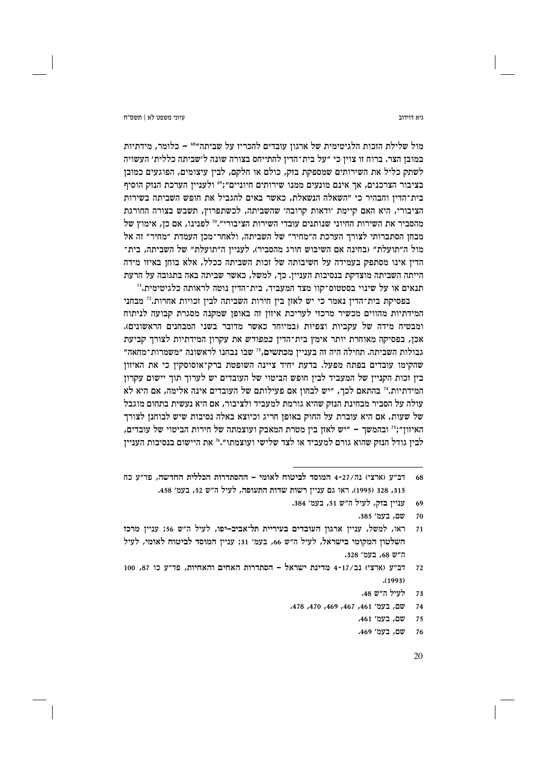גיא דוידור

מול שלילת הזכות הלגיטימית של ארגון עובדים להכריז על שביתה"<sup>66</sup> – כלומר, מידתיות במובן הצר. ברוח זו צוין כי "על בית־הדין להתייחס בצורה שונה ל׳שביתה כללית׳ העשויה לשתק כליל את השירותים שמספקת בזק, כולם או חלקם, לבין עיצומים, הפוגעים כמובן בציבור הצרכנים, אך אינם מונעים ממנו שירותים חיוניים":°° ולעניין הערכת הנזק הוסיף בית־הדיז והבהיר כי ״השאלה הנשאלת. כאשר באים להגביל את חופש השביתה בשירות הציבורי, היא האם קיימת 'ודאות קרובה' שהשביתה, לכשתפרוץ, תשבש בצורה החורגת מהסביר את השירות החיוני שנותנים עובדי השירות הציבורי״." לפנינו, אם כן, אימוץ של מבחן הסתברותי לצורך הערכת ה״מחיר״ של השביתה, ולאחר־מכן העמדת ״מחיר״ זה אל מול ה״תועלת״ (בחינה אם השיבוש חורג מהסביר). לעניין ה״תועלת״ של השביתה, בית־ הדין אינו מסתפק בעמידה על חשיבותה של זכות השביתה ככלל, אלא בוחן באיזו מידה הייתה השביתה מוצדקת בנסיבות העניין. כך, למשל, כאשר שביתה באה בתגובה על הרעת תנאים או על שינוי בסטטוס־קוו מצד המעביד, בית־הדיז נוטה לראותה כלגיטימית.''

בפסיקת בית־הדין נאמר כי יש לאזן בין חירות השביתה לבין זכויות אחרות.27 מבחני המידתיות מהווים מכשיר מרכזי לעריכת איזון זה באופן שמקנה מסגרת קבועה לניתוח ומבטיח מידה של עקביות וצפיות (במיוחד כאשר מדובר בשני המבחנים הראשונים). אכן, בפסיקה מאוחרת יותר אימץ בית־הדין *במפורש* את עקרון המידתיות לצורך קביעת גבולות השביתה. תחילה היה זה בעניין מכתשים, " שבו נבחנו לראשונה "משמרות־מחאה" שהקימו עובדים בפתח מפעל. בדעת יחיד ציינה השופטת ברק־אוסוסקין כי את האיזון בין זכות הקניין של המעביד לבין חופש הביטוי של העובדים יש לערוך תוך יישום עקרון המידתיות.<sup>24</sup> בהתאם לכך, "יש לבחון אם פעילותם של העובדים אינה אלימה, אם היא לא עולה על הסביר מבחינת הנזק שהיא גורמת למעביד ולציבור, אם היא נעשית בתחום מוגבל של שעות, אם היא עוברת על החוק באופן חריג וכיוצא באלה נסיבות שיש לבוחנן לצורך האיזון";<sup>35</sup> ובהמשך – "יש לאזן בין מטרת המאבק ועוצמתה של חירות הביטוי של עובדים, לבין גודל הנזק שהוא גורם למעביד או לצד שלישי ועוצמתו״.4° את היישום בנסיבות העניין

עניין בזק, לעיל ה״ש 51, בעמ׳ 384. 69

- לעיל ה״ש 48. 73
- שם, בעמ׳ 461, 467, 469, 470, 478.  $74$ 
	- שם, בעמ׳ 461.
	- שם. בעמ' 469. 76

דב"ע (ארצי) נה/27-4 המוסד לביטוח לאומי – ההסתדרות הכללית החדשה, פד"ע כח 68 315, 328 (1995). ראו גם עניין רשות שדות התעופה, לעיל ה"ש 52, בעמ' 458.

שם. בעמ׳ 385. 70

ראו, למשל, עניין ארגון העובדים בעיריית תל־אביב-יפו, לעיל ה"ש 56; עניין מרכז  $71$ השלטון המקומי בישראל, לעיל ה"ש 66, בעמ' 31; עניין המוסד לביטוח לאומי, לעיל ה"ש 68. בעמ' 328.

דב״ע (ארצי) נב/17-4 מדינת ישראל – הסתדרות האחים והאחיות, פד״ע כו 87, 100  $72$  $(1993)$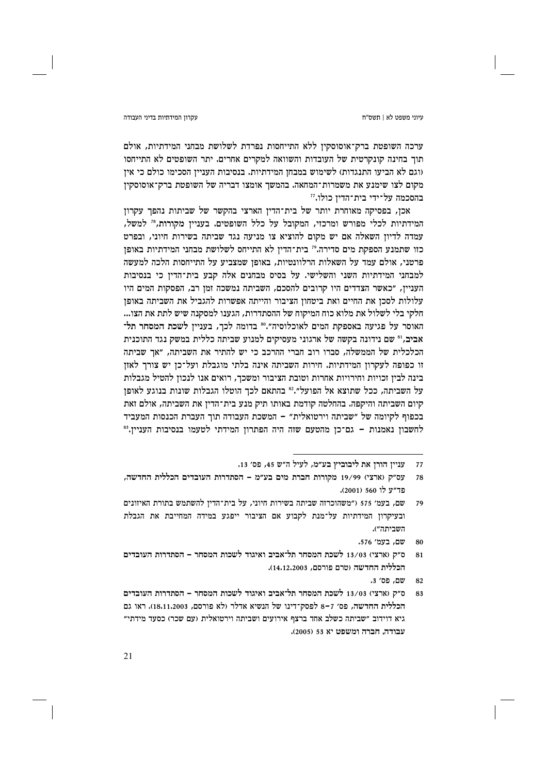### עקרוו המידתיות בדיני העבודה

ערכה השופטת ברק־אוסוסקין ללא התייחסות נפרדת לשלושת מבחני המידתיות, אולם תוך בחינה קונקרטית של העובדות והשוואה למקרים אחרים. יתר השופטים לא התייחסו ווגם לא הביעו התנגדות) לשימוש במבחז המידתיות. בנסיבות הענייז הסכימו כולם כי איז מקום לצו שימנע את משמרות־המחאה. בהמשך אומצו דבריה של השופטת ברק־אוסוסקין בהסכמה על־ידי בית־הדיז כולו.זז

אכן, בפסיקה מאוחרת יותר של בית־הדין הארצי בהקשר של שביתות נהפך עקרון המידתיות לכלי מפורש ומרכזי, המקובל על כלל השופטים. בעניין מקורות,<sup>78</sup> למשל, עמדה לדיון השאלה אם יש מקום להוציא צו מניעה נגד שביתה בשירות חיוני, ובפרט כזו שתמנע הספקת מים סדירה." בית־הדין לא התייחס לשלושת מבחני המידתיות באופן פרטני, אולם עמד על השאלות הרלוונטיות, באופן שמצביע על התייחסות הלכה למעשה למבחני המידתיות השני והשלישי. על בסיס מבחנים אלה קבע בית־הדין כי בנסיבות הענייז, ״כאשר הצדדים היו קרובים להסכם, השביתה נמשכה זמז רב, הפסקות המים היו עלולות לסכן את החיים ואת ביטחון הציבור והייתה אפשרות להגביל את השביתה באופן חלקי בלי לשלול את מלוא כוח המיקוח של ההסתדרות, הגענו למסקנה שיש לתת את הצו... האוסר על פגיעה באספקת המים לאוכלוסיה".80 בדומה לכך, בעניין לשכת המסחר תל־ אביב,<sup>81</sup> שם נידונה בקשה של ארגוני מעסיקים למנוע שביתה כללית במשק נגד התוכנית הכלכלית של הממשלה, סברו רוב חברי ההרכב כי יש להתיר את השביתה, "אך שביתה זו כפופה לעקרון המידתיות. חירות השביתה אינה בלתי מוגבלת ועל־כן יש צורך לאזן בינה לבין זכויות וחירויות אחרות וטובת הציבור ומשכך, רואים אנו לנכון להטיל מגבלות על השביתה, ככל שתוצא אל הפועל".<sup>82</sup> בהתאם לכך הוטלו הגבלות שונות בנוגע לאופן קיום השביתה והיקפה. בהחלטה קודמת באותו תיק מנע בית־הדין את השביתה, אולם זאת בכפוף לקיומה של "שביתה וירטואלית" – המשכת העבודה תוך העברת הכנסות המעביד לחשבון נאמנות – גם־כן מהטעם שזה היה הפתרון המידתי לטעמו בנסיבות העניין.<sup>83</sup>

עניין הורן את ליבוביץ בע״מ, לעיל ה״ש 45, פס׳ 13. 77

עס"ק (ארצי) 19/99 מקורות חברת מים בע"מ - הסתדרות העובדים הכללית החדשה, 78 פר"ע לו 560 (2001).

שם, בעמ׳ 575 ("משהוכרזה שביתה בשירות חיוני, על בית־הדין להשתמש בתורת האיזונים 79 ובעיקרון המידתיות על־מנת לקבוע אם הציבור ייפגע במידה המחייבת את הגבלת השביתה").

שם. בעמ' 576. 80

ס״ק (ארצי) 13/03 לשכת המסחר תל־אביב ואיגוד לשכות המסחר – הסתדרות העובדים  $\overline{81}$ הכללית החדשה (טרם פורסם, 14,12,2003).

שם. פס׳ 3. 82

ס״ק (ארצי) 13/03 לשכת המסחר תל־אביב ואיגוד לשכות המסחר - הסתדרות העובדים 83 הכללית החדשה, פס׳ 7–8 לפסק־דינו של הנשיא אדלר (לא פורסם, 18,11,2003). ראו גם גיא דוידוב "שביתה כשלב אחד ברצף אירועים ושביתה וירטואלית (עם שכר) כסעד מידתי" עבודה. חברה ומשפט יא 53 (2005).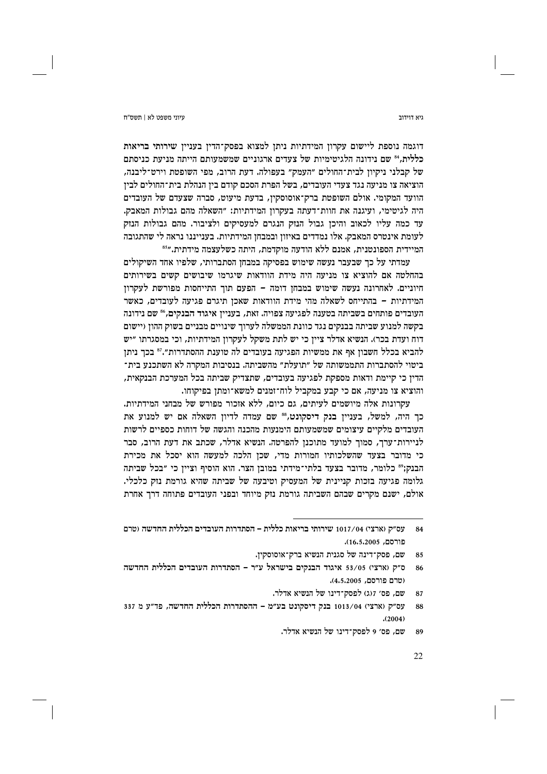דוגמה נוספת ליישום עקרון המידתיות ניתן למצוא בפסק־הדין בעניין שירותי בריאות כללית.84 שם נידונה הלגיטימיות של צעדים ארגוניים שמשמעותם הייתה מניעת כניסתם של קבלני ניקיון לבית־החולים ״העמק״ בעפולה. דעת הרוב, מפי השופטת וירט־ליבנה, הוציאה צו מניעה נגד צעדי העובדים, בשל הפרת הסכם קודם בין הנהלת בית־החולים לבין הוועד המקומי. אולם השופטת ברק־אוסוסקין, בדעת מיעוט, סברה שצעדם של העובדים היה לגיטימי, ועיגנה את חוות־דעתה בעקרון המידתיות: "השאלה מהם גבולות המאבק. עד כמה עליו לכאוב והיכן גבול הנזק הנגרם למעסיקים ולציבור. מהם גבולות הנזק לעומת אינטרס המאבק. אלו נמדדים באיזון ובמבחן המידתיות. בענייננו נראה לי שהתגובה המיידית הספונטנית, אמנם ללא הודעה מוקדמת, היתה כשלעצמה מידתית."<sup>55</sup>

עמדתי על כך שבעבר נעשה שימוש בפסיקה במבחן הסתברותי, שלפיו אחד השיקולים בהחלטה אם להוציא צו מניעה היה מידת הוודאות שיגרמו שיבושים קשים בשירותים חיוניים. לאחרונה נעשה שימוש במבחז דומה – הפעם תור התייחסות מפורשת לעקרוז המידתיות – בהתייחס לשאלה מהי מידת הוודאות שאכן תיגרם פגיעה לעובדים, כאשר העובדים פותחים בשביתה בטענה לפגיעה צפויה. זאת, בעניין איגוד הבנקים,<sup>86</sup> שם נידונה בקשה למנוע שביתה בבנקים נגד כוונת הממשלה לערוך שינויים מבניים בשוק ההון (יישום דוח ועדת בכר). הנשיא אדלר ציין כי יש לתת משקל לעקרון המידתיות, וכי במסגרתו "יש להביא בכלל חשבון אף את ממשיות הפגיעה בעובדים לה טוענת ההסתדרות".<sup>87</sup> בכך ניתן ביטוי להסתברות התממשותה של ״תועלת״ מהשביתה. בנסיבות המקרה לא השתכנע בית־ הדין כי קיימת ודאות מספקת לפגיעה בעובדים, שתצדיק שביתה בכל המערכת הבנקאית, והוציא צו מניעה, אם כי קבע במקביל לוח־זמנים למשא־ומתן בפיקוחו.

עקרונות אלה מיושמים לעיתים, גם כיום, ללא אזכור מפורש של מבחני המידתיות. כך היה, למשל, בעניין בנק דיסקונט,88 שם עמדה לדיון השאלה אם יש למנוע את העובדים מלקיים עיצומים שמשמעותם הימנעות מהכנה והגשה של דוחות כספיים לרשות לניירות־ערך, סמוך למועד מתוכנן להפרטה. הנשיא אדלר, שכתב את דעת הרוב, סבר כי מדובר בצעד שהשלכותיו חמורות מדי, שכן הלכה למעשה הוא יסכל את מכירת הבנק;" כלומר, מדובר בצעד בלתי־מידתי במובן הצר. הוא הוסיף וציין כי "בכל שביתה גלומה פגיעה בזכות קניינית של המעסיק וטיבעה של שביתה שהיא גורמת נזק כלכלי. אולם, ישנם מקרים שבהם השביתה גורמת נזק מיוחד ובפני העובדים פתוחה דרך אחרת

גיא דוידור

עס״ק (ארצי) 1017/04 שירותי בריאות כללית – הסתדרות העובדים הכללית החדשה (טרם 84 פורסם, 16,5,2005).

שם, פסק־דינה של סגנית הנשיא ברק־אוסוסקין. 85

ס"ק (ארצי) 53/05 איגוד הבנקים בישראל ע"ר - הסתדרות העובדים הכללית החדשה (טרם פורסם, 4.5.2005).

שם, פס׳ ז(ג) לפסק־דינו של הנשיא אדלר. 87

עס"ק (ארצי) 1013/04 בנק דיסקונט בע"מ - ההסתדרות הכללית החדשה, פד"ע מ 337 88  $(2004)$ 

שם, פס׳ 9 לפסק־דינו של הנשיא אדלר. 89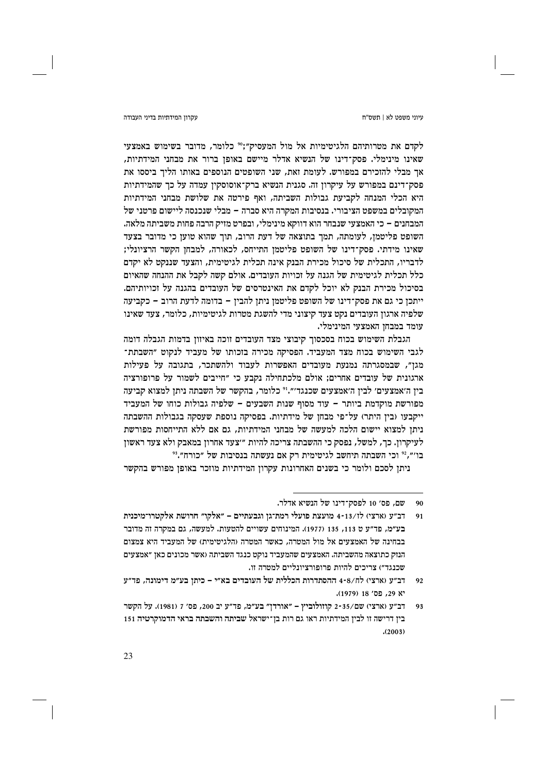עקרוו המידתיות בדיני העבודה

לקדם את מטרותיהם הלגיטימיות אל מול המעסיק";" כלומר, מדובר בשימוש באמצעי שאינו מינימלי. פסק־דינו של הנשיא אדלר מיישם באופן ברור את מבחני המידתיות, אר מבלי להזכירם במפורש. לעומת זאת, שני השופטים הנוספים באותו הליד ביססו את פסק־דינם במפורש על עיקרון זה. סגנית הנשיא ברק־אוסוסקין עמדה על כך שהמידתיות היא הכלי המנחה לקביעת גבולות השביתה, ואף פירטה את שלושת מבחני המידתיות המקובלים במשפט הציבורי. בנסיבות המקרה היא סברה – מבלי שנכנסה ליישום פרטני של המבחנים – כי האמצעי שנבחר הוא דווקא מינימלי, ובפרט מזיק הרבה פחות משביתה מלאה. השופט פליטמן, לעומתה, תמך בתוצאה של דעת הרוב, תוך שהוא טוען כי מדובר בצעד שאינו מידתי. פסק־דינו של השופט פליטמן התייחס, לכאורה, למבחן הקשר הרציונלי; לדבריו, התכלית של סיכול מכירת הבנק אינה תכלית לגיטימית, והצעד שננקט לא יקדם כלל תכלית לגיטימית של הגנה על זכויות העובדים. אולם קשה לקבל את ההנחה שהאיום בסיכול מכירת הבנק לא יוכל לקדם את האינטרסים של העובדים בהגנה על וכויותיהם. ייתכן כי גם את פסק־דינו של השופט פליטמן ניתן להבין – בדומה לדעת הרוב – כקביעה שלפיה ארגון העובדים נקט צעד קיצוני מדי להשגת מטרות לגיטימיות, כלומר, צעד שאינו עומד במבחו האמצעי המינימלי.

הגבלת השימוש בכוח בסכסוך קיבוצי מצד העובדים זוכה באיזון בדמות הגבלה דומה לגבי השימוש בכוח מצד המעביד. הפסיקה מכירה בזכותו של מעביד לנקוט ״השבתת־ מגז״, שבמסגרתה נמנעת מעובדים האפשרות לעבוד ולהשתכר, בתגובה על פעילות ארגונית של עובדים אחרים; אולם מלכתחילה נקבע כי "חייבים לשמור על פרופורציה בין ה׳אמצעים׳ לבין ה׳אמצעים שכנגד׳״.י° כלומר, בהקשר של השבתה ניתן למצוא קביעה מפורשת מוקדמת ביותר – עוד מסוף שנות השבעים – שלפיה גבולות כוחו של המעביד ייקבעו (בין היתר) על־פי מבחן של מידתיות. בפסיקה נוספת שעסקה בגבולות ההשבתה ניתן למצוא יישום הלכה למעשה של מבחני המידתיות, גם אם ללא התייחסות מפורשת לעיקרון. כך, למשל, נפסק כי ההשבתה צריכה להיות ״צעד אחרון במאבק ולא צעד ראשון בו׳״,2° וכי השבתה תיחשב לגיטימית רק אם נעשתה בנסיבות של ״כורח״.<sup>3</sup>°

ניתן לסכם ולומר כי בשנים האחרונות עקרון המידתיות מוזכר באופן מפורש בהקשר

שם, פס׳ 10 לפסק־דינו של הנשיא אדלר. 90

דב"ע (ארצי) לז/13-14 מועצת פועלי רמת־גן וגבעתיים – "אלקו" חרושת אלקטרו־מיכנית  $91$ בע״מ, פד״ע ט 113, 135 (1977). המינוחים עשויים להטעות. למעשה, גם במקרה זה מדובר בבחינה של האמצעים אל מול המטרה. כאשר המטרה (הלגיטימית) של המעביד היא צמצום הנזק כתוצאה מהשביתה. האמצעים שהמעביד נוקט כנגד השביתה (אשר מכונים כאן ״אמצעים שכנגד") צריכים להיות פרופורציונליים למטרה זו.

דב״ע (ארצי) לח/4-8 ההסתדרות הכללית של העובדים בא״י – כיתן בע״מ דימונה, פד״ע  $92$ יא 29. פס׳ 18 (1979).

דב"ע (ארצי) שם/35-2 קוזולוביץ – "אורדן" בע"מ, פד"ע יב 200, פס' 7 (1981). על הקשר  $93$ בין דרישה זו לבין המידתיות ראו גם רות בן־ישראל שביתה והשבתה בראי הדמוקרטיה 151  $(2003)$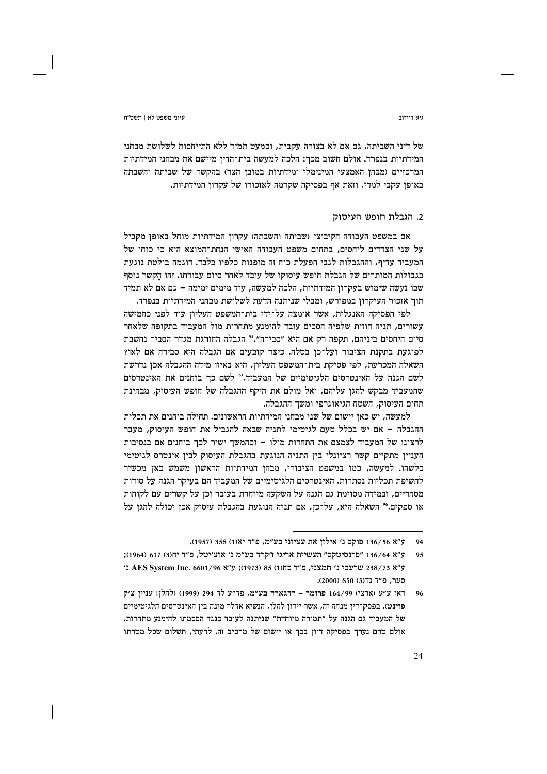של דיני השביתה, גם אם לא בצורה עקבית, וכמעט תמיד ללא התייחסות לשלושת מבחני המידתיות בנפרד. אולם חשוב מכך: הלכה למעשה בית־הדין מיישם את מבחני המידתיות המרכזיים (מבחז האמצעי המינימלי ומידתיות במובז הצר) בהקשר של שביתה והשבתה באופן עקבי למדי, וזאת אף בפסיקה שקדמה לאזכורו של עקרון המידתיות.

# 2. הגבלת חופש העיסוק

אם במשפט העבודה הקיבוצי (שביתה והשבתה) עקרון המידתיות מוחל באופן מקביל על שני הצדדים ליחסים. בתחום משפט העבודה האישי הנחת־המוצא היא כי כוחו של המעביד עדיף, וההגבלות לגבי הפעלת כוח זה מופנות כלפיו בלבד. דוגמה בולטת נוגעת בגבולות המותרים של הגבלת חופש עיסוקו של עובד לאחר סיום עבודתו. זהו הקשר נוסף שבו נעשה שימוש בעקרוז המידתיות, הלכה למעשה, עוד מימים ימימה – גם אם לא תמיד תוך אזכור העיקרון במפורש, ומבלי שניתנה הדעת לשלושת מבחני המידתיות בנפרד.

לפי הפסיקה האנגלית, אשר אומצה על־ידי בית־המשפט העליון עוד לפני כחמישה עשורים, תניה חוזית שלפיה הסכים עובד להימנע מתחרות מול המעביד בתקופה שלאחר סיום היחסים ביניהם, תקפה רק אם היא "סבירה".<sup>24</sup> הגבלה החורגת מגדר הסביר נחשבת לפוגעת בתקנת הציבור ועל־כן בטלה. כיצד קובעים אם הגבלה היא סבירה אם לאו? השאלה המכרעת, לפי פסיקת בית־המשפט העליון, היא באיזו מידה ההגבלה אכן נדרשת לשם הגנה על האינטרסים הלגיטימיים של המעביד.50 לשם כך בוחנים את האינטרסים שהמעביד מבקש להגן עליהם, ואל מולם את היקף ההגבלה של חופש העיסוק, מבחינת תחום העיסוק, השטח הגיאוגרפי ומשר ההגבלה.

למעשה, יש כאן יישום של שני מבחני המידתיות הראשונים. תחילה בוחנים את תכלית ההגבלה – אם יש בכלל טעם לגיטימי לתניה שבאה להגביל את חופש העיסוק, מעבר לרצונו של המעביד לצמצם את התחרות מולו – וכהמשך ישיר לכך בוחנים אם בנסיבות העניין מתקיים קשר רציונלי בין התניה הנוגעת בהגבלת העיסוק לבין אינטרס לגיטימי כלשהו. למעשה, כמו במשפט הציבורי, מבחן המידתיות הראשון משמש כאן מכשיר לחשיפת תכליות נסתרות. האינטרסים הלגיטימיים של המעביד הם בעיקר הגנה על סודות מסחריים, ובמידה מסוימת גם הגנה על השקעה מיוחדת בעובד וכן על קשרים עם לקוחות או ספקים.<sup>26</sup> השאלה היא, על־כן, אם תניה הנוגעת בהגבלת עיסוק אכן יכולה להגן על

ראו ע״ע (ארצי) 164/99 פרומר - רדגארד בע״מ, פד״ע לד 294 (1999) (להלן: עניין צ׳ק 96 פוינט). בפסק־דין מנחה זה, אשר יידון להלן, הנשיא אדלר מונה בין האינטרסים הלגיטימיים של המעביד גם הגנה על ״תמורה מיוחדת״ שניתנה לעובד כנגד הסכמתו להימנע מתחרות. אולם טרם נערך בפסיקה דיון בכך או יישום של מרכיב זה. לדעתי, תשלום שכל מטרתו

גיא דוידור

ע״א 136/56 פוקס נ׳ אילון את עציוני בע״מ, פ״ד יאוו) 358 (1957). 94

ע״א 136/64 "פרנסיטקס" תעשיית אריגי ז׳קרד בע״מ נ׳ אוצ׳יטל, פ״ד יחונז) 617 (1964); 95 נ׳ AES System Inc. 6601/96 מ״ץ (1973) 85 (11973) ע״א 238/73 238/73 נ׳ סער, פ"ד נד(3) 850 (2000).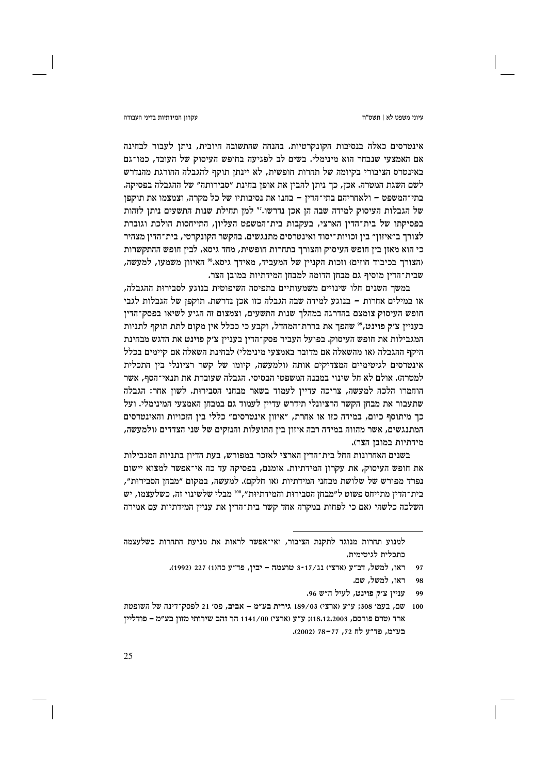### עקרוו המידתיות בדיני העבודה

אינטרסים כאלה בנסיבות הקונקרטיות. בהנחה שהתשובה חיובית, ניתן לעבור לבחינה אם האמצעי שנבחר הוא מינימלי. בשים לב לפגיעה בחופש העיסוק של העובד, כמו־גם באינטרס הציבורי בקיומה של תחרות חופשית, לא יינתן תוקף להגבלה החורגת מהנדרש לשם השגת המטרה. אכן, כך ניתן להבין את אופן בחינת "סבירותה" של ההגבלה בפסיקה. בתי־המשפט – ולאחריהם בתי־הדין – בחנו את נסיבותיו של כל מקרה, וצמצמו את תוקפן של הגבלות העיסוק למידה שבה הן אכן נדרשו." למן תחילת שנות התשעים ניתן לזהות בפסיקתו של בית־הדין הארצי, בעקבות בית־המשפט העליון, התייחסות הולכת וגוברת לצורך ב״איזון״ בין זכויות־יסוד ואינטרסים מתנגשים. בהקשר הקונקרטי, בית־הדין מצהיר כי הוא מאזן בין חופש העיסוק והצורך בתחרות חופשית, מחד גיסא, לבין חופש ההתקשרות (הצורך בכיבוד חוזים) וזכות הקניין של המעביד, מאידך גיסא.8° האיזון משמעו, למעשה, שבית־הדין מוסיף גם מבחן הדומה למבחן המידתיות במובן הצר.

במשר השנים חלו שינויים משמעותיים בתפיסה השיפוטית בנוגע לסבירות ההגבלה. או במילים אחרות – בנוגע למידה שבה הגבלה כזו אכן נדרשת. תוקפן של הגבלות לגבי חופש העיסוק צומצם בהדרגה במהלך שנות התשעים, וצמצום זה הגיע לשיאו בפסק־הדין בעניין צ׳ק פוינט," שהפך את בררת־המחדל, וקבע כי ככלל אין מקום לתת תוקף לתניות המגבילות את חופש העיסוק. בפועל העביר פסק־הדין בעניין צ׳ק פוינט את הדגש מבחינת היקף ההגבלה (או מהשאלה אם מדובר באמצעי מינימלי) לבחינת השאלה אם קיימים בכלל אינטרסים לגיטימיים המצדיקים אותה (ולמעשה, קיומו של קשר רציונלי בין התכלית למטרה). אולם לא חל שינוי במבנה המשפטי הבסיסי. הגבלה שעוברת את תנאי־הסף, אשר הוחמרו הלכה למעשה, צריכה עדיין לעמוד בשאר מבחני הסבירות. לשון אחר: הגבלה שתעבור את מבחן הקשר הרציונלי תידרש עדיין לעמוד גם במבחן האמצעי המינימלי. ועל כך מיתוסף כיום, במידה כזו או אחרת, "איזון אינטרסים" כללי בין הזכויות והאינטרסים המתנגשים, אשר מהווה במידה רבה איזון בין התועלות והנזקים של שני הצדדים (ולמעשה, מידתיות במובן הצר).

בשנים האחרונות החל בית־הדין הארצי לאזכר במפורש, בעת הדיון בתניות המגבילות את חופש העיסוק, את עקרון המידתיות. אומנם, בפסיקה עד כה אי־אפשר למצוא יישום נפרד מפורש של שלושת מבחני המידתיות (או חלקם). למעשה, במקום ״מבחז הסבירות״, בית־הדין מתייחס פשוט ל״מבחן הסבירות והמידתיות״,™ מבלי שלשינוי זה, כשלעצמו, יש השלכה כלשהי (אם כי לפחות במקרה אחד קשר בית־הדין את עניין המידתיות עם אמירה

עניין צ׳ק פוינט, לעיל ה״ש 96. 99

למנוע תחרות מנוגד לתקנת הציבור, ואי־אפשר לראות את מניעת התחרות כשלעצמה כתכלית לגיטימית.

ראו, למשל, דב״ע (ארצי) נג/17-3 טועמה – יבין, פד״ע כה(1) 227 (1992).  $97$ 

ראו, למשל, שם. 98

<sup>100</sup> שם, בעמ' 308; ע״ע (ארצי) 189/03 גירית בע״מ – אביב, פס׳ 21 לפסק־דינה של השופטת ארד (טרם פורסם, 18.12.2003); ע"ע (ארצי) 1141/00 הר זהב שירותי מזון בע"מ – פודליין בע״מ. פּד״ע לח 72. 77-78 (2002).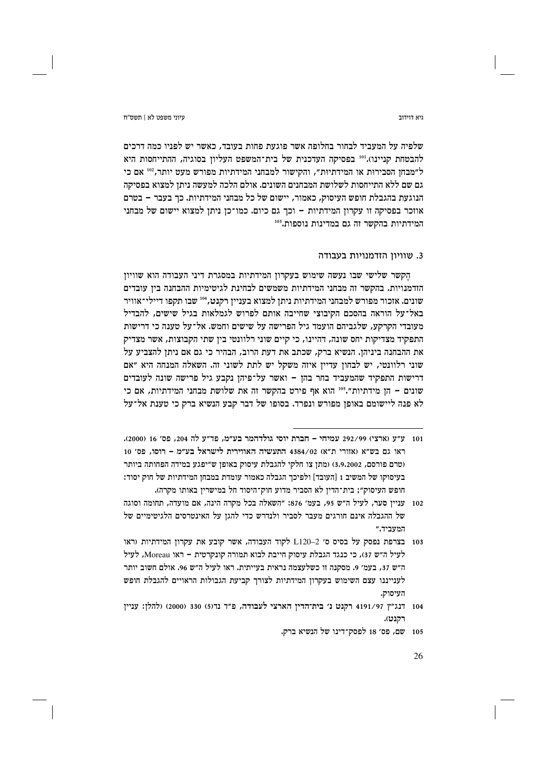ויא דוידור

ויווי משפט לא L חשס"ח

שלפיה על המעביד לבחור בחלופה אשר פוגעת פחות בעובד, כאשר יש לפניו כמה דרכים להבטחת קניינו).<sup>101</sup> בפסיקה העדכנית של בית־המשפט העליון בסוגיה, ההתייחסות היא ל״מבחז הסבירות או המידתיות״, והקישור למבחני המידתיות מפורש מעט יותר,202 אם כי גם שם ללא התייחסות לשלושת המבחנים השונים. אולם הלכה למעשה ניתן למצוא בפסיקה הנוגעת בהגבלת חופש העיסוק, כאמור, יישום של כל מבחני המידתיות. כך בעבר – בטרם אוזכר בפסיקה זו עקרון המידתיות – וכך גם כיום. כמו־כן ניתן למצוא יישום של מבחני המידתיות בהקשר זה גם במדינות נוספות.<sup>103</sup>

# 3. שוויון הזדמנויות בעבודה

הֵקשר שלישי שבו נעשה שימוש בעקרון המידתיות במסגרת דיני העבודה הוא שוויון הזדמנויות. בהקשר זה מבחני המידתיות משמשים לבחינת לגיטימיות ההבחנה ביז עובדים שונים. אזכור מפורש למבחני המידתיות ניתן למצוא בעניין רקנט, 104 שבו תקפו דיילי־אוויר באל־על הוראה בהסכם הקיבוצי שחייבה אותם לפרוש לגמלאות בגיל שישים, להבדיל מעובדי הקרקע, שלגביהם הועמד גיל הפרישה על שישים וחמש. אל־על טענה כי דרישות התפקיד מצדיקות יחס שונה, דהיינו, כי קיים שוני רלוונטי בין שתי הקבוצות, אשר מצדיק את ההבחנה ביניהן. הנשיא ברק, שכתב את דעת הרוב, הבהיר כי גם אם ניתן להצביע על שוני רלוונטי, יש לבחון עדיין איזה משקל יש לתת לשוני זה. השאלה המנחה היא ״אם דרישות התפקיד שהמעביד בחר בהן – ואשר על־פיהן נקבע גיל פרישה שונה לעובדים שונים – הן מידתיות".<sup>105</sup> הוא אף פירט בהקשר זה את שלושת מבחני המידתיות, אם כי לא פנה ליישומם באופז מפורש ונפרד. בסופו של דבר קבע הנשיא ברק כי טענת אל־על

<sup>101 -</sup> ע״ע (ארצי) 292/99 עמיחי – חברת יוסי גולדהמר בע״מ, פד״ע לה 204, פס׳ 16 (2000). ראו גם בש״א (אזורי ת״א) 4384/02 התעשיה האווירית לישראל בע״מ – רוסו, פס׳ 10 (טרם פורסם, 3,9,2002) (מתן צו חלקי להגבלת עיסוק באופן ש״יפגע במידה הפחותה ביותר בעיסוקו של המשיב 1 [העובד] ולפיכך הגבלה כאמור עומדת במבחן המידתיות של חוק יסוד: חופש העיסוק״: בית־הדיז לא הסביר מדוע חוק־היסוד חל במישריז באותו מקרה).

<sup>102 -</sup> עניין סער, לעיל ה"ש 95, בעמ' 376: "השאלה בכל מקרה הינה, אם מועדה, תחומה וסוגה של ההגבלה אינם חורגים מעבר לסביר ולנדרש כדי להגן על האינטרסים הלגיטימיים של המעביד."

<sup>103</sup> בצרפת נפסק על בסיס ס׳ L120–2 לקוד העבודה, אשר קובע את עקרון המידתיות (ראו לעיל ה״ש 37), כי כנגד הגבלת עיסוק חייבת לבוא תמורה קונקרטית – ראו Moreau, לעיל ה"ש 37, בעמ' 9. מסקנה זו כשלעצמה נראית בעייתית. ראו לעיל ה"ש 96. אולם חשוב יותר לענייננו עצם השימוש בעקרון המידתיות לצורך קביעת הגבולות הראויים להגבלת חופש העיסוק.

<sup>104 -</sup> דנג"ץ 191/97 רקנט נ' בית־הדין הארצי לעבודה, פ"ד נד(5) 330 (2000) (להלן: עניין רקנט).

<sup>105</sup> שם, פס׳ 18 לפסק־דינו של הנשיא ברק.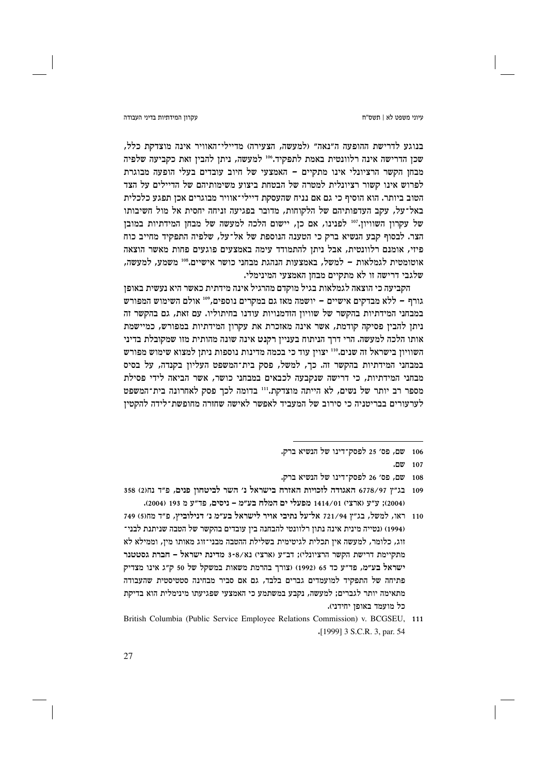### עקרוו המידתיות בדיני העבודה

בנוגע לדרישת ההופעה ה"נאה" (למעשה, הצעירה) מדיילי־האוויר אינה מוצדקת כלל, שכן הדרישה אינה רלוונטית באמת לתפקיד.80 למעשה, ניתן להבין זאת כקביעה שלפיה מבחז הקשר הרציונלי אינו מתקיים – האמצעי של חיוב עובדים בעלי הופעה מבוגרת לפרוש אינו קשור רציונלית למטרה של הבטחת ביצוע משימותיהם של הדיילים על הצד הטוב ביותר. הוא הוסיף כי גם אם נניח שהעסקת דיילי־אוויר מבוגרים אכן תפגע כלכלית באל־על, עקב העדפותיהם של הלקוחות, מדובר בפגיעה זניחה יחסית אל מול חשיבותו של עקרון השוויון."<sup>10</sup> לפנינו, אם כן, יישום הלכה למעשה של מבחן המידתיות במובן הצר. לבסוף קבע הנשיא ברק כי הטענה הנוספת של אל־על, שלפיה התפקיד מחייב כוח פיזי, אומנם רלוונטית, אבל ניתן להתמודד עימה באמצעים פוגעים פחות מאשר הוצאה אוטומטית לגמלאות – למשל, באמצעות הנהגת מבחני כושר אישיים.800 משמע, למעשה, שלגבי דרישה זו לא מתקיים מבחן האמצעי המינימלי.

הקביעה כי הוצאה לגמלאות בגיל מוקדם מהרגיל אינה מידתית כאשר היא נעשית באופז גורף – ללא מבדקים אישיים – יושמה מאז גם במקרים נוספים, 109 אולם השימוש המפורש במבחני המידתיות בהקשר של שוויון הזדמנויות עודנו בחיתוליו. עם זאת, גם בהקשר זה ניתן להבין פסיקה קודמת, אשר אינה מאזכרת את עקרון המידתיות במפורש, כמיישמת אותו הלכה למעשה. הרי דרך הניתוח בעניין רקנט אינה שונה מהותית מזו שמקובלת בדיני השוויון בישראל זה שנים."" יצוין עוד כי בכמה מדינות נוספות ניתן למצוא שימוש מפורש במבחני המידתיות בהקשר זה. כך, למשל, פסק בית־המשפט העליון בקנדה, על בסיס מבחני המידתיות, כי דרישה שנקבעה לכבאים במבחני כושר, אשר הביאה לידי פסילת מספר רב יותר של נשים, לא הייתה מוצדקת."" בדומה לכך פסק לאחרונה בית־המשפט לערעורים בבריטניה כי סירוב של המעביד לאפשר לאישה שחזרה מחופשת־לידה להקטין

- 106 שם, פס׳ 25 לפסק־דינו של הנשיא ברק.
	- $.007$  107
- 108 שם, פס׳ 26 לפסק־דינו של הנשיא ברק.
- 109 בג״ץ 6778/97 האגודה לזכויות האזרח בישראל נ׳ השר לביטחון פנים, פ״ד נח(2) 358 (2004); ע״ע (ארצי) 1414/01 מפעלי ים המלח בע״מ - ניסים, פד״ע מ 193 (2004).
- 110 ראו, למשל, בג״ץ 721/94 אל־על נתיבי אויר לישראל בע״מ נ׳ דנילוביץ, פ״ד מחו6) 749 (1994) (נטייה מינית אינה נתון רלוונטי להבחנה בין עובדים בהקשר של הטבה שניתנת לבני־ זוג, כלומר, למעשה אין תכלית לגיטימית בשלילת ההטבה מבני־זוג מאותו מין, וממילא לא מתקיימת דרישת הקשר הרציונלי); דב״ע (ארצי) נא/8-8 מדינת ישראל – חברת גסטטנר ישראל בע״מ, פד״ע כד 65 (1992) (צורך בהרמת משאות במשקל של 50 ק״ג אינו מצדיק פתיחה של התפקיד למועמדים גברים בלבד, גם אם סביר מבחינה סטטיסטית שהעבודה מתאימה יותר לגברים; למעשה, נקבע במשתמע כי האמצעי שפגיעתו מינימלית הוא בדיקת כל מועמד באופן יחידני).
- British Columbia (Public Service Employee Relations Commission) v. BCGSEU, 111 .[1999] 3 S.C.R. 3, par. 54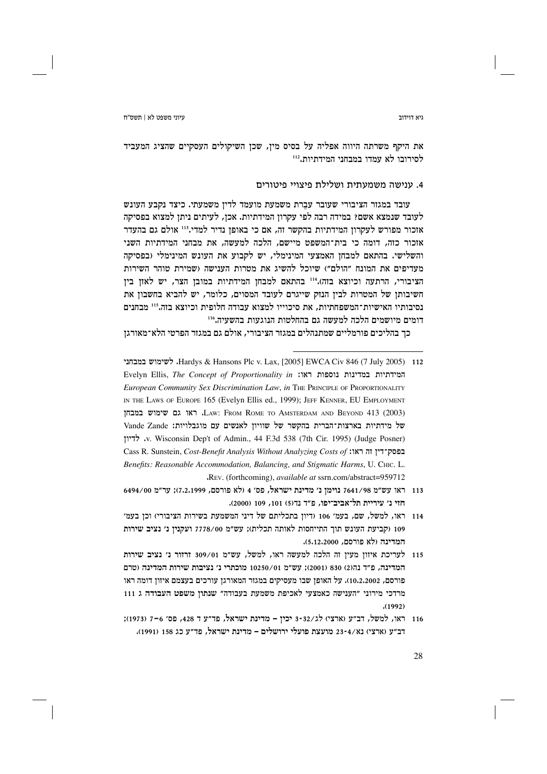#### ויא דוידור

את היקף משרתה היווה אפליה על בסיס מין, שכן השיקולים העסקיים שהציג המעביד לסירובו לא עמדו במבחני המידתיות.<sup>112</sup>

# 4. ענישה משמעתית ושלילת פיצויי פיטורים

עובד במגזר הציבורי שעובר עברת משמעת מועמד לדין משמעתי. כיצד נקבע העונש לעובד שנמצא אשם? במידה רבה לפי עקרון המידתיות. אכן, לעיתים ניתן למצוא בפסיקה אזכור מפורש לעקרוז המידתיות בהקשר זה, אם כי באופז נדיר למדי.<sup>113</sup> אולם גם בהעדר אזכור כזה, דומה כי בית־המשפט מיישם, הלכה למעשה, את מבחני המידתיות השני והשלישי. בהתאם למבחן האמצעי המינימלי, יש לקבוע את העונש המינימלי (בפסיקה מעדיפים את המונח ״הולם״) שיוכל להשיג את מטרות הענישה (שמירת טוהר השירות הציבורי, הרתעה וכיוצא בזה)."" בהתאם למבחן המידתיות במובן הצר, יש לאזן בין חשיבותן של המטרות לבין הנזק שייגרם לעובד המסוים, כלומר, יש להביא בחשבון את נסיבותיו האישיות־המשפחתיות. את סיכוייו למצוא עבודה חלופית וכיוצא בזה.115 מבחנים דומים מיושמים הלכה למעשה גם בהחלטות הנוגעות בהשעיה.116

כך בהליכים פורמליים שמתנהלים במגזר הציבורי, אולם גם במגזר הפרטי הלא־מאורגן

- Hardys & Hansons Plc v. Lax, [2005] EWCA Civ 846 (7 July 2005) 112. לשימוש במבחני Evelyn Ellis, The Concept of Proportionality in :המידתיות במדינות נוספות ראו: European Community Sex Discrimination Law, in THE PRINCIPLE OF PROPORTIONALITY IN THE LAWS OF EUROPE 165 (Evelyn Ellis ed., 1999); JEFF KENNER, EU EMPLOYMENT LAW: FROM ROME TO AMSTERDAM AND BEYOND 413 (2003). ראו גם שימוש במבחז של מידתיות בארצות־הברית בהקשר של שוויון לאנשים עם מוגבלויות: Vande Zande v. Wisconsin Dep't of Admin., 44 F.3d 538 (7th Cir. 1995) (Judge Posner). לדיון Cass R. Sunstein, Cost-Benefit Analysis Without Analyzing Costs of :הו: Cass R. Sunstein, Cost-Benefit Analysis Without Analyzing Costs of Benefits: Reasonable Accommodation, Balancing, and Stigmatic Harms, U. CHIC. L. REV. (forthcoming), available at ssrn.com/abstract=959712
- 113 ראו עש״מ 7641/98 נוימו נ׳ מדינת ישראל, פס׳ 4 (לא פורסם, 7.2.1999): ער״מ 6494/00 חזי נ׳ עיריית תל־אביב־יפו, פ״ד נד(5) 101, 109 (2000).
- 114 ראו, למשל, שם, בעמ׳ 106 (דיון בתכליתם של דיני המשמעת בשירות הציבורי) וכן בעמ׳ 109 (קביעת העונש תוך התייחסות לאותה תכלית); עש״מ 7778/00 ועקנין נ׳ נציב שירות המדינה (לא פורסם, 5,12,2000).
- 115 לעריכת איזון מעין זה הלכה למעשה ראו, למשל, עש״מ 309/01 זרזור נ׳ נציב שירות המדינה, פ"ד נה(2) 830 (2001): עש"מ 10250/01 מוכתרי נ' נציבות שירות המדינה (טרם פורסם, 10،2،2002). על האופן שבו מעסיקים במגזר המאורגן עורכים בעצמם איזון דומה ראו מרדכי מירוני "הענישה כאמצעי לאכיפת משמעת בעבודה" שנתון משפט העבודה ג 111  $(1992)$
- 116 ראו, למשל, דב״ע (ארצי) לג/35-3 יכין מדינת ישראל, פד״ע ד 428, פס׳ 6-7 (1973); דב״ע (ארצי) נא/4-23 מועצת פועלי ירושלים – מדינת ישראל, פד״ע כג 158 (1991).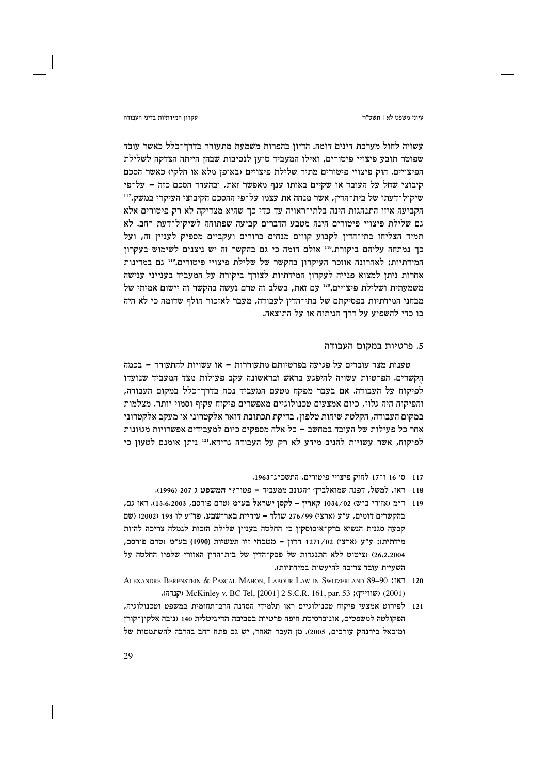עקרוו המידתיות בדיני העבודה

עשויה לחול מערכת דינים דומה. הדיון בהפרות משמעת מתעורר בדרך־כלל כאשר עובד שפוטר תובע פיצויי פיטורים, ואילו המעביד טוען לנסיבות שבהן הייתה הצדקה לשלילת הפיצויים. חוק פיצויי פיטורים מתיר שלילת פיצויים (באופז מלא או חלקי) כאשר הסכם קיבוצי שחל על העובד או שקיים באותו ענף מאפשר זאת, ובהעדר הסכם כזה - על־פי שיקול־דעתו של בית־הדין, אשר מנחה את עצמו על־פי ההסכם הקיבוצי העיקרי במשק.<sup>117</sup> הקביעה איזו התנהגות הינה בלתי־ראויה עד כדי כך שהיא מצדיקה לא רק פיטורים אלא גם שלילת פיצויי פיטורים הינה מטבע הדברים קביעה שפתוחה לשיקול־דעת רחב. לא תמיד הצליחו בתי־הדין לקבוע קווים מנחים ברורים ועקביים מספיק לעניין זה, ועל כך נמתחה עליהם ביקורת.118 אולם דומה כי גם בהקשר זה יש ניצנים לשימוש בעקרון המידתיות; לאחרונה אוזכר העיקרון בהקשר של שלילת פיצויי פיטורים.<sup>119</sup> גם במדינות אחרות ניתן למצוא פנייה לעקרון המידתיות לצורך ביקורת על המעביד בענייני ענישה משמעתית ושלילת פיצויים.120 עם זאת, בשלב זה טרם נעשה בהקשר זה יישום אמיתי של מבחני המידתיות בפסיקתם של בתי־הדין לעבודה, מעבר לאזכור חולף שדומה כי לא היה בו כדי להשפיע על דרך הניתוח או על התוצאה.

# 5. פרטיות במקום העבודה

טענות מצד עובדים על פגיעה בפרטיותם מתעוררות – או עשויות להתעורר – בכמה הקשרים. הפרטיות עשויה להיפגע בראש ובראשונה עקב פעולות מצד המעביד שנועדו לפיקוח על העבודה. אם בעבר מפקח מטעם המעביד נכח בדרך־כלל במקום העבודה, והפיקות היה גלוי, כיום אמצעים טכנולוגיים מאפשרים פיקות עקיף וסמוי יותר. מצלמות במקום העבודה, הקלטת שיחות טלפון, בדיקת תכתובת דואר אלקטרוני או מעקב אלקטרוני אחר כל פעילות של העובד במחשב – כל אלה מספקים כיום למעבידים אפשרויות מגוונות לפיקוח, אשר עשויות להניב מידע לא רק על העבודה גרידא."<sup>121</sup> ניתן אומנם לטעון כי

<sup>117 0&#</sup>x27; 16 ו־17 לחוק פיצויי פיטורים, התשכ״ג־1963.

<sup>118 –</sup> ראו, למשל, דפנה שמואלביץ׳ ״הגונב ממעביד – פטור?״ המשפט ג 207 (1996).

<sup>119 -</sup> ד״מ (אזורי ב״ש) 1034/02 קארין – לקסן ישראל בע״מ (טרם פורסם, 15.6.2003). ראו גם, בהקשרים דומים, ע״ע (ארצי) 276/99 שולר - עיריית באר־שבע, פד״ע לו 193 (2002) (שם קבעה סגנית הנשיא ברק־אוסוסקין כי החלטה בעניין שלילת הזכות לגמלה צריכה להיות  $(1990)$ בע״ע ושרם מורסם, מידתית)<br/>; ובע״מ כורסם מידתית); מידתית) 26.2.2004) (ציטוט ללא התנגדות של פסק־הדין של בית־הדין האזורי שלפיו החלטה על השעיית עובד צריכה להיעשות במידתיות).

ALEXANDRE BERENSTEIN & PASCAL MAHON, LABOUR LAW IN SWITZERLAND 89-90 181 120 (קנדה); McKinley v. BC Tel, [2001] 2 S.C.R. 161, par. 53 (קנדה).

<sup>121</sup> לפירוט אמצעי פיקוח טכנולוגיים ראו תלמידי הסדנה הרב־תחומית במשפט וטכנולוגיה, הפקולטה למשפטים, אוניברסיטת חיפה פרטיות בסביבה הדיגיטלית 140 (ניבה אלקין־קורן ומיכאל בירנהק עורכים, 2005). מן העבר האחר, יש גם פתח רחב בהרבה להשתמטות של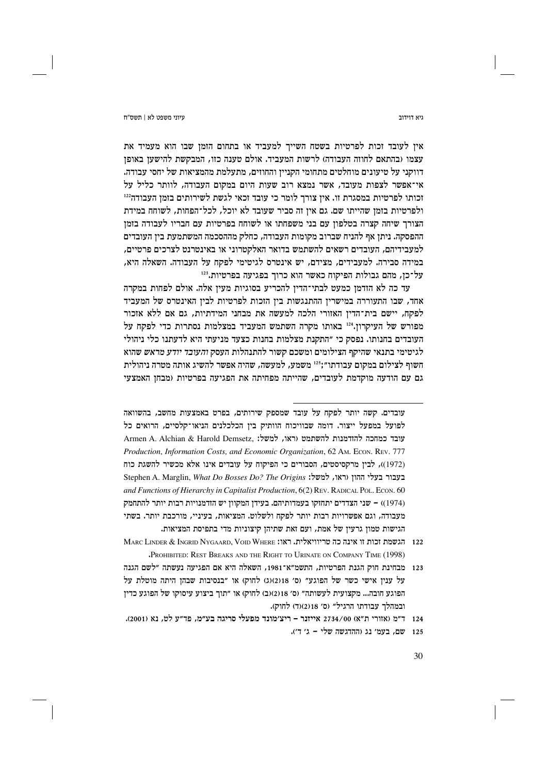ויא דוידור

אין לעובד זכות לפרטיות בשטח השייך למעביד או בתחום הזמן שבו הוא מעמיד את עצמו (בהתאם לחוזה העבודה) לרשות המעביד. אולם טענה כזו, המבקשת להישעו באופז דווקני על טיעונים מוחלטים מתחומי הקנייז והחוזים, מתעלמת מהמציאות של יחסי עבודה. אי־אפשר לצפות מעובד, אשר נמצא רוב שעות היום במקום העבודה, לוותר כליל על זכותו לפרטיות במסגרת זו. אין צורך לומר כי עובד זכאי לגשת לשירותים בזמן העבודה<sup>112</sup> ולפרטיות בזמן שהייתו שם. גם אין זה סביר שעובד לא יוכל, לכל־הפחות, לשוחח במידת הצורך שיחה קצרה בטלפון עם בני משפחתו או לשוחח בפרטיות עם חבריו לעבודה בזמן ההפסקה. ניתן אף להניח שברוב מקומות העבודה, כחלק מההסכמה המשתמעת בין העובדים למעבידיהם, העובדים רשאים להשתמש בדואר האלקטרוני או באינטרנט לצרכים פרטיים, במידה סבירה. למעבידים, מצידם, יש אינטרס לגיטימי לפקח על העבודה. השאלה היא, על־כן, מהם גבולות הפיקוח כאשר הוא כרוך בפגיעה בפרטיות.123

עד כה לא הזדמז כמעט לבתי־הדיז להכריע בסוגיות מעיז אלה. אולם לפחות במקרה אחד, שבו התעוררה במישרין ההתנגשות בין הזכות לפרטיות לבין האינטרס של המעביד לפקח, יישם בית־הדין האזורי הלכה למעשה את מבחני המידתיות, גם אם ללא אזכור מפורש של העיקרון.214 באותו מקרה השתמש המעביד במצלמות נסתרות כדי לפקח על העובדים בחנותו. נפסק כי ״התקנת מצלמות בחנות כצעד מניעתי היא לדעתנו כלי ניהולי לגיטימי בתנאי שהיקף הצילומים ומשכם קשור להתנהלות העסק *והעובד יודע מראש* שהוא חשוף לצילום במקום עבודתו״:<sup>125</sup> משמע, למעשה, שהיה אפשר להשיג אותה מטרה ניהולית גם עם הודעה מוקדמת לעובדים, שהייתה מפחיתה את הפגיעה בפרטיות (מבחן האמצעי

עובדים. קשה יותר לפקח על עובד שמספק שירותים, בפרט באמצעות מחשב, בהשוואה לפועל במפעל ייצור. דומה שבוויכוח הוותיק בין הכלכלנים הניאו־קלסיים, הרואים כל עובד כמחכה להזדמנות להשתמט (ראו, למשל: .Armen A. Alchian & Harold Demsetz Production, Information Costs, and Economic Organization, 62 AM, ECON, REV. 777 (1972)), לבין מרקסיסטים, הסבורים כי הפיקוח על עובדים אינו אלא מכשיר להשגת כוח Stephen A. Marglin, What Do Bosses Do? The Origins :למשל: Stephen A. Marglin, What Do Bosses Do? The Origins and Functions of Hierarchy in Capitalist Production, 6(2) REV. RADICAL POL. ECON, 60 (1974)) – שני הצדדים יתחזקו בעמדותיהם. בעידן המקוון יש הזדמנויות רבות יותר להתחמק מעבודה, וגם אפשרויות רבות יותר לפקח ולשלוט. המציאות, בעיניי, מורכבת יותר. בשתי הגישות טמון גרעין של אמת, ועם זאת שתיהן קיצוניות מדי בתפיסת המציאות.

- 122 הגשמת זכות זו אינה כה טריוויאלית. ראו: MARC LINDER & INGRID NYGAARD, VOID WHERE "PROHIBITED: REST BREAKS AND THE RIGHT TO URINATE ON COMPANY TIME (1998)
- 123 מבחינת חוק הגנת הפרטיות, התשמ״א־1981, השאלה היא אם הפגיעה נעשתה ״לשם הגנה על ענין אישי כשר של הפוגע" (ס' 2)(ג) (ג) לחוק) או "בנסיבות שבהן היתה מוטלת על הפוגע חובה... מקצועית לעשותה״ (ס׳ 2)(2)(ב) לחוק) או ״תוך ביצוע עיסוקו של הפוגע כדיז ובמהלך עבודתו הרגיל" (ס' 18(2)(ד) לחוק).

125 שם, בעמ' נג (ההדגשה שלי - ג' ד').

<sup>124 -</sup> ד״מ (אזורי ת״א) 2734/00 אייזנר – ריצ׳מונד מפעלי סריגה בע״מ, פד״ע לט, נא (2001).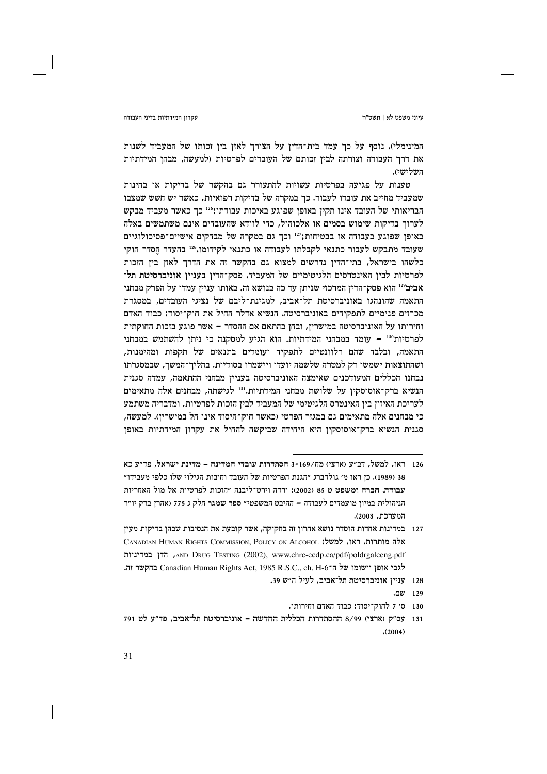#### עקרוו המידתיות בדיני העבודה

המינימלי). נוסף על כך עמד בית־הדין על הצורך לאזן בין זכותו של המעביד לשנות את דרך העבודה וצורתה לבין זכותם של העובדים לפרטיות (למעשה, מבחן המידתיות השלישי).

טענות על פגיעה בפרטיות עשויות להתעורר גם בהקשר של בדיקות או בחינות שמעביד מחייב את עובדו לעבור. כך במקרה של בדיקות רפואיות, כאשר יש חשש שמצבו הבריאותי של העובד אינו תקין באופן שפוגע באיכות עבודתו;216 כך כאשר מעביד מבקש לערוך בדיקות שימוש בסמים או אלכוהול, כדי לוודא שהעובדים אינם משתמשים באלה באופן שפוגע בעבודה או בבטיחות;"<sup>12</sup> וכך גם במקרה של מבדקים אישיים־פסיכולוגיים שעובד מתבקש לעבור כתנאי לקבלתו לעבודה או כתנאי לקידומו.318 בהעדר הסדר חוקי כלשהו בישראל, בתי־הדין נדרשים למצוא גם בהקשר זה את הדרך לאזן בין הזכות לפרטיות לבין האינטרסים הלגיטימיים של המעביד. פסק־הדין בעניין אוניברסיטת תל־ אביב<sup>129</sup> הוא פסק־הדיז המרכזי שניתז עד כה בנושא זה. באותו ענייז עמדו על הפרק מבחני התאמה שהונהגו באוניברסיטת תל־אביב, למגינת־ליבם של נציגי העובדים, במסגרת מכרזים פנימיים לתפקידים באוניברסיטה. הנשיא אדלר החיל את חוק־יסוד: כבוד האדם וחירותו על האוניברסיטה במישרין, ובחן בהתאם אם ההסדר – אשר פוגע בזכות החוקתית לפרטיות" - עומד במבחני המידתיות. הוא הגיע למסקנה כי ניתן להשתמש במבחני התאמה, ובלבד שהם רלוונטיים לתפקיד ועומדים בתנאים של תקפות ומהימנות, ושהתוצאות ישמשו רק למטרה שלשמה יועדו ויישמרו בסודיות. בהליך־המשך, שבמסגרתו נבחנו הכללים המעודכנים שאימצה האוניברסיטה בעניין מבחני ההתאמה, עמדה סגנית הנשיא ברק־אוסוסקין על שלושת מבחני המידתיות.<sup>131</sup> לגישתה, מבחנים אלה מתאימים לעריכת האיזון בין האינטרס הלגיטימי של המעביד לבין הזכות לפרטיות, ומדבריה משתמע כי מבחנים אלה מתאימים גם במגזר הפרטי (כאשר חוק־היסוד אינו חל במישרין). למעשה, סגנית הנשיא ברק־אוסוסקין היא היחידה שביקשה להחיל את עקרון המידתיות באופן

- $.007 129$
- 130 ס׳ 7 לחוק־יסוד: כבוד האדם וחירותו.

<sup>126</sup> ראו, למשל, דב"ע (ארצי) מח/169-3 הסתדרות עובדי המדינה – מדינת ישראל. פד"ע כא 38 (1989). כן ראו מ׳ גולדברג ״הגנת הפרטיות של העובד וחובות הגילוי שלו כלפי מעבידו״ עבודה, חברה ומשפט ט 85 (2002); ורדה וירט־ליבנה ״הזכות לפרטיות אל מול האחריות הניהולית במיון מועמדים לעבודה – ההיבט המשפטי״ ספר שמגר חלק ג 775 (אהרן ברק יו״ר המערכת. 2003).

<sup>127 -</sup> במדינות אחדות הוסדר נושא אחרון זה בחקיקה, אשר קובעת את הנסיבות שבהן בדיקות מעין CANADIAN HUMAN RIGHTS COMMISSION, POLICY ON ALCOHOL :אלה מותרות, ראו, למשל: AND DRUG TESTING (2002), www.chrc-ccdp.ca/pdf/poldrgalceng.pdf , הדן במדיניות לגבי אופן יישומו של ה־Canadian Human Rights Act, 1985 R.S.C., ch. H-6 בהקשר זה.

<sup>128 -</sup> ענייז אוניברסיטת תל־אביב, לעיל ה״ש 19.

<sup>131</sup> עס"ק (ארצי) 8/99 ההסתדרות הכללית החדשה - אוניברסיטת תל־אביב, פד"ע לט 791  $(2004)$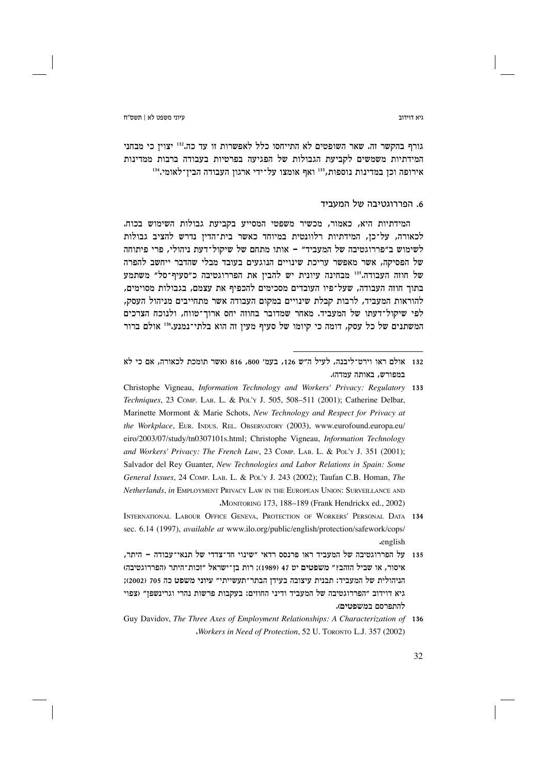עיוני משפט לא∣ תשס״ח

ויא דוידור

גורף בהקשר זה. שאר השופטים לא התייחסו כלל לאפשרות זו עד כה.132 יצוין כי מבחני המידתיות משמשים לקביעת הגבולות של הפגיעה בפרטיות בעבודה ברבות ממדינות אירופה וכן במדינות נוספות,<sup>133</sup> ואף אומצו על־ידי ארגון העבודה הבין־לאומי.<sup>134</sup>

# 6. הפררוגטיבה של המעביד

המידתיות היא, כאמור, מכשיר משפטי המסייע בקביעת גבולות השימוש בכוח. לכאורה, על־כן, המידתיות רלוונטית במיוחד כאשר בית־הדין נדרש להציב גבולות לשימוש ב״פררוגטיבה של המעביד״ – אותו מתחם של שיקול־דעת ניהולי, פרי פיתוחה של הפסיקה, אשר מאפשר עריכת שינויים הנוגעים בעובד מבלי שהדבר ייחשב להפרה של חוזה העבודה.135 מבחינה עיונית יש להבין את הפררוגטיבה כ״סעיף־סל״ משתמע בתור חוזה העבודה, שעל־פיו העובדים מסכימים להכפיף את עצמם, בגבולות מסוימים, להוראות המעביד, לרבות קבלת שינויים במקום העבודה אשר מתחייבים מניהול העסק, לפי שיקול־דעתו של המעביד. מאחר שמדובר בחוזה יחס ארוך־טווח, ולנוכח הצרכים המשתנים של כל עסק, דומה כי קיומו של סעיף מעין זה הוא בלתי־נמנע.136 אולם ברור

<sup>132 -</sup> אולם ראו וירט־ליבנה. לעיל ה״ש 126, בעמ׳ 800, 816 (אשר תומכת לכאורה, אם כי לא במפורש, באותה עמדה).

Christophe Vigneau, Information Technology and Workers' Privacy: Regulatory 133 Techniques, 23 COMP. LAB. L. & POL'Y J. 505, 508-511 (2001); Catherine Delbar, Marinette Mormont & Marie Schots, New Technology and Respect for Privacy at the Workplace, EUR. INDUS. REL. OBSERVATORY (2003), www.eurofound.europa.eu/ eiro/2003/07/study/tn0307101s.html; Christophe Vigneau, Information Technology and Workers' Privacy: The French Law, 23 Comp. LAB, L. & Pol'y J. 351 (2001); Salvador del Rey Guanter, New Technologies and Labor Relations in Spain: Some General Issues, 24 COMP. LAB. L. & POL'Y J. 243 (2002); Taufan C.B. Homan, The Netherlands, in EMPLOYMENT PRIVACY LAW IN THE EUROPEAN UNION: SURVEILLANCE AND MONITORING 173, 188-189 (Frank Hendrickx ed., 2002)

INTERNATIONAL LABOUR OFFICE GENEVA, PROTECTION OF WORKERS' PERSONAL DATA 134 sec. 6.14 (1997), *available at* www.ilo.org/public/english/protection/safework/cops/ .english

על הפררוגטיבה של המעביד ראו פרנסס רדאי ״שינוי חד־צדדי של תנאי־עבודה – היתר, 135 איסור, או שביל הזהב?" משפטים יט 47 (1989); רות בן־ישראל "זכות־היתר (הפררוגטיבה) הניהולית של המעביד: תבנית עיצובה בעידן הבתר־תעשייתי״ עיוני משפט כה 705 (2002); גיא דוידוב "הפררוגטיבה של המעביד ודיני החוזים: בעקבות פרשות נהרי וגרינשפן" (צפוי להתפרסם במשפטים).

Guy Davidov, The Three Axes of Employment Relationships: A Characterization of 136 Workers in Need of Protection, 52 U. TORONTO L.J. 357 (2002)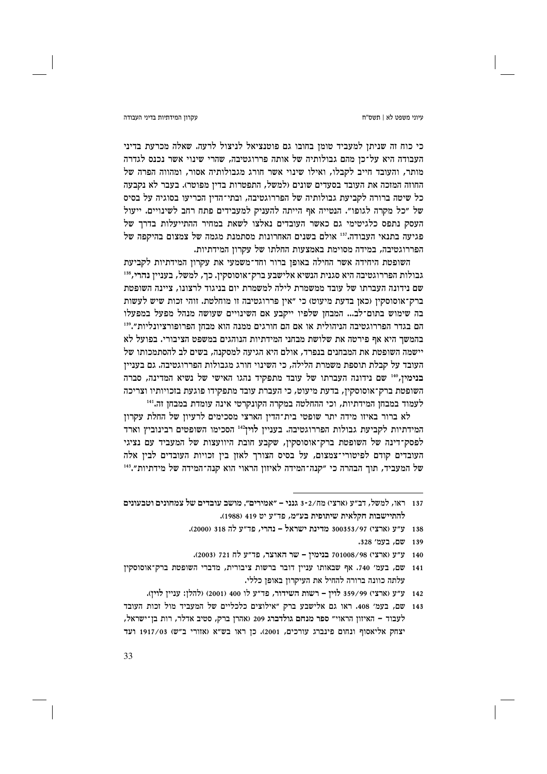### עקרוו המידתיות בדיני העבודה

כי כוח זה שניתן למעביד טומן בחובו גם פוטנציאל לניצול לרעה. שאלה מכרעת בדיני העבודה היא על־כן מהם גבולותיה של אותה פררוגטיבה, שהרי שינוי אשר נכנס לגדרה מותר, והעובד חייב לקבלו, ואילו שינוי אשר חורג מגבולותיה אסור, ומהווה הפרה של החוזה המזכה את העובד בסעדים שונים (למשל, התפטרות בדין מפוטר). בעבר לא נקבעה כל שיטה ברורה לקביעת גבולותיה של הפררוגטיבה, ובתי־הדין הכריעו בסוגיה על בסיס של ״כל מקרה לגופו״. הנטייה אף הייתה להעניק למעבידים פתח רחב לשינויים. ייעול העסק נתפס כלגיטימי גם כאשר העובדים נאלצו לשאת במחיר ההתייעלות בדרך של פגיעה בתנאי העבודה."<sup>13</sup> אולם בשנים האחרונות מסתמנת מגמה של צמצום בהיקפה של הפררוגטיבה, במידה מסוימת באמצעות החלתו של עקרון המידתיות.

השופטת היחידה אשר החילה באופן ברור וחד־משמעי את עקרון המידתיות לקביעת גבולות הפררוגטיבה היא סגנית הנשיא אלישבע ברק־אוסוסקין. כך, למשל, בעניין נהרי,818 שם נידונה העברתו של עובד ממשמרת לילה למשמרת יום בניגוד לרצונו. ציינה השופטת ברק־אוסוסקין (כאן בדעת מיעוט) כי "אין פררוגטיבה זו מוחלטת. זוהי זכות שיש לעשות בה שימוש בתום־לב... המבחן שלפיו ייקבע אם השינויים שעושה מנהל מפעל במפעלו הם בגדר הפררוגטיבה הניהולית או אם הם חורגים ממנה הוא מבחז הפרופורציונליות״.<sup>139</sup> בהמשר היא אף פירטה את שלושת מבחני המידתיות הנוהגים במשפט הציבורי. בפועל לא יישמה השופטת את המבחנים בנפרד, אולם היא הגיעה למסקנה, בשים לב להסתמכותו של העובד על קבלת תוספת משמרת הלילה, כי השינוי חורג מגבולות הפררוגטיבה. גם בעניין בנימין,140 שם נידונה העברתו של עובד מתפקיד נהגו האישי של נשיא המדינה, סברה השופטת ברק־אוסוסקין, בדעת מיעוט, כי העברת עובד מתפקידו פוגעת בזכויותיו וצריכה לעמוד במבחן המידתיות, וכי ההחלטה במקרה הקונקרטי אינה עומדת במבחן זה.<sup>141</sup>

לא ברור באיזו מידה יתר שופטי בית־הדין הארצי מסכימים לרעיון של החלת עקרון המידתיות לקביעת גבולות הפררוגטיבה. בעניין לוין<sup>142</sup> הסכימו השופטים רבינוביץ וארד לפסק־דינה של השופטת ברק־אוסוסקין, שקבע חובת היוועצות של המעביד עם נציגי העובדים קודם לפיטורי־צמצום, על בסיס הצורך לאזן בין זכויות העובדים לבין אלה של המעביד, תוך הבהרה כי "קנה־המידה לאיזון הראוי הוא קנה־המידה של מידתיות".<sup>143</sup>

138 ע״ע (ארצי) 97/3303353 מדינת ישראל – נהרי, פד״ע לה 318 (2000).

- 140 ע״ע (ארצי) 721008/98 בנימין שר האוצר, פד״ע לח 721 (2003).
- 141 שם, בעמ' 740. אף שבאותו עניין דובר ברשות ציבורית, מדברי השופטת ברק־אוסוסקין עלתה כוונה ברורה להחיל את העיקרון באופן כללי.
	- 142 ע״ע (ארצי) 559/99 לוין רשות השידור, פד״ע לו 400 (2001) (להלן: עניין לוין).
- 143 שם, בעמ׳ 408. ראו גם אלישבע ברק "אילוצים כלכליים של המעביד מול זכות העובד לעבוד - האיזון הראוי" ספר מנחם גולדברג 209 (אהרן ברק, סטיב אדלר, רות בן־ישראל, יצחק אליאסוף ונחום פינברג עורכים, 2001). כן ראו בש"א (אזורי ב"ש) 1917/03 ועד

<sup>137 –</sup> ראו, למשל, דב״ע (ארצי) מח/3-2 גנני – ״אמירים״. מושב עובדים של צמחונים וטבעונים להתיישבות חקלאית שיתופית בע״מ, פד״ע יט 419 (1988).

<sup>139</sup> שם. בעמ' 328.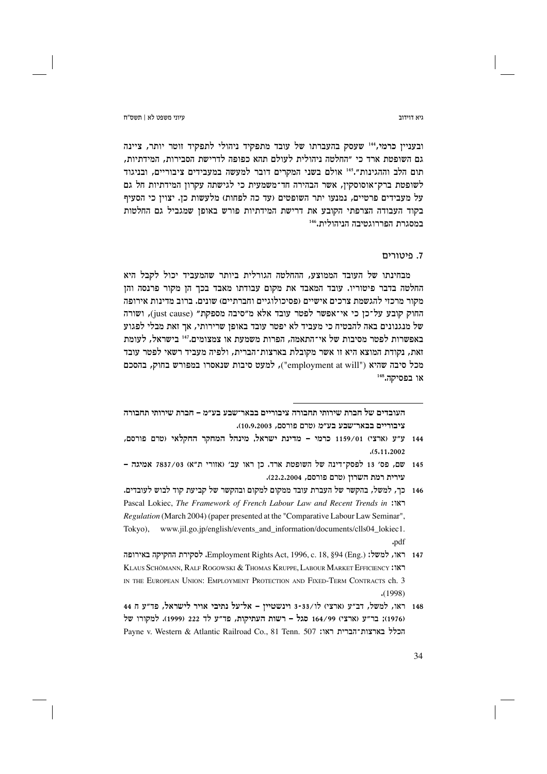גיא דוידור

עיוני משפט לא | תשס"ח

ובעניין כרמי, 144 שעסק בהעברתו של עובד מתפקיד ניהולי לתפקיד זוטר יותר, ציינה גם השופטת ארד כי ״החלטה ניהולית לעולם תהא כפופה לדרישת הסבירות, המידתיות, תום הלב וההגינות״.145 אולם בשני המקרים דובר למעשה במעבידים ציבוריים, ובניגוד לשופטת ברק־אוסוסקין, אשר הבהירה חד־משמעית כי לגישתה עקרון המידתיות חל גם על מעבידים פרטיים, נמנעו יתר השופטים (עד כה לפחות) מלעשות כן. יצוין כי הסעיף בקוד העבודה הצרפתי הקובע את דרישת המידתיות פורש באופן שמגביל גם החלטות במסגרת הפררוגטיבה הניהולית.146

# 7. פיטורים

מבחינתו של העובד הממוצע, ההחלטה הגורלית ביותר שהמעביד יכול לקבל היא החלטה בדבר פיטוריו. עובד המאבד את מקום עבודתו מאבד בכר הז מקור פרנסה והז מקור מרכזי להגשמת צרכים אישיים (פסיכולוגיים וחברתיים) שונים. ברוב מדינות אירופה החוק קובע על־כן כי אי־אפשר לפטר עובד אלא מ״סיבה מספקת״ (just cause), ושורה של מנגנונים באה להבטיח כי מעביד לא יפטר עובד באופן שרירותי, אך זאת מבלי לפגוע באפשרות לפטר מסיבות של אי־התאמה, הפרות משמעת או צמצומים.<sup>147</sup> בישראל, לעומת זאת, נקודת המוצא היא זו אשר מקובלת בארצות־הברית, ולפיה מעביד רשאי לפטר עובד מכל סיבה שהיא ("employment at will"), למעט סיבות שנאסרו במפורש בחוק, בהסכם או בפסיקה.<sup>148</sup>

העובדים של חברת שירותי תחבורה ציבוריים בבאר־שבע בע״מ – חברת שירותי תחבורה ציבוריים בבאר־שבע בע״מ (טרם פורסם, 10.9.2003).

<sup>144</sup> ע״ע (ארצי) 1159/01 כרמי – מדינת ישראל, מינהל המחקר החקלאי (טרם פורסם,  $(5.11.2002)$ 

<sup>145</sup> שם, פס' 13 לפסק־דינה של השופטת ארד. כן ראו עב' (אזורי ת"א) 7837/03 אמיגה -עירית רמת השרון (טרם פורסם, 22.2.2004).

<sup>146 –</sup> כד. למשל. בהקשר של העברת עובד ממקום למקום ובהקשר של קביעת קוד לבוש לעובדים. Pascal Lokiec, The Framework of French Labour Law and Recent Trends in : Regulation (March 2004) (paper presented at the "Comparative Labour Law Seminar", Tokyo), www.jil.go.jp/english/events and information/documents/clls04 lokiec1. .pdf

<sup>147 –</sup> ראו, למשל: Employment Rights Act, 1996, c. 18, §94 (Eng.). לסקירת החקיקה באירופה KLAUS SCHÖMANN, RALF ROGOWSKI & THOMAS KRUPPE, LABOUR MARKET EFFICIENCY :18 IN THE EUROPEAN UNION: EMPLOYMENT PROTECTION AND FIXED-TERM CONTRACTS ch. 3  $(1998)$ 

<sup>148</sup> ראו, למשל, דב"ע (ארצי) לו/3-33 וינשטיין - אל־על נתיבי אויר לישראל, פד"ע ח 44 (1976); בר״ע (ארצי) 164/99 סגל - רשות העתיקות, פד״ע לד 222 (1999). למקורו של Payne v. Western & Atlantic Railroad Co., 81 Tenn. 507 הכלל בארצות־הברית ראו: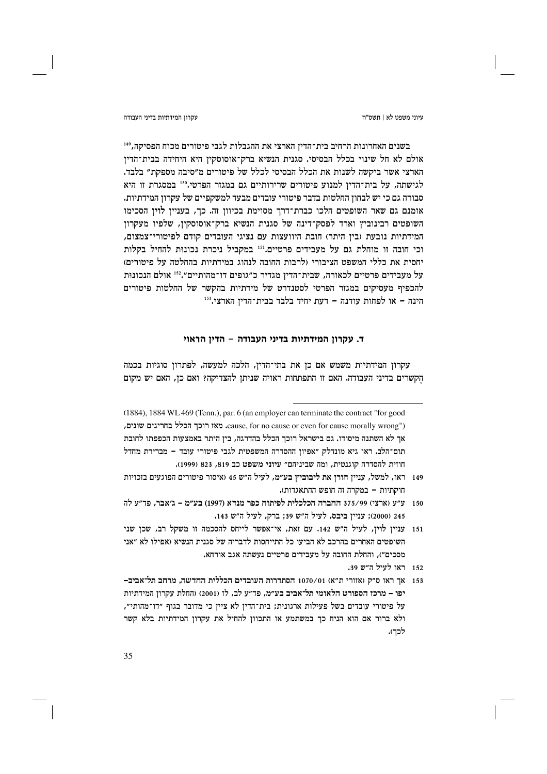עקרוו המידתיות בדיני העבודה

בשנים האחרונות הרחיב בית־הדין הארצי את ההגבלות לגבי פיטורים מכוח הפסיקה, 149 אולם לא חל שינוי בכלל הבסיסי. סגנית הנשיא ברק־אוסוסקין היא היחידה בבית־הדין הארצי אשר ביקשה לשנות את הכלל הבסיסי לכלל של פיטורים מ״סיבה מספקת״ בלבד. לגישתה, על בית־הדין למנוע פיטורים שרירותיים גם במגזר הפרטי.150 במסגרת זו היא סבורה גם כי יש לבחון החלטות בדבר פיטורי עובדים מבעד למשקפיים של עקרון המידתיות. אומנם גם שאר השופטים הלכו כברת־דרך מסוימת בכיוון זה. כך, בעניין לוין הסכימו השופטים רבינוביץ וארד לפסק־דינה של סגנית הנשיא ברק־אוסוסקין, שלפיו מעקרון המידתיות נובעת (בין היתר) חובת היוועצות עם נציגי העובדים קודם לפיטורי־צמצום, וכי חובה זו מוחלת גם על מעבידים פרטיים.<sup>151</sup> במקביל ניכרת נכונות להחיל בקלות יחסית את כללי המשפט הציבורי (לרבות החובה לנהוג במידתיות בהחלטה על פיטורים) על מעבידים פרטיים לכאורה, שבית־הדין מגדיר כ״גופים דו־מהותיים״.152 אולם הנכונות להכפיף מעסיקים במגזר הפרטי לסטנדרט של מידתיות בהקשר של החלטות פיטורים הינה - או לפחות עודנה - דעת יחיד בלבד בבית־הדין הארצי.153

# ד. עקרון המידתיות בדיני העבודה – הדין הראוי

עקרון המידתיות משמש אם כן את בתי־הדין, הלכה למעשה, לפתרון סוגיות בכמה הקשרים בדיני העבודה. האם זו התפתחות ראויה שניתן להצדיקה? ואם כן, האם יש מקום

- 150 ע״ע (ארצי) 375/99 החברה הכלכלית לפיתוח כפר מנדא (1997) בע״מ ג׳אבר, פד״ע לה 245 (2000); עניין ביבס, לעיל ה״ש 39; ברק, לעיל ה״ש 143.
- 151 עניין לוין, לעיל ה"ש 142. עם זאת, אי־אפשר לייחס להסכמה זו משקל רב, שכן שני השופטים האחרים בהרכב לא הביעו כל התייחסות לדבריה של סגנית הנשיא (אפילו לא ״אני מסכים״), והחלת החובה על מעבידים פרטיים נעשתה אגב אורחא.
	- 152 ראו לעיל ה״ש 39.
- 153 אך ראו ס״ק (אזורי ת״א) 1070/01 הסתדרות העובדים הכללית החדשה, מרחב תל־אביב-יפו – מרכז הספורט הלאומי תל־אביב בע״מ, פד״ע לב, לז (2001) (החלת עקרון המידתיות על פיטורי עובדים בשל פעילות ארגונית; בית־הדין לא ציין כי מדובר בגוף "דו־מהותי", ולא ברור אם הוא הניח כך במשתמע או התכוון להחיל את עקרון המידתיות בלא קשר לכך).

<sup>(1884), 1884</sup> WL 469 (Tenn.), par. 6 (an employer can terminate the contract "for good cause, for no cause or even for cause morally wrong"). מאז רוכך הכלל בחריגים שונים, אר לא השתנה מיסודו. גם בישראל רוכר הכלל בהדרגה, ביז היתר באמצעות הכפפתו לחובת תום־הלב. ראו גיא מונדלק ״אפיוז ההסדרה המשפטית לגבי פיטורי עובד – מברירת מחדל חוזית להסדרה קוגנטית, ומה שביניהם" עיוני משפט כב 819, 823 (1999).

<sup>149 -</sup> ראו, למשל, עניין הורן את ליבוביץ בע״מ, לעיל ה״ש 45 (איסור פיטורים הפוגעים בזכויות חוקתיות – במקרה זה חופש ההתאגדות).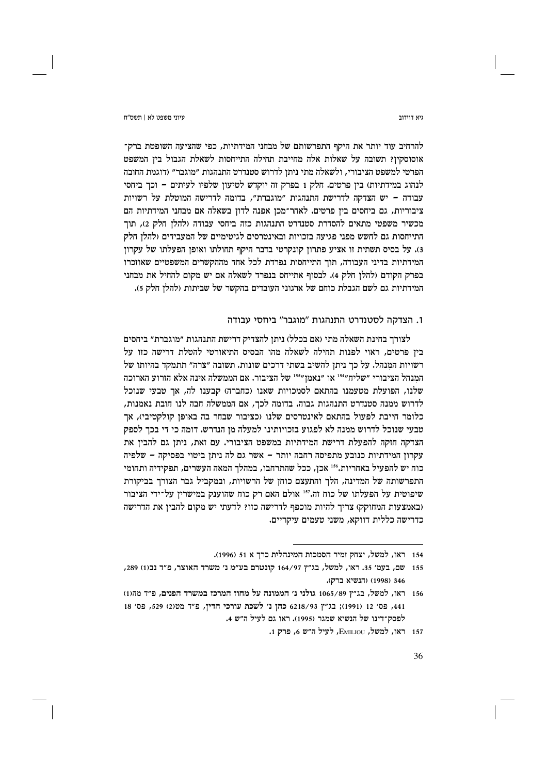ויא דוידור

עיוני משפט לא | תשס"ח

להרחיב עוד יותר את היקף התפרשותם של מבחני המידתיות, כפי שהציעה השופטת ברק־ אוסוסקין? תשובה על שאלות אלה מחייבת תחילה התייחסות לשאלת הגבול בין המשפט הפרטי למשפט הציבורי, ולשאלה מתי ניתן לדרוש סטנדרט התנהגות ״מוגבר״ (דוגמת החובה לנהוג במידתיות) בין פרטים. חלק 1 בפרק זה יוקדש לטיעון שלפיו לעיתים – וכך ביחסי עבודה – יש הצדקה לדרישת התנהגות "מוגברת", בדומה לדרישה המוטלת על רשויות ציבוריות, גם ביחסים בין פרטים. לאחר־מכן אפנה לדון בשאלה אם מבחני המידתיות הם מכשיר משפטי מתאים להסדרת סטנדרט התנהגות כזה ביחסי עבודה (להלן חלק 2), תוך התייחסות גם לחשש מפני פגיעה בזכויות ובאינטרסים לגיטימיים של המעבידים (להלן חלק 3). על בסיס תשתית זו אציע פתרון קונקרטי בדבר היקף תחולתו ואופן הפעלתו של עקרון המידתיות בדיני העבודה, תוך התייחסות נפרדת לכל אחד מההקשרים המשפטיים שאוזכרו בפרק הקודם ולהלן חלק 4). לבסוף אתייחס בנפרד לשאלה אם יש מקום להחיל את מבחני המידתיות גם לשם הגבלת כוחם של ארגוני העובדים בהקשר של שביתות (להלו חלק 5).

# 1. הצדקה לסטנדרט התנהגות "מוגבר" ביחסי עבודה

לצורך בחינת השאלה מתי (אם בכלל) ניתן להצדיק דרישת התנהגות ״מוגברת״ ביחסים בין פרטים, ראוי לפנות תחילה לשאלה מהו הבסיס התיאורטי להטלת דרישה כזו על רשויות המנהל. על כך ניתן להשיב בשתי דרכים שונות. תשובה ״צרה״ תתמקד בהיותו של המנהל הציבורי "שליח"<sup>154</sup> או "נאמן"<sup>155</sup> של הציבור. אם הממשלה אינה אלא הזרוע הארוכה שלנו, הפועלת מטעמנו בהתאם לסמכויות שאנו (כחברה) קבענו לה, אך טבעי שנוכל לדרוש ממנה סטנדרט התנהגות גבוה. בדומה לכך, אם הממשלה חבה לנו חובת נאמנות, כלומר חייבת לפעול בהתאם לאינטרסים שלנו (כציבור שבחר בה באופן קולקטיבי), אך טבעי שנוכל לדרוש ממנה לא לפגוע בזכויותינו למעלה מן הנדרש. דומה כי די בכך לספק הצדקה חזקה להפעלת דרישת המידתיות במשפט הציבורי. עם זאת, ניתן גם להבין את עקרון המידתיות כנובע מתפיסה רחבה יותר - אשר גם לה ניתן ביטוי בפסיקה - שלפיה כוח יש להפעיל באחריות.156 אכן, ככל שהתרחבו, במהלך המאה העשרים, תפקידיה ותחומי התפרשותה של המדינה, הלך והתעצם כוחן של הרשויות, ובמקביל גבר הצורך בביקורת שיפוטית על הפעלתו של כוח זה.<sup>157</sup> אולם האם רק כוח שהוענק במישרין על־ידי הציבור (באמצעות המחוקק) צריך להיות מוכפף לדרישה כזו? לדעתי יש מקום להבין את הדרישה כדרישה כללית דווקא, משני טעמים עיקריים.

<sup>154 -</sup> ראו, למשל, יצחק זמיר הסמכות המינהלית כרך א 51 (1996).

<sup>155 –</sup> שם, בעמ׳ 35. ראו, למשל, בג״ץ 164/97 קונטרם בע״מ נ׳ משרד האוצר, פ״ד נב(1) 289, 346 (1998) (הנשיא ברק).

<sup>156 –</sup> ראו, למשל, בג״ץ 1065/89 גולני נ׳ הממונה על מחוז המרכז במשרד הפנים, פ״ד מה(1) 441, פס׳ 12 (1991); בג״ץ 6218/93 כהן נ׳ לשכת עורכי הדין, פ״ד מט(2) 529, פס׳ 18 לפסק־דינו של הנשיא שמגר (1995). ראו גם לעיל ה״ש 4.

<sup>157</sup> ראו, למשל, EMILIOU, לעיל ה"ש 6, פרק 1.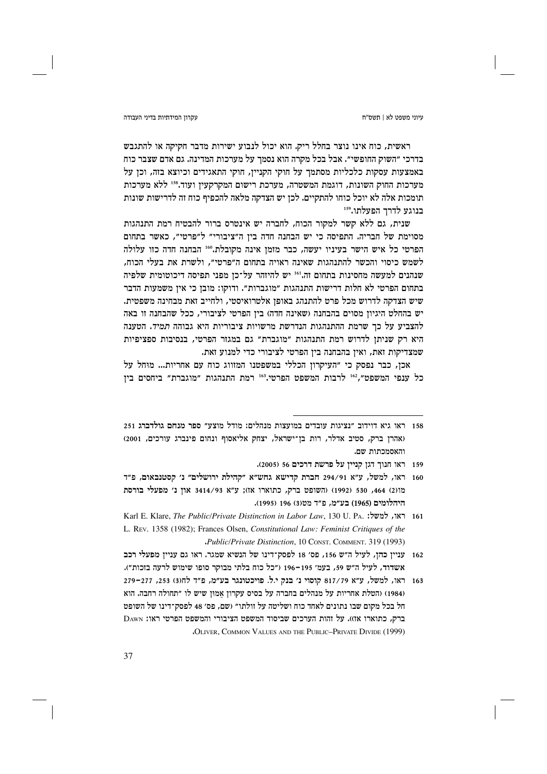### עקרוו המידתיות בדיני העבודה

ראשית, כוח אינו נוצר בחלל ריק. הוא יכול לנבוע ישירות מדבר חקיקה או להתגבש בדרכי ״השוק החופשי״. אבל בכל מקרה הוא נסמך על מערכות המדינה. גם אדם שצבר כוח באמצעות עסקות כלכליות מסתמך על חוקי הקניין, חוקי התאגידים וכיוצא בזה, וכן על מערכות החוק השונות, דוגמת המשטרה, מערכת רישום המקרקעין ועוד.158 ללא מערכות תומכות אלה לא יוכל כוחו להתקיים. לכן יש הצדקה מלאה להכפיף כוח זה לדרישות שונות בנוגע לדרך הפעלתו.159

שנית, גם ללא קשר למקור הכוח, לחברה יש אינטרס ברור להבטיח רמת התנהגות מסוימת של חבריה. התפיסה כי יש הבחנה חדה בין ה"ציבורי" ל"פרטי", כאשר בתחום הפרטי כל איש הישר בעיניו יעשה, כבר מזמן אינה מקובלת." הבחנה חדה כזו עלולה לשמש כיסוי והכשר להתנהגות שאינה ראויה בתחום ה״פרטי״, ולשרת את בעלי הכוח, שנהנים למעשה מחסינות בתחום זה.<sup>161</sup> יש להיזהר על־כן מפני תפיסה דיכוטומית שלפיה בתחום הפרטי לא חלות דרישות התנהגות ״מוגברות״. ודוקו: מובז כי איז משמעות הדבר שיש הצדקה לדרוש מכל פרט להתנהג באופן אלטרואיסטי, ולחייב זאת מבחינה משפטית. יש בהחלט היגיון מסוים בהבחנה (שאינה חדה) בין הפרטי לציבורי, ככל שהבחנה זו באה להצביע על כך שרמת ההתנהגות הנדרשת מרשויות ציבוריות היא גבוהה *תמיד*. הטענה היא רק שניתן לדרוש רמת התנהגות "מוגברת" גם במגזר הפרטי, בנסיבות ספציפיות שמצדיקות זאת, ואין בהבחנה בין הפרטי לציבורי כדי למנוע זאת.

אכן, כבר נפסק כי ״העיקרון הכללי במשפטנו המזווג כוח עם אחריות... מוּחל על כל ענפי המשפט", <sup>162</sup> לרבות המשפט הפרטי.<sup>163</sup> רמת התנהגות "מוגברת" ביחסים בין

- 159 ראו חנוך דגן קניין על פרשת דרכים 56 (2005).
- 160 ראו, למשל, ע"א 294/91 חברת קדישא גחש"א "קהילת ירושלים" נ' קסטנבאום, פ"ד מו<br /> 1992, 530 (1992) (השופט ברק, כתוארו או): ע"א 3414/93 און ג' מפעלי בורסת היהלומים (1965) בע״מ, פ״ד מט(3) 196 (1995).
- 161 ראו, למשל: .Rarl E. Klare, The Public/Private Distinction in Labor Law, 130 U. PA. L. REV. 1358 (1982); Frances Olsen, Constitutional Law: Feminist Critiques of the "Public/Private Distinction, 10 CONST. COMMENT. 319 (1993)

162 - עניין כהן, לעיל ה"ש 156, פס' 18 לפסק־דינו של הנשיא שמגר. ראו גם עניין מפעלי רכב אשדוד, לעיל ה״ש 59, בעמ׳ 195–196 (״כל כוח בלתי מבוקר סופו שימוש לרעה בזכות״).

163 ראו, למשל, ע"א 817/79 קוסוי נ' בנק י.ל. פויכטונגר בע"מ, פ"ד לחו3) 253, 271-279 (1984) (הטלת אחריות על מנהלים בחברה על בסיס עקרון אמון שיש לו ״תחולה רחבה. הוא חל בכל מקום שבו נתונים לאחד כוח ושליטה על זולתו״ (שם, פס׳ 48 לפסק־דינו של השופט ברק, כתוארו אז)). על זהות הערכים שביסוד המשפט הציבורי והמשפט הפרטי ראו: Dawn **.OLIVER, COMMON VALUES AND THE PUBLIC-PRIVATE DIVIDE (1999)** 

<sup>158 -</sup> ראו גיא דוידוב "נציגות עובדים במועצות מנהלים: מודל מוצע" ספר מנחם גולדברג 251 (אהרז ברק, סטיב אדלר, רות בז־ישראל, יצחק אליאסוף ונחום פינברג עורכים, 2001) והאסמכתות שם.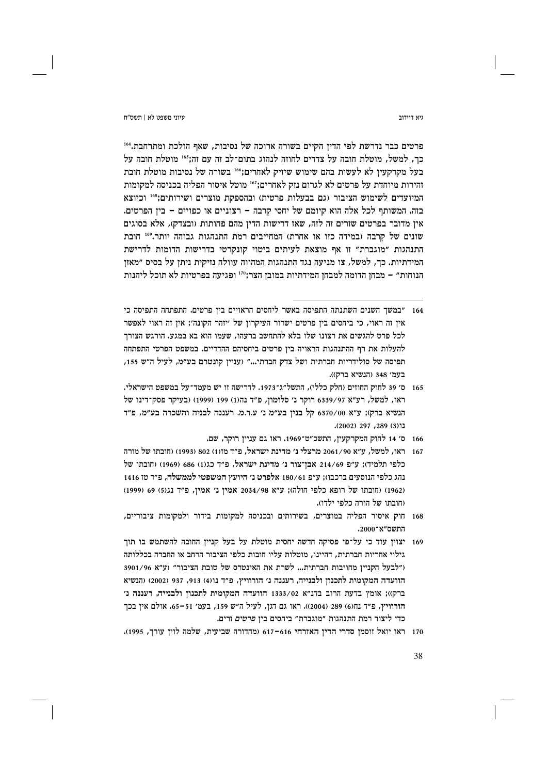גיא דוידור

ויווי משפט לא L חשס"ח

פרטים כבר נדרשת לפי הדין הקיים בשורה ארוכה של נסיבות, שאף הולכת ומתרחבת.404 כך, למשל, מוטלת חובה על צדדים לחוזה לנהוג בתום־לב זה עם זה;316 מוטלת חובה על בעל מקרקעין לא לעשות בהם שימוש שיזיק לאחרים;" בשורה של נסיבות מוטלת חובת זהירות מיוחדת על פרטים לא לגרום נזק לאחרים;"<sup>167</sup> מוטל איסור הפליה בכניסה למקומות המיועדים לשימוש הציבור (גם בבעלות פרטית) ובהספקת מוצרים ושירותים;<sup>168</sup> וכיוצא בזה. המשותף לכל אלה הוא קיומם של יחסי קרבה - רצוניים או כפויים - בין הפרטים. אין מדובר בפרטים שזרים זה לזה, שאז דרישות הדין מהם פחותות (ובצדק), אלא בסוגים שונים של קרבה (במידה כזו או אחרת) המחייבים רמת התנהגות גבוהה יותר.169 חובת התנהגות ״מוגברת״ זו אף מוצאת לעיתים ביטוי קונקרטי בדרישות הדומות לדרישת המידתיות. כך, למשל, צו מניעה נגד התנהגות המהווה עוולה נזיקית ניתן על בסיס ״מאזן הנוחות" – מבחן הדומה למבחן המידתיות במובן הצר;"1 ופגיעה בפרטיות לא תוכל ליהנות

<sup>164 – ״</sup>במשר השנים השתנתה התפיסה באשר ליחסים הראויים ביז פרטים. התפתחה התפיסה כי אין זה ראוי, כי ביחסים בין פרטים ישרור העיקרון של ׳יזהר הקונה׳; אין זה ראוי לאפשר לכל פרט להגשים את רצונו שלו בלא להתחשב ברעהו, שעמו הוא בא במגע. הורגש הצורך להעלות את רף ההתנהגות הראויה בין פרטים ביחסיהם ההדדיים. במשפט הפרטי התפתחה תפיסה של סולידריות חברתית ושל צדק חברתי..." (עניין קונטרם בע״מ, לעיל ה״ש 155, בעמ' 348 (הנשיא ברק)).

<sup>165 -</sup> ס׳ 39 לחוק החוזים (חלק כללי), התשל״ג־1973. לדרישה זו יש מעמד־על במשפט הישראלי. ראו, למשל, רע"א 6339/97 רוקר נ' סלומון, פ"ד נה(1) 199 (1999) (בעיקר פסק־דינו של הנשיא ברק); ע"א 6370/00 קל בנין בע"מ נ' ע.ר.מ. רעננה לבניה והשכרה בע"מ, פ"ד נו(3) 289, 297 (2002).

<sup>166 -</sup> ס׳ 14 לחוק המקרקעיז, התשכ״ט־1969. ראו גם ענייז רוקר, שם.

<sup>167 –</sup> ראו, למשל, ע״א 2061/90 מרצלי נ׳ מדינת ישראל, פ״ד מז(1) 802 (1993) (חובתו של מורה כלפי תלמיד); ע״פ 214/69 אבן־צור נ׳ מדינת ישראל, פ״ד כגוו) 686 (1969) וחובתו של נהג כלפי הנוסעים ברכבו); ע״פּ 180/61 אלפרט נ׳ היועץ המשפטי לממשלה, פ״ד טז 1416 (1962) (חובתו של רופא כלפי חולה): ע״א 2034/98 אמיו נ׳ אמיו, פ״ד נג(5) 69 (1999) (חובתו של הורה כלפי ילדו).

<sup>168</sup> חוק איסור הפליה במוצרים, בשירותים ובכניסה למקומות בידור ולמקומות ציבוריים, התשס״א־2000.

<sup>169</sup> יצוין עוד כי על־פי פסיקה חדשה יחסית מוטלת על בעל קניין החובה להשתמש בו תוך גילוי אחריות חברתית, דהיינו, מוטלות עליו חובות כלפי הציבור הרחב או החברה בכללותה ("לבעל הקניין מחויבות חברתית... לשרת את האינטרס של טובת הציבור" (ע"א 3901/96 הוועדה המקומית לתכנון ולבנייה, רעננה נ׳ הורוויץ, פ״ד נו(4) 913, 937 (2002) (הנשיא ברק)); אומץ בדעת הרוב בדנ״א 1333/02 הוועדה המקומית לתכנון ולבנייה, רעננה נ׳ הורוויץ, פ״ד נח(6) 289 (2004)). ראו גם דגן, לעיל ה״ש 159, בעמ׳ 51–65. אולם אין בכך כדי ליצור רמת התנהגות "מוגברת" ביחסים בין פרטים זרים.

<sup>170</sup> ראו יואל זוסמן סדרי הדין האזרחי 616–617 (מהדורה שביעית, שלמה לוין עורך, 1995).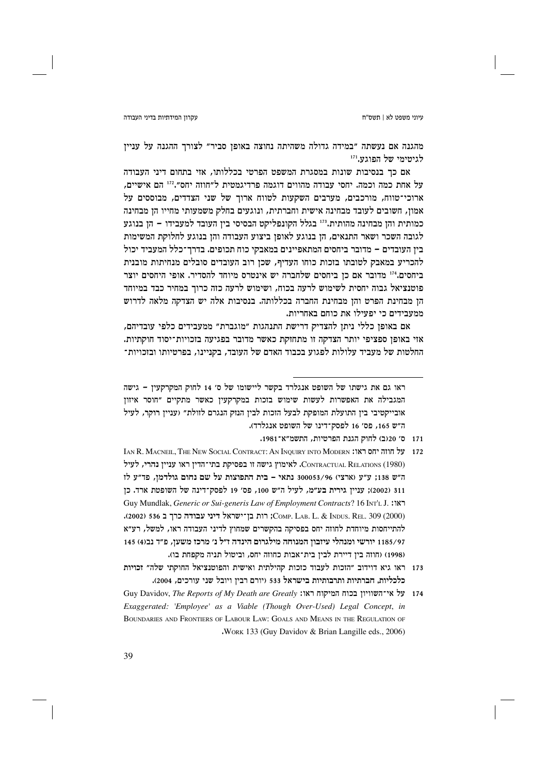### עקרון המידתיות בדיני העבודה

מהגנה אם נעשתה "במידה גדולה משהיתה נחוצה באופן סביר" לצורך ההגנה על עניין לגיטימי של הפוגע.'''

אם כר בנסיבות שונות במסגרת המשפט הפרטי בכללותו, אזי בתחום דיני העבודה על אחת כמה וכמה. יחסי עבודה מהווים דוגמה פרדיגמטית ל״חוזה יחס״.112 הם אישיים, ארוכי־טווח, מורכבים, מערבים השקעות לטווח ארוך של שני הצדדים, מבוססים על אמון, חשובים לעובד מבחינה אישית וחברתית, ונוגעים בחלק משמעותי מחייו הן מבחינה כמותית והן מבחינה מהותית.<sup>173</sup> בגלל הקונפליקט הבסיסי בין העובד למעבידו – הן בנוגע לגובה השכר ושאר התנאים, הן בנוגע לאופן ביצוע העבודה והן בנוגע לחלוקת המשימות בין העובדים – מדובר ביחסים המתאפיינים במאבקי כוח תכופים. בדרך־כלל המעביד יכול להכריע במאבק לטובתו בזכות כוחו העדיף, שכן רוב העובדים סובלים מנחיתות מובנית ביחסים.<sup>174</sup> מדובר אם כן ביחסים שלחברה יש אינטרס מיוחד להסדיר. אופי היחסים יוצר פוטנציאל גבוה יחסית לשימוש לרעה בכוח, ושימוש לרעה כזה כרור במחיר כבד במיוחד הן מבחינת הפרט והן מבחינת החברה בכללותה. בנסיבות אלה יש הצדקה מלאה לדרוש ממעבידים כי יפעילו את כוחם באחריות.

אם באופן כללי ניתן להצדיק דרישת התנהגות "מוגברת" ממעבידים כלפי עובדיהם, אזי באופן ספציפי יותר הצדקה זו מתחזקת כאשר מדובר בפגיעה בזכויות־יסוד חוקתיות. החלטות של מעביד עלולות לפגוע בכבוד האדם של העובד, בקניינו, בפרטיותו ובזכויות־

ראו גם את גישתו של השופט אנגלרד בקשר ליישומו של ס׳ 14 לחוק המקרקעין – גישה המגבילה את האפשרות לעשות שימוש בזכות במקרקעין כאשר מתקיים "חוסר איזון אובייקטיבי ביז התועלת המופקת לבעל הזכות לביז הנזק הנגרם לזולת״ (ענייז רוקר, לעיל ה"ש 165, פס' 16 לפסק־דינו של השופט אנגלרד).

- 171 ס׳ 20(ב) לחוק הגנת הפרטיות, התשמ״א־1981.
- 172 על חוזה יחס ראו: THE NEW SOCIAL CONTRACT: AN INOURY INTO MODERN ו-IAN R. MACNELL THE NEW SOCIAL CONTRACT CONTRACTUAL RELATIONS (1980). לאימוץ גישה זו בפסיקת בתי־הדין ראו עניין נהרי, לעיל ה"ש 138; ע"ע (ארצי) 300053/96 נתאי - בית התפוצות על שם נחום גולדמן, פד"ע לז 311 (2002): ענייז גירית בע״מ, לעיל ה״ש 100, פס׳ 19 לפסק־דינה של השופטת ארד. כז Guy Mundlak, Generic or Sui-generis Law of Employment Contracts? 16 INT'L J. : COMP. LAB. L. & INDUS. REL. 309 (2000); רות בן־ישראל דיני עבודה כרך ב 536 (2002). להתייחסות מיוחדת לחוזה יחס בפסיקה בהקשרים שמחוץ לדיני העבודה ראו, למשל, רע״א 1185/97 יורשי ומנהלי עיזבון המנוחה מילגרום הינדה ז״ל נ׳ מרכז משען, פ״ד נב(4) 145 (1998) (חוזה בין דיירת לבין בית־אבות כחוזה יחס, וביטול תניה מקפחת בו).
- 173 ראו גיא דוידוב "הזכות לעבוד כזכות קהילתית ואישית והפוטנציאל החוקתי שלה" זכויות כלכליות, חברתיות ותרבותיות בישראל 533 (יורם רבין ויובל שני עורכים, 2004).
- 174 על אי־השוויון בכוח המיקוח ראו: Guy Davidov, The Reports of My Death are Greatly Exaggerated: 'Employee' as a Viable (Though Over-Used) Legal Concept, in BOUNDARIES AND FRONTIERS OF LABOUR LAW: GOALS AND MEANS IN THE REGULATION OF .WORK 133 (Guy Davidov & Brian Langille eds., 2006)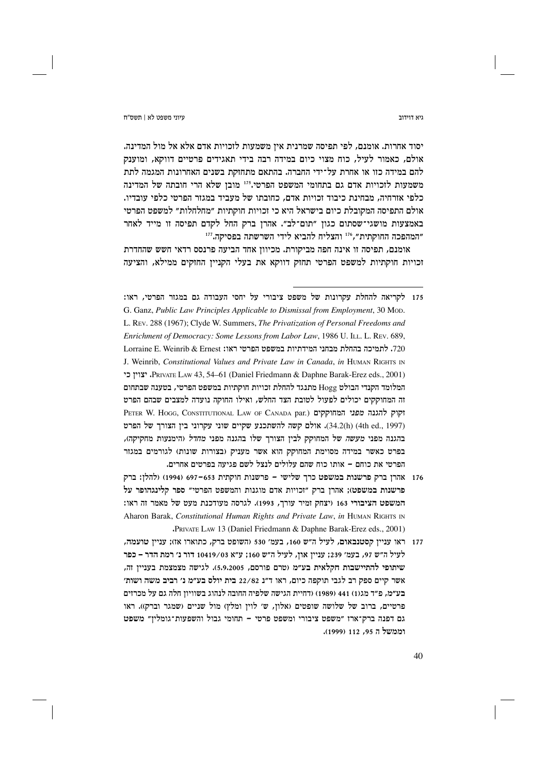יסוד אחרות. אומנם, לפי תפיסה שמרנית אין משמעות לזכויות אדם אלא אל מול המדינה. אולם, כאמור לעיל, כוח מצוי כיום במידה רבה בידי תאגידים פרטיים דווקא, ומוענק להם במידה כזו או אחרת על־ידי החברה. בהתאם מתחזקת בשנים האחרונות המגמה לתת משמעות לזכויות אדם גם בתחומי המשפט הפרטי.115 מובן שלא הרי חובתה של המדינה כלפי אזרחיה, מבחינת כיבוד זכויות אדם, כחובתו של מעביד במגזר הפרטי כלפי עובדיו. אולם התפיסה המקובלת כיום בישראל היא כי זכויות חוקתיות ״מחלחלות״ למשפט הפרטי באמצעות מושגי־שסתום כגון "תום־לב". אהרן ברק החל לקדם תפיסה זו מייד לאחר "המהפכה החוקתית", 116 והצליח להביא לידי השרשתה בפסיקה. 117

אומנם, תפיסה זו אינה חפה מביקורת. מכיוון אחד הביעה פרנסס רדאי חשש שהחדרת זכויות חוקתיות למשפט הפרטי תחזק דווקא את בעלי הקניין החזקים ממילא, והציעה

- 176 אהרן ברק פרשנות במשפט כרך שלישי פרשנות חוקתית 653–697 (1994) (להלן: ברק פרשנות במשפט): אהרז ברק ״זכויות אדם מוגנות והמשפט הפרטי״ ספר קלינגהופר על המשפט הציבורי 163 (יצחק זמיר עורך, 1993). לגרסה מעודכנת מעט של מאמר זה ראו: Aharon Barak, Constitutional Human Rights and Private Law, in HUMAN RIGHTS IN "PRIVATE LAW 13 (Daniel Friedmann & Daphne Barak-Erez eds., 2001)
- 177 ראו עניין קסטנבאום, לעיל ה"ש 160, בעמ' 530 (השופט ברק, כתוארו אז); עניין טועמה, לעיל ה״ש 97, בעמ׳ 239; עניין און, לעיל ה״ש 160; ע״א 10419/03 דור נ׳ רמת הדר – כפר שיתופי להתיישבות חקלאית בע״מ (טרם פורסם, 5,9,2005). לגישה מצמצמת בעניין זה, אשר קיים ספק רב לגבי תוקפה כיום, ראו ד״נ 22/82 בית יולס בע״מ נ׳ רביב משה ושות׳ בע״מ, פ״ד מג(1) 441 (1989) (דחיית הגישה שלפיה החובה לנהוג בשוויון חלה גם על מכרזים פרטיים, ברוב של שלושה שופטים (אלון, ש׳ לוין ומלץ) מול שניים (שמגר וברק)). ראו גם דפנה ברק־ארז "משפט ציבורי ומשפט פרטי – תחומי גבול והשפעות־גומלין" משפט וממשל ה 95, 112 (1999).

ויא דוידור

<sup>175</sup> לקריאה להחלת עקרונות של משפט ציבורי על יחסי העבודה גם במגזר הפרטי, ראו: G. Ganz, Public Law Principles Applicable to Dismissal from Employment, 30 Mop. L. REV. 288 (1967); Clyde W. Summers, The Privatization of Personal Freedoms and Enrichment of Democracy: Some Lessons from Labor Law, 1986 U. ILL, L. REV. 689, 720. לתמיכה בהחלת מבחני המידתיות במשפט הפרטי ראו: Lorraine E. Weinrib & Ernest J. Weinrib, Constitutional Values and Private Law in Canada, in HUMAN RIGHTS IN PRIVATE LAW 43, 54–61 (Daniel Friedmann & Daphne Barak-Erez eds., 2001). יצויז כי המלומד הקנדי הבולט Hogg מתנגד להחלת זכויות חוקתיות במשפט הפרטי, בטענה שבתחום זה המחוקקים יכולים לפעול לטובת הצד החלש, ואילו החוקה נועדה למצבים שבהם הפרט PETER W. HOGG, CONSTITUTIONAL LAW OF CANADA par.) וקוק להגנה מפני המחוקקים (4th ed., 1997). אולם קשה להשתכנע שקיים שוני עקרוני בין הצורך של הפרט בהגנה מפני *מעשה* של המחוקק לביז הצורר שלו בהגנה מפני *מחדל* (הימנעות מחקיקה)**.** בפרט כאשר במידה מסוימת המחוקק הוא אשר מעניק (בצורות שונות) לגורמים במגזר הפרטי את כוחם – אותו כוח שהם עלולים לנצל לשם פגיעה בפרטים אחרים.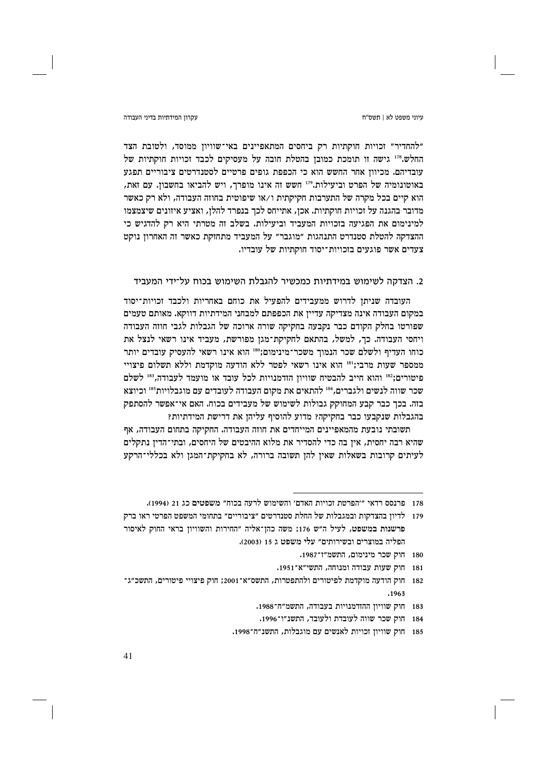### עקרוו המידתיות בדיני העבודה

"להחדיר" וכויות חוקתיות רק ביחסים המתאפיינים באי־שוויון ממוסד, ולטובת הצד החלש.178 גישה זו תומכת כמובן בהטלת חובה על מעסיקים לכבד זכויות חוקתיות של עובדיהם. מכיווז אחר החשש הוא כי הכפפת גופים פרטיים לסטנדרטים ציבוריים תפגע באוטונומיה של הפרט וביעילות.179 חשש זה אינו מופרך, ויש להביאו בחשבון. עם זאת, הוא קיים בכל מקרה של התערבות חקיקתית ו/או שיפוטית בחוזה העבודה, ולא רק כאשר מדובר בהגנה על זכויות חוקתיות. אכן, אתייחס לכך בנפרד להלן, ואציע איזונים שיצמצמו למינימום את הפגיעה בזכויות המעביד וביעילות. בשלב זה מטרתי היא רק להדגיש כי ההצדקה להטלת סטנדרט התנהגות "מוגבר" על המעביד מתחזקת כאשר זה האחרון נוקט צעדים אשר פוגעים בזכויות־יסוד חוקתיות של עובדיו.

# 2. הצדקה לשימוש במידתיות כמכשיר להגבלת השימוש בכוח על־ידי המעביד

העובדה שניתן לדרוש ממעבידים להפעיל את כוחם באחריות ולכבד זכויות־יסוד במקום העבודה אינה מצדיקה עדיין את הכפפתם למבחני המידתיות דווקא. מאותם טעמים שפורטו בחלק הקודם כבר נקבעה בחקיקה שורה ארוכה של הגבלות לגבי חוזה העבודה ויחסי העבודה. כך, למשל, בהתאם לחקיקת־מגן מפורשת, מעביד אינו רשאי לנצל את כוחו העדיף ולשלם שכר הנמוך משכר־מינימום;180 הוא אינו רשאי להעסיק עובדים יותר ממספר שעות מרבי;!" הוא אינו רשאי לפטר ללא הודעה מוקדמת וללא תשלום פיצויי פיטורים;" והוא חייב להבטיח שוויון הזדמנויות לכל עובד או מועמד לעבודה,"" לשלם שכר שווה לנשים ולגברים,<sup>184</sup> להתאים את מקום העבודה לעובדים עם מוגבלויות<sup>185</sup> וכיוצא בזה. בכך כבר קבע המחוקק גבולות לשימוש של מעבידים בכוח. האם אי־אפשר להסתפק בהגבלות שנקבעו כבר בחקיקה? מדוע להוסיף עליהן את דרישת המידתיות?

תשובתי נובעת מהמאפיינים המייחדים את חוזה העבודה. החקיקה בתחום העבודה, אף שהיא רבה יחסית, אין בה כדי להסדיר את מלוא ההיבטים של היחסים, ובתי־הדין נתקלים לעיתים קרובות בשאלות שאין להן תשובה ברורה, לא בחקיקת־המגן ולא בכללי־הרקע

<sup>178 –</sup> פרנסס רדאי "'הפרטת זכויות האדם' והשימוש לרעה בכוח" משפטים כג 21 (1994).

<sup>179</sup> לדיון בהצדקות ובמגבלות של החלת סטנדרטים ״ציבוריים״ בתחומי המשפט הפרטי ראו ברק פרשנות במשפט, לעיל ה״ש 176; משה כהן־אליה ״החירות והשוויון בראי החוק לאיסור הפליה במוצרים ובשירותים" עלי משפט ג 15 (2003).

<sup>180</sup> חוק שכר מינימום, התשמ״ז־1987.

<sup>181</sup> חוק שעות עבודה ומנוחה, התשי״א־1951.

<sup>182</sup> חוק הודעה מוקדמת לפיטורים ולהתפטרות, התשס"א־2001; חוק פיצויי פיטורים, התשכ"ג־

<sup>183</sup> חוק שוויון ההזדמנויות בעבודה, התשמ״ח־1988.

<sup>184</sup> חוק שכר שווה לעובדת ולעובד, התשנ״ו־1996.

<sup>185</sup> חוק שוויון זכויות לאנשים עם מוגבלות, התשנ״ח־1998.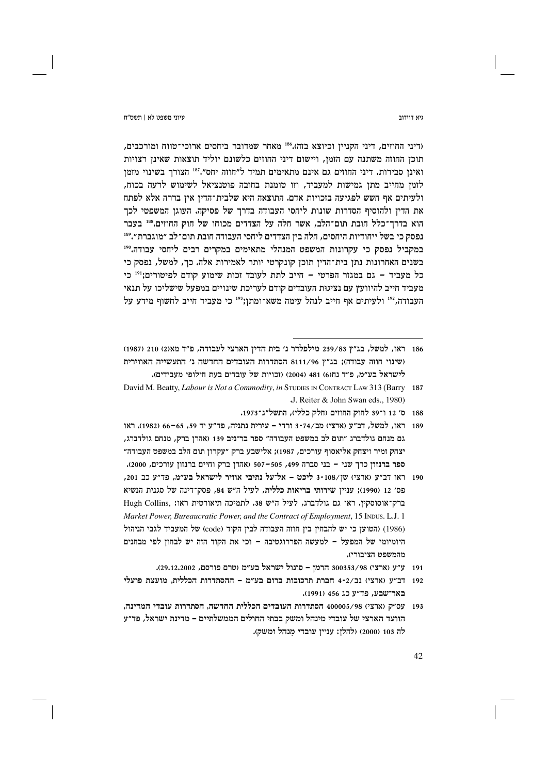גיא דוידור

ויווי משפט לא L חשס"ח

(דיני החוזים, דיני הקניין וכיוצא בזה).156 מאחר שמדובר ביחסים ארוכי־טווח ומורכבים, תוכן החוזה משתנה עם הזמן, ויישום דיני החוזים כלשונם יוליד תוצאות שאינן רצויות ואינו סבירות. דיני החוזים גם אינם מתאימים תמיד ל״חוזה יחס״.<sup>187</sup> הצורר בשינוי מזמז לזמן מחייב מתן גמישות למעביד, וזו טומנת בחובה פוטנציאל לשימוש לרעה בכוח, ולעיתים אף חשש לפגיעה בזכויות אדם. התוצאה היא שלבית־הדיז איז בררה אלא לפתח את הדין ולהוסיף הסדרות שונות ליחסי העבודה בדרך של פסיקה. העוגן המשפטי לכך הוא בדרך־כלל חובת תום־הלב, אשר חלה על הצדדים מכוחו של חוק החוזים.88 בעבר נפסק כי בשל ייחודיות היחסים, חלה בין הצדדים ליחסי העבודה חובת תום־לב ״מוגברת״.<sup>189</sup> במקביל נפסק כי עקרונות המשפט המנהלי מתאימים במקרים רבים ליחסי עבודה.190 בשנים האחרונות נתן בית־הדין תוכן קונקרטי יותר לאמירות אלה. כך, למשל, נפסק כי כל מעביד - גם במגזר הפרטי - חייב לתת לעובד זכות שימוע קודם לפיטורים;"' כי מעביד חייב להיוועץ עם נציגות העובדים קודם לעריכת שינויים במפעל שישליכו על תנאי העבודה, 212 ולעיתים אף חייב לנהל עימה משא־ומתן; 103 כי מעביד חייב לחשוף מידע על

- 188 ס׳ 12 ו־39 לחוק החוזים (חלק כללי), התשל״ג־1973.
- 189 ראו, למשל, דב״ע (ארצי) מב/74-3 ורדי עירית נתניה, פד״ע יד 59, 65–66 (1982). ראו גם מנחם גולדברג ״תום לב במשפט העבודה״ ספר בר־ניב 139 (אהרז ברק. מנחם גולדברג. יצחק זמיר ויצחק אליאסוף עורכים, 1987): אלישבע ברק ״עקרוז תום הלב במשפט העבודה״ ספר ברנזון כרך שני - בני סברה 499, 505-507 (אהרן ברק וחיים ברנזון עורכים, 2000).
- 190 ראו דב"ע (ארצי) שן/108-3 ליכט אל־על נתיבי אוויר לישראל בע"מ, פד"ע כב 201, פס׳ 12 (1990): ענייו שירותי בריאות כללית, לעיל ה"ש 84, פסק־דינה של סגנית הנשיא ברק־אוסוסקין. ראו גם גולדברג, לעיל ה"ש 38. לתמיכה תיאורטית ראו: .Hugh Collins Market Power, Bureaucratic Power, and the Contract of Employment, 15 INDUS. L.J. 1 (1986) (הטוען כי יש להבחין בין חוזה העבודה לבין הקוד (code) של המעביד לגבי הניהול היומיומי של המפעל – למעשה הפררוגטיבה – וכי את הקוד הזה יש לבחון לפי מבחנים מהמשפט הציבורי).
	- 191 ע״ע (ארצי) 300353/98 הרמז סונול ישראל בע״מ (טרם פורסם, 29,12,2002).
- 192 דב״ע (ארצי) נב/2-4 חברת תרכובות ברום בע״מ ההסתדרות הכללית. מועצת פועלי באר־שבע, פד״ע כג 456 (1991).
- 193 עס״ק (ארצי) 400005/98 הסתדרות העובדים הכללית החדשה, הסתדרות עובדי המדינה, הוועד הארצי של עובדי מינהל ומשק בבתי החולים הממשלתיים – מדינת ישראל, פד"ע לה 103 (2000) ולהלן: עניין עובדי מנהל ומשק).

<sup>186 –</sup> ראו, למשל, בג"ץ 239/83 מילפלדר נ' בית הדיו הארצי לעבודה, פ"ד מאו2) 210 (1987) (שינוי חוזה עבודה): בג"ץ 8111/96 הסתדרות העובדים החדשה נ' התעשייה האווירית לישראל בע״מ. פ״ד נח(6) 481 (2004) (זכויות של עובדים בעת חילופי מעבידים).

David M. Beatty, *Labour is Not a Commodity*, *in* STUDIES IN CONTRACT LAW 313 (Barry 187 J. Reiter & John Swan eds., 1980)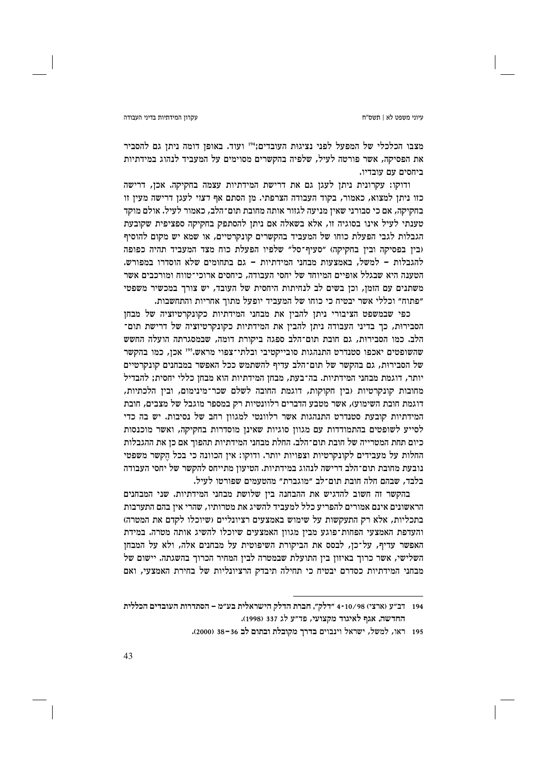#### עקרוו המידתיות בדיני העבודה

מצבו הכלכלי של המפעל לפני נציגות העובדים;"194 ועוד. באופן דומה ניתן גם להסביר את הפסיקה, אשר פורטה לעיל, שלפיה בהקשרים מסוימים על המעביד לנהוג במידתיות ביחסים עם עובדיו.

ודוקו: עקרונית ניתן לעגן גם את דרישת המידתיות עצמה בחקיקה. אכן, דרישה כזו ניתן למצוא, כאמור, בקוד העבודה הצרפתי. מן הסתם אף דצוי לעגן דרישה מעין זו בחקיקה, אם כי סבורני שאין מניעה לגזור אותה מחובת תום־הלב, כאמור לעיל. אולם מוקד טענתי לעיל אינו בסוגיה זו, אלא בשאלה אם ניתן להסתפק בחקיקה ספציפית שקובעת הגבלות לגבי הפעלת כוחו של המעביד בהקשרים קונקרטיים, או שמא יש מקום להוסיף (בין בפסיקה ובין בחקיקה) "סעיף־סל" שלפיו הפעלת כוח מצד המעביד תהיה כפופה להגבלות – למשל, באמצעות מבחני המידתיות – גם בתחומים שלא הוסדרו במפורש. הטענה היא שבגלל אופיים המיוחד של יחסי העבודה, כיחסים ארוכי־טווח ומורכבים אשר משתנים עם הזמז, וכז בשים לב לנחיתות היחסית של העובד, יש צורד במכשיר משפטי "פתוח" וכללי אשר יבטיח כי כוחו של המעביד יופעל מתוך אחריות והתחשבות.

כפי שבמשפט הציבורי ניתן להבין את מבחני המידתיות כקונקרטיזציה של מבחן הסבירות, כך בדיני העבודה ניתן להבין את המידתיות כקונקרטיזציה של דרישת תום־ הלב. כמו הסבירוּת, גם חובת תום־הלב ספגה ביקורת דומה, שבמסגרתה הועלה החשש שהשופטים יאכפו סטנדרט התנהגות סובייקטיבי ובלתי־צפוי מראש.195 אכן, כמו בהקשר של הסבירות, גם בהקשר של תום־הלב עדיף להשתמש ככל האפשר במבחנים קונקרטיים יותר, דוגמת מבחני המידתיות. בה־בעת, מבחן המידתיות הוא מבחן כללי יחסית; להבדיל מחובות קונקרטיות (בין חקוקות, דוגמת החובה לשלם שכר־מינימום, ובין הלכתיות, דוגמת חובת השימוע), אשר מטבע הדברים רלוונטיות רק במספר מוגבל של מצבים, חובת המידתיות קובעת סטנדרט התנהגות אשר רלוונטי למגוון רחב של נסיבות. יש בה כדי לסייע לשופטים בהתמודדות עם מגוון סוגיות שאינן מוסדרות בחקיקה, ואשר מוכנסות כיום תחת המטרייה של חובת תום־הלב. החלת מבחני המידתיות תהפוך אם כן את ההגבלות החלות על מעבידים לקונקרטיות וצפויות יותר. ודוקו: אין הכוונה כי בכל הקשר משפטי נובעת מחובת תום־הלב דרישה לנהוג במידתיות. הטיעון מתייחס להקשר של יחסי העבודה בלבד. שבהם חלה חובת תום־לב ״מוגברת״ מהטעמים שפורטו לעיל.

בהקשר זה חשוב להדגיש את ההבחנה בין שלושת מבחני המידתיות. שני המבחנים הראשונים אינם אמורים להפריע כלל למעביד להשיג את מטרותיו, שהרי אין בהם התערבות בתכליות, אלא רק התעקשות על שימוש באמצעים רציונליים (שיוכלו לקדם את המטרה) והעדפת האמצעי הפחות־פוגע מבין מגוון האמצעים שיוכלו להשיג אותה מטרה. במידת האפשר עדיף, על־כן, לבסס את הביקורת השיפוטית על מבחנים אלה, ולא על המבחן השלישי, אשר כרוך באיזון בין התועלת שבמטרה לבין המחיר הכרוך בהשגתה. יישום של מבחני המידתיות כסדרם יבטיח כי תחילה תיבדק הרציונליות של בחירת האמצעי, ואם

<sup>194 –</sup> דב״ע (ארצי) 10/98 -4 ״דלק״, חברת הדלק הישראלית בע״מ – הסתדרות העובדים הכללית החדשה, אגף לאיגוד מקצועי, פד״ע לג 337 (1998).

<sup>195</sup> ראו, למשל, ישראל וינבוים בדרך מקובלת ובתום לב 36-36 (2000).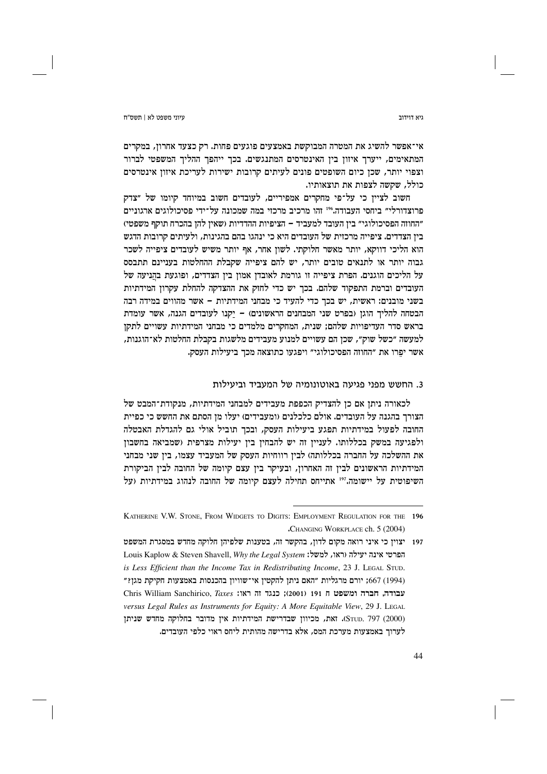גיא דוידור

אי־אפשר להשיג את המטרה המבוקשת באמצעים פוגעים פחות. רק כצעד אחרון, במקרים המתאימים, ייערך איזון בין האינטרסים המתנגשים. בכך ייהפך ההליך המשפטי לברור וצפוי יותר, שכן כיום השופטים פונים לעיתים קרובות ישירות לעריכת איזון אינטרסים כולל, שקשה לצפות את תוצאותיו.

חשוב לצייז כי על־פי מחקרים אמפיריים, לעובדים חשוב במיוחד קיומו של ״צדק פרוצדורלי״ ביחסי העבודה.410 זהו מרכיב מרכזי במה שמכונה על־ידי פסיכולוגים ארגוניים ״החוזה הפסיכולוגי״ בין העובד למעביד – הציפיות ההדדיות (שאין להן בהכרח תוקף משפטי) בין הצדדים. ציפייה מרכזית של העובדים היא כי ינהגו בהם בהגינות, ולעיתים קרובות הדגש הוא הליכי דווקא, יותר מאשר חלוקתי. לשון אחר, אף יותר משיש לעובדים ציפייה לשכר גבוה יותר או לתנאים טובים יותר, יש להם ציפייה שקבלת ההחלטות בעניינם תתבסס על הליכים הוגנים. הפרת ציפייה זו גורמת לאובדן אמון בין הצדדים, ופוגעת בהֲניעה של העובדים וברמת התפקוד שלהם. בכר יש כדי לחזק את ההצדקה להחלת עקרוז המידתיות בשני מובנים: ראשית, יש בכך כדי להעיד כי מבחני המידתיות – אשר מהווים במידה רבה הבטחה להליך הוגן (בפרט שני המבחנים הראשונים) – יקנו לעובדים הגנה, אשר עומדת בראש סדר העדיפויות שלהם; שנית, המחקרים מלמדים כי מבחני המידתיות עשויים לתקן למעשה ״כשל שוק״, שכן הם עשויים למנוע מעבידים מלשגות בקבלת החלטות לא־הוגנות, אשר יפרו את "החוזה הפסיכולוגי" ויפגעו כתוצאה מכך ביעילות העסק.

# 3. החשש מפני פגיעה באוטונומיה של המעביד וביעילות

לכאורה ניתן אם כן להצדיק הכפפת מעבידים למבחני המידתיות, מנקודת־המבט של הצורך בהגנה על העובדים. אולם כלכלנים (ומעבידים) יעלו מן הסתם את החשש כי כפיית החובה לפעול במידתיות תפגע ביעילות העסק, ובכך תוביל אולי גם להגדלת האבטלה ולפגיעה במשק בכללותו. לעניין זה יש להבחין בין יעילות מצרפית (שמביאה בחשבון את ההשלכה על החברה בכללותה) לבין רווחיות העסק של המעביד עצמו, בין שני מבחני המידתיות הראשונים לבין זה האחרון, ובעיקר בין עצם קיומה של החובה לבין הביקורת השיפוטית על יישומה."" אתייחס תחילה לעצם קיומה של החובה לנהוג במידתיות (על

KATHERINE V.W. STONE, FROM WIDGETS TO DIGITS: EMPLOYMENT REGULATION FOR THE 196 .CHANGING WORKPLACE ch. 5 (2004)

<sup>197</sup> יצוין כי איני רואה מקום לדון, בהקשר זה, בטענות שלפיהן חלוקה מחדש במסגרת המשפט Louis Kaplow & Steven Shavell, Why the Legal System : הפרטי אינה יעילה וראו, למשל: is Less Efficient than the Income Tax in Redistributing Income, 23 J. LEGAL STUD. (1994) 667; יורם מרגליות "האם ניתן להקטין אי־שוויון בהכנסות באמצעות חקיקת מגן?" Chris William Sanchirico, Taxes וואו: Chris William Sanchirico, Taxes versus Legal Rules as Instruments for Equity: A More Equitable View, 29 J. LEGAL (STUD. 797 (2000). זאת, מכיוון שבדרישת המידתיות אין מדובר בחלוקה מחדש שניתן לערוך באמצעות מערכת המס, אלא בדרישה מהותית ליחס ראוי כלפי העובדים.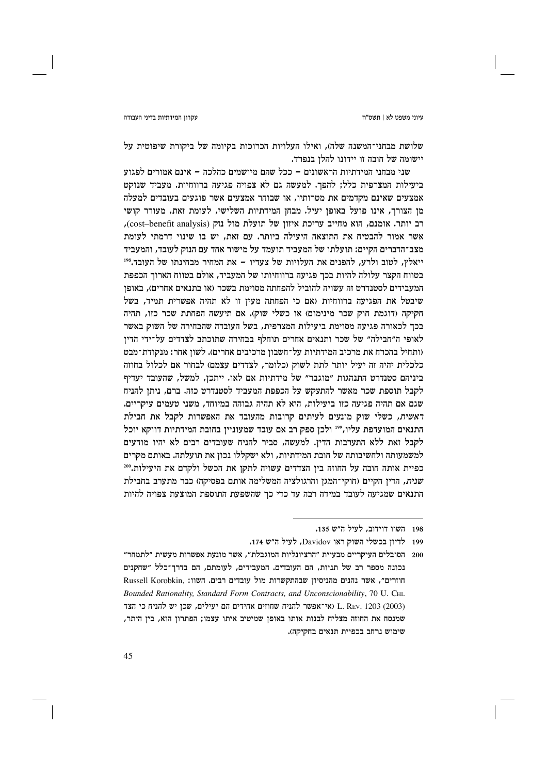### עקרון המידתיות בדיני העבודה

שלושת מבחני־המשנה שלה), ואילו העלויות הכרוכות בקיומה של ביקורת שיפוטית על יישומה של חובה זו יידונו להלז בנפרד.

שני מבחני המידתיות הראשונים – ככל שהם מיושמים כהלכה – אינם אמורים לפגוע ביעילות המצרפית כלל; להפך. למעשה גם לא צפויה פגיעה ברווחיות. מעביד שנוקט אמצעים שאינם מקדמים את מטרותיו, או שבוחר אמצעים אשר פוגעים בעובדים למעלה מן הצורך, אינו פועל באופן יעיל. מבחן המידתיות השלישי, לעומת זאת, מעורר קושי רב יותר. אומנם, הוא מחייב עריכת איזון של תועלת מול נזק (cost–benefit analysis), אשר אמור להבטיח את התוצאה היעילה ביותר. עם זאת, יש בו שינוי דרמתי לעומת מצב־הדברים הקיים: תועלתו של המעביד תועמד על מישור אחד עם הנזק לעובד, והמעביד ייאלץ, לטוב ולרע, להפנים את העלויות של צעדיו – את המחיר מבחינתו של העובד.818 בטווח הקצר עלולה להיות בכך פגיעה ברווחיותו של המעביד, אולם בטווח הארוך הכפפת המעבידים לסטנדרט זה עשויה להוביל להפחתה מסוימת בשכר (או בתנאים אחרים). באופז שיבטל את הפגיעה ברווחיות (אם כי הפחתה מעין זו לא תהיה אפשרית תמיד, בשל חקיקה (דוגמת חוק שכר מינימום) או כשלי שוק). אם תיעשה הפחתת שכר כזו, תהיה בכך לכאורה פגיעה מסוימת ביעילות המצרפית, בשל העובדה שהבחירה של השוק באשר לאופי ה״חבילה״ של שכר ותנאים אחרים תוחלף בבחירה שתוכתב לצדדים על־ידי הדין (ותחיל בהכרח את מרכיב המידתיות על־חשבון מרכיבים אחרים). לשון אחר: מנקודת־מבט כלכלית יהיה זה יעיל יותר לתת לשוק (כלומר, לצדדים עצמם) לבחור אם לכלול בחוזה ביניהם סטנדרט התנהגות "מוגבר" של מידתיות אם לאו. ייתכן, למשל, שהעובד יעדיף לקבל תוספת שכר מאשר להתעקש על הכפפת המעביד לסטנדרט כזה. ברם, ניתן להניח שגם אם תהיה פגיעה כזו ביעילות, היא לא תהיה גבוהה במיוחד, משני טעמים עיקריים. ראשית, כשלי שוק מונעים לעיתים קרובות מהעובד את האפשרות לקבל את חבילת התנאים המועדפת עליו,"' ולכן ספק רב אם עובד שמעוניין בחובת המידתיות דווקא יוכל לקבל זאת ללא התערבות הדין. למעשה, סביר להניח שעובדים רבים לא יהיו מודעים למשמעותה ולחשיבותה של חובת המידתיות, ולא ישקללו נכון את תועלתה. באותם מקרים כפיית אותה חובה על החוזה בין הצדדים עשויה לתקן את הכשל ולקדם את היעילות."200 שנית, הדיו הקיים (חוקי־המגו והרגולציה המשלימה אותם בפסיקה) כבר מתערב בחבילת התנאים שמגיעה לעובד במידה רבה עד כדי כך שהשפעת התוספת המוצעת צפויה להיות

198 השוו דוידוב, לעיל ה"ש 135.

199 לדיון בכשלי השוק ראו Davidov, לעיל ה״ש 174.

200 - הסובלים העיקריים מבעיית ״הרציונליות המוגבלת״, אשר מונעת אפשרות מעשית ״לתמחר״ נכונה מספר רב של תניות, הם העובדים. המעבידים, לעומתם, הם בדרך־כלל ״שחקנים Russell Korobkin, הוזרים", אשר נהנים ון שבהתקשרות מול עובדים רבים. השוו: Russell Korobkin Bounded Rationality, Standard Form Contracts, and Unconscionability, 70 U. CHI. L. REv. 1203 (2003) נאי־אפשר להניח שחוזים אחידים הם יעילים, שכן יש להניח כי הצד שמנסח את החוזה מצליח לבנות אותו באופן שמיטיב איתו עצמו; הפתרון הוא, בין היתר, שימוש נרחב בכפיית תנאים בחקיקה).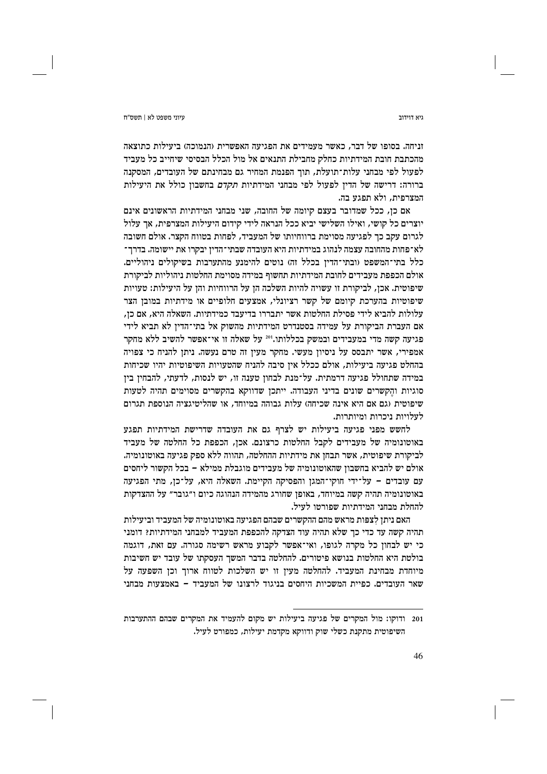זניחה. בסופו של דבר, כאשר מעמידים את הפגיעה האפשרית (הנמוכה) ביעילות כתוצאה מהכתבת חובת המידתיות כחלק מחבילת התנאים אל מול הכלל הבסיסי שיחייב כל מעביד לפעול לפי מבחני עלות־תועלת, תוך הפנמת המחיר גם מבחינתם של העובדים, המסקנה ברורה: דרישה של הדין לפעול לפי מבחני המידתיות *תקדם* בחשבון כולל את היעילות המצרפית, ולא תפגע בה.

אם כן, ככל שמדובר בעצם קיומה של החובה, שני מבחני המידתיות הראשונים אינם יוצרים כל קושי, ואילו השלישי יביא ככל הנראה לידי קידום היעילות המצרפית, אך עלול לגרום עקב כך לפגיעה מסוימת ברווחיותו של המעביד, לפחות בטווח הקצר. אולם חשובה לא־פחות מהחובה עצמה לנהוג במידתיות היא העובדה שבתי־הדין יבקרו את יישומה. בדרך־ כלל בתי־המשפט (ובתי־הדין בכלל זה) נוטים להימנע מהתערבות בשיקולים ניהוליים. אולם הכפפת מעבידים לחובת המידתיות תחשוף במידה מסוימת החלטות ניהוליות לביקורת שיפוטית. אכז, לביקורת זו עשויה להיות השלכה הז על הרווחיות והז על היעילות: טעויות שיפוטיות בהערכת קיומם של קשר רציונלי, אמצעים חלופיים או מידתיות במובן הצר עלולות להביא לידי פסילת החלטות אשר יתבררו בדיעבד כמידתיות. השאלה היא, אם כן, אם העברת הביקורת על עמידה בסטנדרט המידתיות מהשוק אל בתי־הדין לא תביא לידי פגיעה קשה מדי במעבידים ובמשק בכללותו."2 על שאלה זו אי־אפשר להשיב ללא מחקר אמפירי, אשר יתבסס על ניסיון מעשי. מחקר מעין זה טרם נעשה. ניתן להניח כי צפויה בהחלט פגיעה ביעילות, אולם ככלל איז סיבה להניח שהטעויות השיפוטיות יהיו שכיחות במידה שתחולל פגיעה דרמתית. על־מנת לבחון טענה זו, יש לנסות, לדעתי, להבחין בין סוגיות והקשרים שונים בדיני העבודה. ייתכן שדווקא בהקשרים מסוימים תהיה לטעות שיפוטית (גם אם היא אינה שכיחה) עלות גבוהה במיוחד, או שהליטיגציה הנוספת תגרום לעלויות ניכרות ומיותרות.

לחשש מפני פגיעה ביעילות יש לצרף גם את העובדה שדרישת המידתיות תפגע באוטונומיה של מעבידים לקבל החלטות כרצונם. אכן, הכפפת כל החלטה של מעביד לביקורת שיפוטית, אשר תבחן את מידתיות ההחלטה, תהווה ללא ספק פגיעה באוטונומיה. אולם יש להביא בחשבון שהאוטונומיה של מעבידים מוגבלת ממילא – בכל הקשור ליחסים עם עובדים – על־ידי חוקי־המגן והפסיקה הקיימת. השאלה היא, על־כן, מתי הפגיעה באוטונומיה תהיה קשה במיוחד, באופן שחורג מהמידה הנהוגה כיום ו״גובר״ על ההצדקות להחלת מבחני המידתיות שפורטו לעיל.

האם ניתן לצפות מראש מהם ההקשרים שבהם הפגיעה באוטונומיה של המעביד וביעילות תהיה קשה עד כדי כך שלא תהיה עוד הצדקה להכפפת המעביד למבחני המידתיות? דומני כי יש לבחון כל מקרה לגופו, ואי־אפשר לקבוע מראש רשימה סגורה. עם זאת, דוגמה בולטת היא החלטות בנושא פיטורים. להחלטה בדבר המשך העסקתו של עובד יש חשיבות מיוחדת מבחינת המעביד. להחלטה מעין זו יש השלכות לטווח ארוך וכן השפעה על שאר העובדים. כפיית המשכיות היחסים בניגוד לרצונו של המעביד – באמצעות מבחני

גיא דוידור

<sup>201</sup> ודוקו: מול המקרים של פגיעה ביעילות יש מקום להעמיד את המקרים שבהם ההתערבות השיפוטית מתקנת כשלי שוק ודווקא מקדמת יעילות, כמפורט לעיל.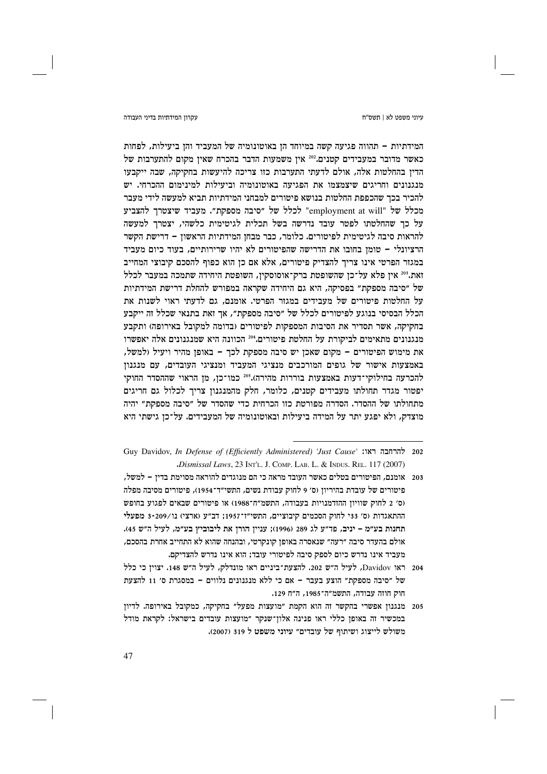### עקרון המידתיות בדיני העבודה

### טיוני משפט לא | חשס״ח

המידתיות – תהווה פגיעה קשה במיוחד הן באוטונומיה של המעביד והן ביעילות. לפחות כאשר מדובר במעבידים קטנים.202 אין משמעות הדבר בהכרח שאין מקום להתערבות של הדיו בהחלטות אלה, אולם לדעתי התערבות כזו צריכה להיעשות בחקיקה, שבה ייקבעו מנגנונים וחריגים שיצמצמו את הפגיעה באוטונומיה וביעילות למינימום ההכרחי. יש להכיר בכר שהכפפת החלטות בנושא פיטורים למבחני המידתיות תביא למעשה לידי מעבר מכלל של "employment at will" לכלל של "סיבה מספקת". מעביד שיצטרך להצביע על כך שהחלטתו לפטר עובד נדרשה בשל תכלית לגיטימית כלשהי, יצטרך למעשה להראות סיבה לגיטימית לפיטורים. כלומר, כבר מבחן המידתיות הראשון – דרישת הקשר הרציונלי – טומן בחובו את הדרישה שהפיטורים לא יהיו שרירותיים, בעוד כיום מעביד במגזר הפרטי אינו צריך להצדיק פיטורים, אלא אם כן הוא כפוף להסכם קיבוצי המחייב זאת.203 אין פלא על־כן שהשופטת ברק־אוסוסקין, השופטת היחידה שתמכה במעבר לכלל של ״סיבה מספקת״ בפסיקה, היא גם היחידה שקראה במפורש להחלת דרישת המידתיות על החלטות פיטורים של מעבידים במגזר הפרטי. אומנם, גם לדעתי ראוי לשנות את הכלל הבסיסי בנוגע לפיטורים לכלל של "סיבה מספקת", אך זאת בתנאי שכלל זה ייקבע בחקיקה, אשר תסדיר את הסיבות המספקות לפיטורים (בדומה למקובל באירופה) ותקבע מנגנונים מתאימים לביקורת על החלטת פיטורים.204 הכוונה היא שמנגנונים אלה יאפשרו את מימוש הפיטורים - מקום שאכן יש סיבה מספקת לכך - באופן מהיר ויעיל (למשל, באמצעות אישור של גופים המורכבים מנציגי המעביד ומנציגי העובדים, עם מנגנוז להכרעה בחילוקי־דעות באמצעות בוררות מהירה).205 כמו־כן, מן הראוי שההסדר החוקי יפטור מגדר תחולתו מעבידים קטנים, כלומר, חלק מהמנגנון צריך לכלול גם חריגים מתחולתו של ההסדר. הסדרה מפורטת כזו הכרחית כדי שהסדר של ״סיבה מספקת״ יהיה מוצדק, ולא יפגע יתר על המידה ביעילות ובאוטונומיה של המעבידים. על־כן גישתי היא

<sup>202</sup> להרחבה ראו: 'Just Cause' throw Davidov, In Defense of (Efficiently Administered) 'Just Cause' Dismissal Laws, 23 INTL. J. COMP. LAB. L. & INDUS. REL. 117 (2007).

<sup>203 -</sup> אומנם, הפיטורים בטלים כאשר העובד מראה כי הם מנוגדים להוראה מסוימת בדין – למשל, פיטורים של עובדת בהיריוז (ס׳ 9 לחוק עבודת נשים, התשי״ד־1954), פיטורים מסיבה מפלה (ס׳ 2 לחוק שוויון ההזדמנויות בעבודה, התשמ״ח־1988) או פיטורים שבאים לפגוע בחופש ההתאגדות (ס׳ 33י לחוק הסכמים קיבוציים, התשי"ז־1957; דב"ע (ארצי) נו/209-3 מפעלי תחנות בע״מ – יניב, פד״ע לג 289 (1996); עניין הורן את ליבוביץ בע״מ, לעיל ה״ש 45). אולם בהעדר סיבה ״רעה״ שנאסרה באופן קונקרטי, ובהנחה שהוא לא התחייב אחרת בהסכם, מעביד אינו נדרש כיום לספק סיבה לפיטורי עובד; הוא אינו נדרש להצדיקם.

<sup>204 -</sup> ראו Davidov, לעיל ה״ש 202. להצעת־ביניים ראו מונדלק, לעיל ה״ש 148. יצויז כי כלל של "סיבה מספקת" הוצע בעבר - אם כי ללא מנגנונים נלווים - במסגרת ס' 11 להצעת חוק חוזה עבודה, התשמ״ה־1985, ה״ח 129.

<sup>205</sup> מנגנון אפשרי בהקשר זה הוא הקמת "מועצות מפעל" בחקיקה, כמקובל באירופה. לדיון במכשיר זה באופן כללי ראו פנינה אלון־שנקר "מועצות עובדים בישראל: לקראת מודל משולש לייצוג ושיתוף של עובדים" עיוני משפט ל 319 (2007).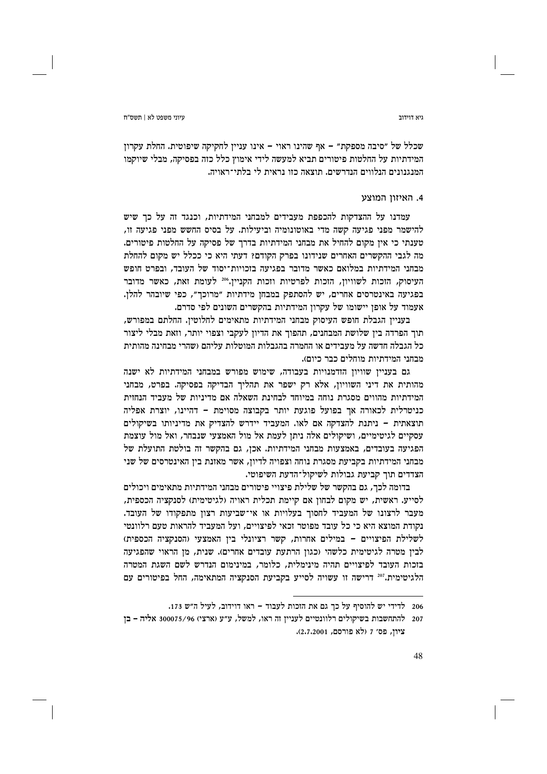#### גיא דוידור

שכלל של "סיבה מספקת" – אף שהינו ראוי – אינו עניין לחקיקה שיפוטית. החלת עקרון המידתיות על החלטות פיטורים תביא למעשה לידי אימוץ כלל כזה בפסיקה, מבלי שיוקמו המנגנונים הנלווים הנדרשים. תוצאה כזו נראית לי בלתי־ראויה.

# 4. האיזוו המוצע

עמדנו על ההצדקות להכפפת מעבידים למבחני המידתיות, וכנגד זה על כד שיש להישמר מפני פגיעה קשה מדי באוטונומיה וביעילות. על בסיס החשש מפני פגיעה זו, טענתי כי אין מקום להחיל את מבחני המידתיות בדרך של פסיקה על החלטות פיטורים. מה לגבי ההקשרים האחרים שנידונו בפרק הקודם? דעתי היא כי ככלל יש מקום להחלת מבחני המידתיות במלואם כאשר מדובר בפגיעה בזכויות־יסוד של העובד, ובפרט חופש העיסוק, הזכות לשוויון, הזכות לפרטיות וזכות הקניין.206 לעומת זאת, כאשר מדובר בפגיעה באינטרסים אחרים, יש להסתפק במבחן מידתיות "מרוכך", כפי שיובהר להלן. אעמוד על אופז יישומו של עקרוז המידתיות בהקשרים השונים לפי סדרם.

בעניין הגבלת חופש העיסוק מבחני המידתיות מתאימים לחלוטין. החלתם במפורש, תוך הפרדה בין שלושת המבחנים, תהפוך את הדיון לעקבי וצפוי יותר, וזאת מבלי ליצור כל הגבלה חדשה על מעבידים או החמרה בהגבלות המוטלות עליהם (שהרי מבחינה מהותית מבחני המידתיות מוחלים כבר כיום).

גם בעניין שוויון הזדמנויות בעבודה, שימוש מפורש במבחני המידתיות לא ישנה מהותית את דיני השוויוז, אלא רק ישפר את תהליר הבדיקה בפסיקה. בפרט, מבחני המידתיות מהווים מסגרת נוחה במיוחד לבחינת השאלה אם מדיניות של מעביד הנחזית כניטרלית לכאורה אר בפועל פוגעת יותר בקבוצה מסוימת – דהיינו, יוצרת אפליה תוצאתית – ניתנת להצדקה אם לאו. המעביד יידרש להצדיק את מדיניותו בשיקולים עסקיים לגיטימיים, ושיקולים אלה ניתן לעמת אל מול האמצעי שנבחר, ואל מול עוצמת הפגיעה בעובדים, באמצעות מבחני המידתיות. אכן, גם בהקשר זה בולטת התועלת של מבחני המידתיות בקביעת מסגרת נוחה וצפויה לדיוז, אשר מאזנת ביז האינטרסים של שני הצדדים תוך קביעת גבולות לשיקול־הדעת השיפוטי.

בדומה לכך, גם בהקשר של שלילת פיצויי פיטורים מבחני המידתיות מתאימים ויכולים לסייע. ראשית, יש מקום לבחוז אם קיימת תכלית ראויה (לגיטימית) לסנקציה הכספית, מעבר לרצונו של המעביד לחסוך בעלויות או אי־שביעות רצון מתפקודו של העובד. נקודת המוצא היא כי כל עובד מפוטר וכאי לפיצויים, ועל המעביד להראות טעם רלוונטי לשלילת הפיצויים – במילים אחרות, קשר רציונלי ביז האמצעי (הסנקציה הכספית) לבין מטרה לגיטימית כלשהי (כגון הרתעת עובדים אחרים). שנית, מן הראוי שהפגיעה בזכות העובד לפיצויים תהיה מינימלית, כלומר, במינימום הנדרש לשם השגת המטרה הלגיטימית."20 דרישה זו עשויה לסייע בקביעת הסנקציה המתאימה, החל בפיטורים עם

<sup>206</sup> לדידי יש להוסיף על כך גם את הזכות לעבוד - ראו דוידוב, לעיל ה"ש 173.

<sup>207</sup> להתחשבות בשיקולים רלוונטיים לעניין זה ראו, למשל, ע״ע (ארצי) 300075/96 אליה - בן ציון, פס׳ 7 (לא פורסם, 2.7.2001).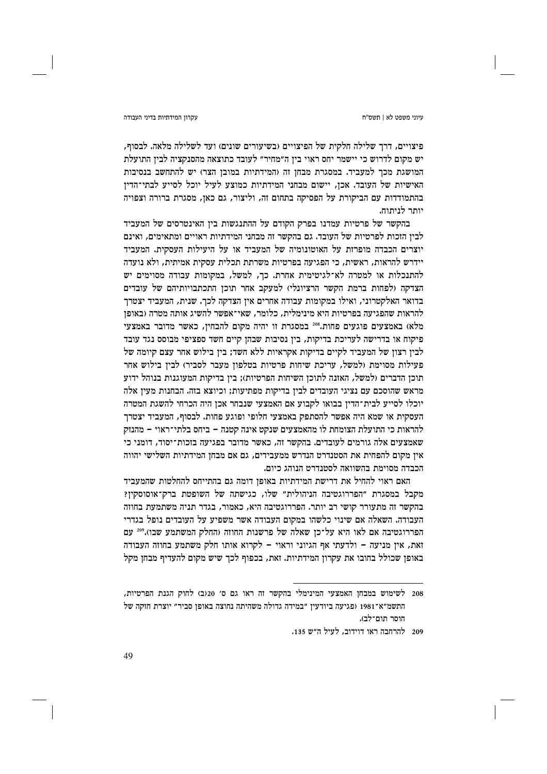### עקרוו המידתיות בדיני העבודה

פיצויים, דרך שלילה חלקית של הפיצויים (בשיעורים שונים) ועד לשלילה מלאה. לבסוף, יש מקום לדרוש כי יישמר יחס ראוי בין ה״מחיר״ לעובד כתוצאה מהסנקציה לבין התועלת המושגת מכך למעביד. במסגרת מבחן זה (המידתיות במובן הצר) יש להתחשב בנסיבות האישיות של העובד. אכן, יישום מבחני המידתיות כמוצע לעיל יוכל לסייע לבתי־הדין בהתמודדות עם הביקורת על הפסיקה בתחום זה, וליצור, גם כאן, מסגרת ברורה וצפויה יותר לניתוח.

בהקשר של פרטיות עמדנו בפרק הקודם על ההתנגשות בין האינטרסים של המעביד לבין הזכות לפרטיות של העובד. גם בהקשר זה מבחני המידתיות ראויים ומתאימים, ואינם יוצרים הכבדה מופרזת על האוטונומיה של המעביד או על היעילות העסקית. המעביד יידרש להראות, ראשית, כי הפגיעה בפרטיות משרתת תכלית עסקית אמיתית, ולא נועדה להתנכלות או למטרה לא־לגיטימית אחרת. כך, למשל, במקומות עבודה מסוימים יש הצדקה ולפחות ברמת הקשר הרציונלי) למעקב אחר תוכז התכתבויותיהם של עובדים בדואר האלקטרוני, ואילו במקומות עבודה אחרים אין הצדקה לכך. שנית, המעביד יצטרך להראות שהפגיעה בפרטיות היא מינימלית, כלומר, שאי־אפשר להשיג אותה מטרה (באופן מלא) באמצעים פוגעים פחות.208 במסגרת זו יהיה מקום להבחין, כאשר מדובר באמצעי פיקוח או בדרישה לעריכת בדיקות, בין נסיבות שבהן קיים חשד ספציפי מבוסס נגד עובד לבין רצון של המעביד לקיים בדיקות אקראיות ללא חשד; בין בילוש אחר עצם קיומה של פעילות מסוימת (למשל, עריכת שיחות פרטיות בטלפון מעבר לסביר) לבין בילוש אחר תוכן הדברים (למשל, האזנה לתוכן השיחות הפרטיות); בין בדיקות המעוגנות בנוהל ידוע מראש שהוסכם עם נציגי העובדים לבין בדיקות מפתיעות; וכיוצא בזה. הבחנות מעין אלה יוכלו לסייע לבית־הדין בבואו לקבוע אם האמצעי שנבחר אכן היה הכרחי להשגת המטרה העסקית או שמא היה אפשר להסתפק באמצעי חלופי ופוגע פחות. לבסוף, המעביד יצטרך להראות כי התועלת הצומחת לו מהאמצעים שנקט אינה קטנה – ביחס בלתי־ראוי – מהנזק שאמצעים אלה גורמים לעובדים. בהקשר זה, כאשר מדובר בפגיעה בזכות־יסוד, דומני כי אין מקום להפחית את הסטנדרט הנדרש ממעבידים, גם אם מבחן המידתיות השלישי יהווה הכבדה מסוימת בהשוואה לסטנדרט הנוהג כיום.

האם ראוי להחיל את דרישת המידתיות באופן דומה גם בהתייחס להחלטות שהמעביד מקבל במסגרת "הפררוגטיבה הניהולית" שלו, כגישתה של השופטת ברק־אוסוסקין? בהקשר זה מתעורר קושי רב יותר. הפררוגטיבה היא, כאמור, בגדר תניה משתמעת בחוזה העבודה. השאלה אם שינוי כלשהו במקום העבודה אשר משפיע על העובדים נופל בגדרי הפררוגטיבה אם לאו היא על־כן שאלה של פרשנות החוזה (החלק המשתמע שבו).200 עם זאת, אין מניעה - ולדעתי אף הגיוני וראוי - לקרוא אותו חלק משתמע בחוזה העבודה באופן שכולל בחובו את עקרון המידתיות. זאת, בכפוף לכך שיש מקום להעדיף מבחן מקל

<sup>208</sup> לשימוש במבחן האמצעי המינימלי בהקשר זה ראו גם ס׳ 20(ב) לחוק הגנת הפרטיות, התשמ״א־1981 (פגיעה ביודעין ״במידה גדולה משהיתה נחוצה באופן סביר״ יוצרת חזקה של חוסר תום־לב).

<sup>209 -</sup> להרחבה ראו דוידוב, לעיל ה״ש 135.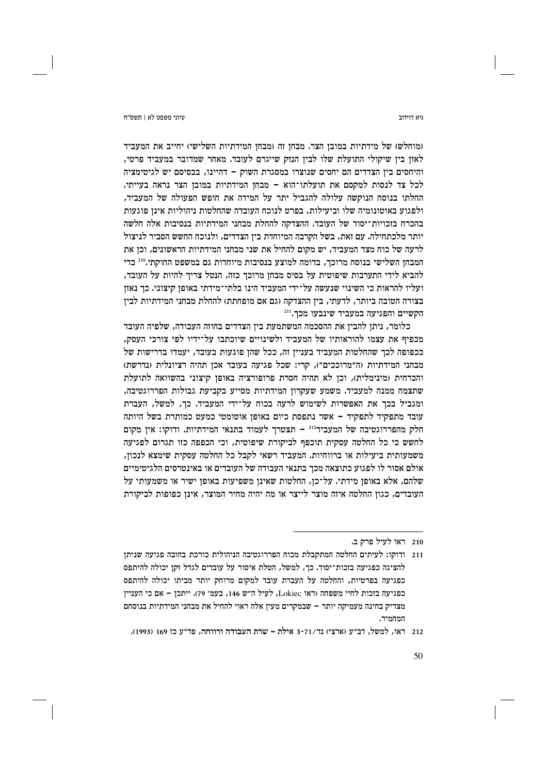ויא דוידור

(מוחלש) של מידתיות במובן הצר. מבחן זה (מבחן המידתיות השלישי) יחייב את המעביד לאון בין שיקולי התועלת שלו לבין הנזק שייגרם לעובד. מאחר שמדובר במעביד פרטי, והיחסים בין הצדדים הם יחסים שנוצרו במסגרת השוק – דהיינו, בבסיסם יש לגיטימציה לכל צד לנסות למקסם את תועלתו־הוא - מבחן המידתיות במובן הצר נראה בעייתי. החלתו בנוסח הנוקשה עלולה להגביל יתר על המידה את חופש הפעולה של המעביד, ולפגוע באוטונומיה שלו וביעילות, בפרט לנוכח העובדה שהחלטות ניהוליות אינן פוגעות בהכרח בזכויות־יסוד של העובד. ההצדקה להחלת מבחני המידתיות בנסיבות אלה חלשה יותר מלכתחילה. עם זאת, בשל הקרבה המיוחדת בין הצדדים, ולנוכח החשש הסביר לניצול לרעה של כוח מצד המעביד, יש מקום להחיל את שני מבחני המידתיות הראשונים, וכן את המבחן השלישי בנוסח מרוכך, בדומה למוצע בנסיבות מיוחדות גם במשפט החוקתי.210 כדי להביא לידי התערבות שיפוטית על בסיס מבחן מרוכך כזה, הנטל צריך להיות על העובד, ועליו להראות כי השינוי שנעשה על־ידי המעביד הינו בלתי־מידתי באופז קיצוני. כד נאזז בצורה הטובה ביותר, לדעתי, בין ההצדקה (גם אם מופחתת) להחלת מבחני המידתיות לבין הקשיים והפגיעה במעביד שינבעו מכך.[21

כלומר, ניתן להבין את ההסכמה המשתמעת בין הצדדים בחוזה העבודה, שלפיה העובד מכפיף את עצמו להוראותיו של המעביד ולשינויים שיוכתבו על־ידיו לפי צורכי העסק. ככפופה לכך שהחלטות המעביד בעניין זה, ככל שהן פוגעות בעובד, יעמדו בדרישות של מבחני המידתיות (ה"מרוככים"), קרי: שכל פגיעה בעובד אכן תהיה רציונלית (נדרשת) והכרחית (מינימלית), וכן לא תהיה חסרת פרופורציה באופן קיצוני בהשוואה לתועלת שתצמח ממנה למעביד. משמע שעקרון המידתיות מסייע בקביעת גבולות הפררוגטיבה, ומגביל בכך את האפשרות לשימוש לרעה בכוח על־ידי המעביד. כך, למשל, העברת עובד מתפקיד לתפקיד - אשר נתפסת כיום באופן אוטומטי כמעט כמותרת בשל היותה חלק מהפררוגטיבה של המעביד<sup>212</sup> – תצטרך לעמוד בתנאי המידתיות. ודוקו: אין מקום לחשש כי כל החלטה עסקית תוכפף לביקורת שיפוטית, וכי הכפפה כזו תגרום לפגיעה משמעותית ביעילות או ברווחיות. המעביד רשאי לקבל כל החלטה עסקית שימצא לנכון, אולם אסור לו לפגוע כתוצאה מכך בתנאי העבודה של העובדים או באינטרסים הלגיטימיים שלהם, אלא באופן מידתי. על־כן, החלטות שאינן משפיעות באופן ישיר או משמעותי על העובדים, כגון החלטה איזה מוצר לייצר או מה יהיה מחיר המוצר, אינן כפופות לביקורת

<sup>210</sup> ראו לעיל פרק ב.

<sup>211 –</sup> ודוקו: לעיתים החלטה המתקבלת מכוח הפררוגטיבה הניהולית כורכת בחובה פגיעה שניתן להציגה כפגיעה בזכות־יסוד. כך, למשל, הטלת איסור על עובדים לגדל זקן יכולה להיתפס כפגיעה בפרטיות, והחלטה על העברת עובד למקום מרוחק יותר מביתו יכולה להיתפס כפגיעה בזכות לחיי משפחה (ראו Lokiec, לעיל ה"ש 146, בעמ' 79). ייתכן – אם כי העניין מצדיק בחינה מעמיקה יותר – שבמקרים מעין אלה ראוי להחיל את מבחני המידתיות בנוסחם המחמיר.

<sup>212 -</sup> ראו, למשל, דב״ע (ארצי) נד/71-3 אילת – שרת העבודה ורווחה, פד״ע כז 169 (1993).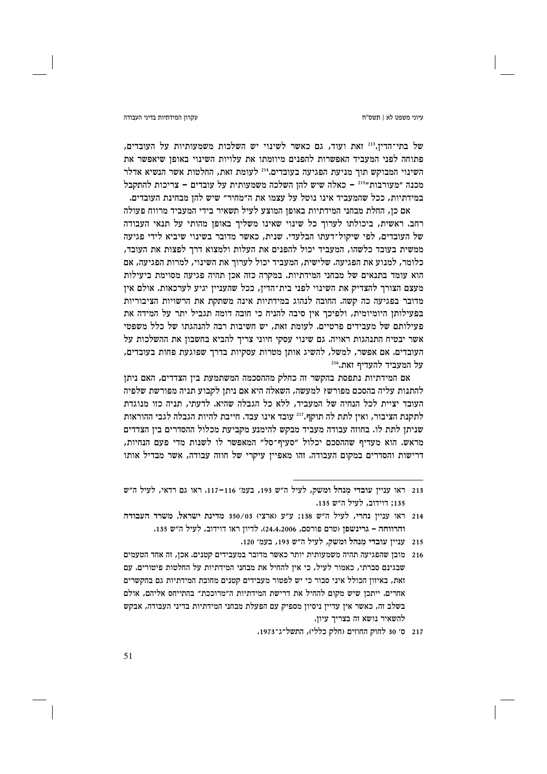#### עקרוו המידתיות בדיני העבודה

של בתי־הדין.<sup>213</sup> זאת ועוד, גם כאשר לשינוי יש השלכות משמעותיות על העובדים, פתוחה לפני המעביד האפשרות להפנים מיוזמתו את עלויות השינוי באופז שיאפשר את השינוי המבוקש תור מניעת הפגיעה בעובדים.<sup>214</sup> לעומת זאת, החלטות אשר הנשיא אדלר מכנה "מעורבות"<sup>215</sup> – כאלה שיש להן השלכה משמעותית על עובדים – צריכות להתקבל במידתיות, ככל שהמעביד אינו נוטל על עצמו את ה״מחיר״ שיש להז מבחינת העובדים.

אם כן, החלת מבחני המידתיות באופן המוצע לעיל תשאיר בידי המעביד מרווח פעולה רחב. ראשית, ביכולתו לערוך כל שינוי שאינו משליך באופן מהותי על תנאי העבודה של העובדים, לפי שיקול־דעתו הבלעדי. שנית, כאשר מדובר בשינוי שיביא לידי פגיעה ממשית בעובד כלשהו, המעביד יכול להפנים את העלות ולמצוא דרך לפצות את העובד, כלומר, למנוע את הפגיעה. שלישית, המעביד יכול לערוך את השינוי, למרות הפגיעה, אם הוא עומד בתנאים של מבחני המידתיות. במקרה כזה אכן תהיה פגיעה מסוימת ביעילות מעצם הצורר להצדיק את השינוי לפני בית־הדיז, ככל שהענייז יגיע לערכאות. אולם איז מדובר בפגיעה כה קשה. החובה לנהוג במידתיות אינה משתקת את הרשויות הציבוריות בפעילותן היומיומית, ולפיכך אין סיבה להניח כי חובה דומה תגביל יתר על המידה את פעילותם של מעבידים פרטיים. לעומת זאת, יש חשיבות רבה להנהגתו של כלל משפטי אשר יבטיח התנהגות ראויה. גם שינוי עסקי חיוני צריך להביא בחשבון את ההשלכות על העובדים. אם אפשר, למשל, להשיג אותן מטרות עסקיות בדרך שפוגעת פחות בעובדים, על המעביד להעדיף זאת.216

אם המידתיות נתפסת בהקשר זה כחלק מההסכמה המשתמעת בין הצדדים, האם ניתן להתנות עליה בהסכם מפורש? למעשה, השאלה היא אם ניתן לקבוע תניה מפורשת שלפיה העובד יציית לכל הנחיה של המעביד, ללא כל הגבלה שהיא. לדעתי, תניה כזו מנוגדת לתקנת הציבור, ואין לתת לה תוקף."<sup>212</sup> עובד אינו עבד. חייבת להיות הגבלה לגבי ההוראות שניתן לתת לו. בחוזה עבודה מעביד מבקש להימנע מקביעת מכלול ההסדרים בין הצדדים מראש. הוא מעדיף שההסכם יכלול ״סעיף־סל״ המאפשר לו לשנות מדי פעם הנחיות, דרישות והסדרים במקום העבודה. זהו מאפיין עיקרי של חוזה עבודה, אשר מבדיל אותו

- 215 עניין עובדי מנהל ומשק, לעיל ה"ש 193, בעמ' 120.
- 216 מובן שהפגיעה תהיה משמעותית יותר כאשר מדובר במעבידים קטנים. אכן, זה אחד הטעמים שבגינם סברתי, כאמור לעיל, כי אין להחיל את מבחני המידתיות על החלטות פיטורים. עם זאת. באיזון הכולל איני סבור כי יש לפטור מעבידים קטנים מחובת המידתיות גם בהקשרים אחרים. ייתכן שיש מקום להחיל את דרישת המידתיות ה״מרוככת״ בהתייחס אליהם, אולם בשלב זה, כאשר אין עדיין ניסיון מספיק עם הפעלת מבחני המידתיות בדיני העבודה, אבקש להשאיר נושא זה בצריך עיון.
	- 217 ס׳ 30 לחוק החוזים (חלק כללי), התשל״ג־1973.

<sup>213 –</sup>ראו ענייז עובדי מנהל ומשק, לעיל ה״ש 193, בעמ׳ 116−117. ראו גם רדאי, לעיל ה״ש 135: דוידוב, לעיל ה"ש 135.

<sup>214</sup> ראו עניין נהרי, לעיל ה"ש 138; ע"ע (ארצי) 350/03 מדינת ישראל, משרד העבודה והרווחה – גרינשפן (טרם פורסם, 24,4,2006). לדיון ראו דוידוב, לעיל ה"ש 135.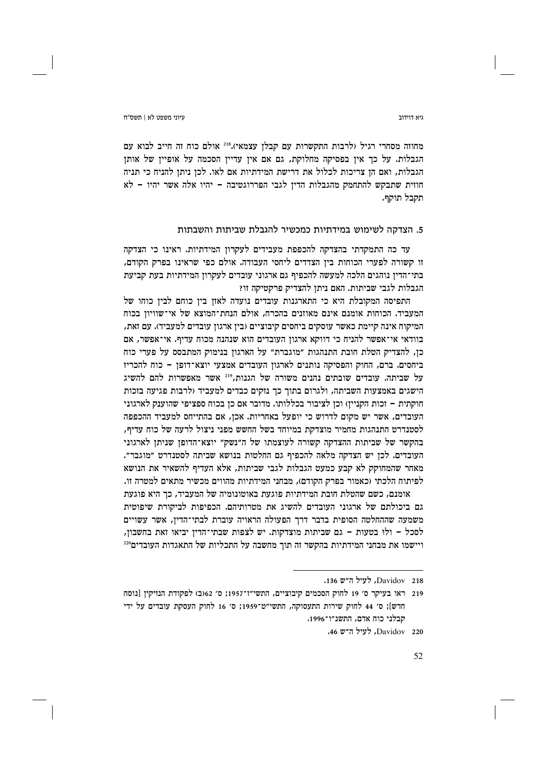עיוני משפט לא | תשס"ח

ויא דוידור

מחוזה מסחרי רגיל (לרבות התקשרות עם קבלן עצמאי).218 אולם כוח זה חייב לבוא עם הגבלות. על כך אין בפסיקה מחלוקת, גם אם אין עדיין הסכמה על אופיין של אותן הגבלות, ואם הז צריכות לכלול את דרישת המידתיות אם לאו. לכז ניתז להניח כי תניה חוזית שתבקש להתחמק מהגבלות הדין לגבי הפררוגטיבה – יהיו אלה אשר יהיו – לא תקבל תוקף.

### 5. הצדקה לשימוש במידתיות כמכשיר להגבלת שביתות והשבתות

עד כה התמקדתי בהצדקה להכפפת מעבידים לעקרון המידתיות. ראינו כי הצדקה זו קשורה לפערי הכוחות בין הצדדים ליחסי העבודה. אולם כפי שראינו בפרק הקודם, בתי־הדין נוהגים הלכה למעשה להכפיף גם ארגוני עובדים לעקרון המידתיות בעת קביעת הגבלות לגבי שביתות. האם ניתז להצדיק פרקטיקה זו?

התפיסה המקובלת היא כי התארגנות עובדים נועדה לאזן בין כוחם לבין כוחו של המעביד. הכוחות אומנם אינם מאוזנים בהכרח, אולם הנחת־המוצא של אי־שוויון בכוח המיקוח אינה קיימת כאשר עוסקים ביחסים קיבוציים (בין ארגון עובדים למעביד). עם זאת, בוודאי אי־אפשר להניח כי דווקא ארגון העובדים הוא שנהנה מכוח עדיף. אי־אפשר, אם כן, להצדיק הטלת חובת התנהגות "מוגברת" על הארגון בנימוק המתבסס על פערי כוח ביחסים. ברם, החוק והפסיקה נותנים לארגון העובדים אמצעי יוצא־דופן - כוח להכריז על שביתה. עובדים שובתים נהנים משורה של הגנות, <sup>219</sup> אשר מאפשרות להם להשיג הישגים באמצעות השביתה, ולגרום בתוך כך נזקים כבדים למעביד (לרבות פגיעה בזכות חוקתית – זכות הקניין) וכן לציבור בכללותו. מדובר אם כן בכוח ספציפי שהוענק לארגוני העובדים, אשר יש מקום לדרוש כי יופעל באחריות. אכן, אם בהתייחס למעביד ההכפפה לסטנדרט התנהגות מחמיר מוצדקת במיוחד בשל החשש מפני ניצול לרעה של כוח עדיף, בהקשר של שביתות ההצדקה קשורה לעוצמתו של ה״נשק״ יוצא־הדופן שניתן לארגוני העובדים. לכן יש הצדקה מלאה להכפיף גם החלטות בנושא שביתה לסטנדרט "מוגבר". מאחר שהמחוקק לא קבע כמעט הגבלות לגבי שביתות, אלא העדיף להשאיר את הנושא לפיתוח הלכתי (כאמור בפרק הקודם), מבחני המידתיות מהווים מכשיר מתאים למטרה זו.

אומנם, כשם שהטלת חובת המידתיות פוגעת באוטונומיה של המעביד, כך היא פוגעת גם ביכולתם של ארגוני העובדים להשיג את מטרותיהם. הכפיפות לביקורת שיפוטית משמעה שההחלטה הסופית בדבר דרך הפעולה הראויה עוברת לבתי־הדין, אשר עשויים לסכל - ולוּ בטעות - גם שביתות מוצדקות. יש לצפות שבתי־הדין יביאו זאת בחשבון, ויישמו את מבחני המידתיות בהקשר זה תוך מחשבה על התכליות של התאגדות העובדים<sup>220</sup>

Davidov 218, לעיל ה"ש 136.

<sup>219</sup> ראו בעיקר ס׳ 19 לחוק הסכמים קיבוציים, התשי״ז־1957; ס׳ 622) לפקודת הנזיקין [נוסח חדש]; ס׳ 44 לחוק שירות התעסוקה, התשי״ט־1959; ס׳ 16 לחוק העסקת עובדים על ידי קבלני כוח אדם, התשנ״ו־1996.

Davidov 220, לעיל ה"ש 46.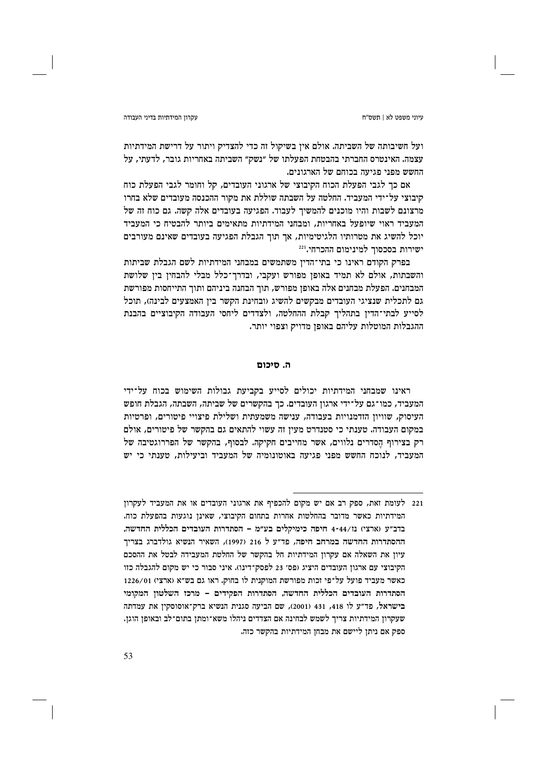עקרוו המידתיות בדיני העבודה

טיוני משפט לא | חשס״ח

ועל חשיבותה של השביתה. אולם אין בשיקול זה כדי להצדיק ויתור על דרישת המידתיות עצמה. האינטרס החברתי בהבטחת הפעלתו של "נשק" השביתה באחריות גובר, לדעתי, על החשש מפני פגיעה בכוחם של הארגונים.

אם כך לגבי הפעלת הכוח הקיבוצי של ארגוני העובדים, קל וחומר לגבי הפעלת כוח קיבוצי על־ידי המעביד. החלטה על השבתה שוללת את מקור ההכנסה מעובדים שלא בחרו מרצונם לשבות והיו מוכנים להמשיך לעבוד. הפגיעה בעובדים אלה קשה. גם כוח זה של המעביד ראוי שיופעל באחריות, ומבחני המידתיות מתאימים ביותר להבטיח כי המעביד יוכל להשיג את מטרותיו הלגיטימיות, אך תוך הגבלת הפגיעה בעובדים שאינם מעורבים ישירות בסכסוך למינימום ההכרחי.<sup>221</sup>

בפרק הקודם ראינו כי בתי־הדין משתמשים במבחני המידתיות לשם הגבלת שביתות והשבתות, אולם לא תמיד באופן מפורש ועקבי, ובדרך־כלל מבלי להבחין בין שלושת המבחנים. הפעלת מבחנים אלה באופז מפורש, תור הבחנה ביניהם ותור התייחסות מפורשת גם לתכלית שנציגי העובדים מבקשים להשיג (ובחינת הקשר בין האמצעים לבינה), תוכל לסייע לבתי־הדין בתהליך קבלת ההחלטה, ולצדדים ליחסי העבודה הקיבוציים בהבנת ההגבלות המוטלות עליהם באופן מדויק וצפוי יותר.

# ה. חירוח

ראינו שמבחני המידתיות יכולים לסייע בקביעת גבולות השימוש בכוח על־ידי המעביד, כמו־גם על־ידי ארגון העובדים. כך בהקשרים של שביתה, השבתה, הגבלת חופש העיסוק, שוויון הזדמנויות בעבודה, ענישה משמעתית ושלילת פיצויי פיטורים, ופרטיות במקום העבודה. טענתי כי סטנדרט מעין זה עשוי להתאים גם בהקשר של פיטורים, אולם רק בצירוף הסדרים נלווים, אשר מחייבים חקיקה. לבסוף, בהקשר של הפררוגטיבה של המעביד, לנוכח החשש מפני פגיעה באוטונומיה של המעביד וביעילות, טענתי כי יש

<sup>221</sup> לעומת זאת, ספק רב אם יש מקום להכפיף את ארגוני העובדים או את המעביד לעקרון המידתיות כאשר מדובר בהחלטות אחרות בתחום הקיבוצי, שאינן נוגעות בהפעלת כוח. בדב"ע (ארצי) נו/4-44 חיפה כימיקלים בע"מ – הסתדרות העובדים הכללית החדשה, ההסתדרות החדשה במרחב חיפה, פד"ע ל 216 (1997), השאיר הנשיא גולדברג בצריך עיון את השאלה אם עקרון המידתיות חל בהקשר של החלטת המעבידה לבטל את ההסכם הקיבוצי עם ארגון העובדים היציג (פס׳ 23 לפסק־דינו). איני סבור כי יש מקום להגבלה כזו כאשר מעביד פועל על־פי זכות מפורשת המוקנית לו בחוק. ראו גם בש״א (ארצי) 1226/01 הסתדרות העובדים הכללית החדשה, הסתדרות הפקידים – מרכז השלטון המקומי בישראל, פד״ע לו 418, 431 (2001), שם הביעה סגנית הנשיא ברק־אוסוסקין את עמדתה שעקרון המידתיות צריך לשמש לבחינה אם הצדדים ניהלו משא־ומתן בתום־לב ובאופן הוגן. ספק אם ניתן ליישם את מבחן המידתיות בהקשר כזה.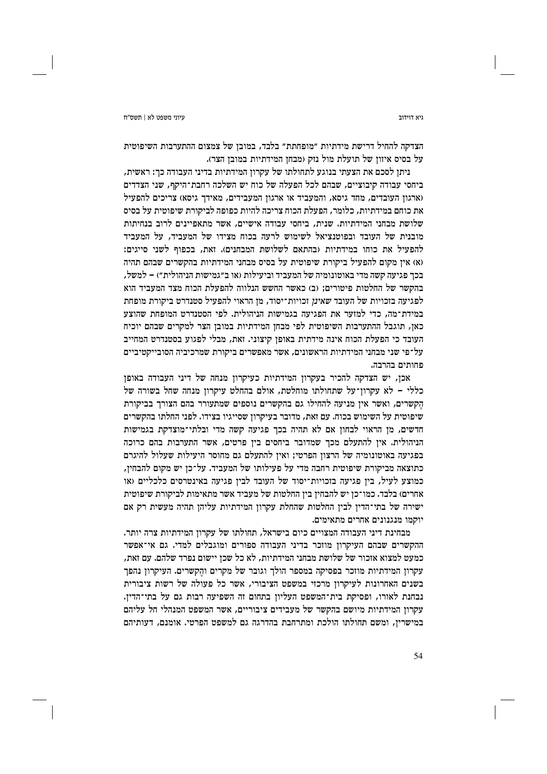ויא דוידור

הצדקה להחיל דרישת מידתיות "מופחתת" בלבד, במובן של צמצום ההתערבות השיפוטית על בסיס איזון של תועלת מול נזק (מבחן המידתיות במובן הצר).

ניתז לסכם את הצעתי בנוגע לתחולתו של עקרוז המידתיות בדיני העבודה כד: ראשית, ביחסי עבודה קיבוציים, שבהם לכל הפעלה של כוח יש השלכה רחבת־היקף, שני הצדדים (ארגון העובדים, מחד גיסא, והמעביד או ארגון המעבידים, מאידך גיסא) צריכים להפעיל את כוחם במידתיות, כלומר, הפעלת הכוח צריכה להיות כפופה לביקורת שיפוטית על בסיס שלושת מבחני המידתיות. שנית, ביחסי עבודה אישיים, אשר מתאפיינים לרוב בנחיתות מובנית של העובד ובפוטנציאל לשימוש לרעה בכוח מצידו של המעביד, על המעביד להפעיל את כוחו במידתיות (בהתאם לשלושת המבחנים). זאת, בכפוף לשני סייגים: (א) אין מקום להפעיל ביקורת שיפוטית על בסיס מבחני המידתיות בהקשרים שבהם תהיה בכך פגיעה קשה מדי באוטונומיה של המעביד וביעילות (או ב״גמישות הניהולית״) – למשל, בהקשר של החלטות פיטורים: (ב) כאשר החשש הנלווה להפעלת הכוח מצד המעביד הוא לפגיעה בזכויות של העובד שאינן זכויות־יסוד, מן הראוי להפעיל סטנדרט ביקורת מופחת במידת־מה, כדי למזער את הפגיעה בגמישות הניהולית. לפי הסטנדרט המופחת שהוצע כאן, תוגבל ההתערבות השיפוטית לפי מבחן המידתיות במובן הצר למקרים שבהם יוכיח העובד כי הפעלת הכוח אינה מידתית באופן קיצוני. זאת, מבלי לפגוע בסטנדרט המחייב על־פי שני מבחני המידתיות הראשונים, אשר מאפשרים ביקורת שמרכיביה הסובייקטיביים פחותים בהרבה.

אכן, יש הצדקה להכיר בעקרון המידתיות כעיקרון מנחה של דיני העבודה באופן כללי – לא עקרון־על שתחולתו מוחלטת, אולם בהחלט עיקרון מנחה שחל בשורה של הקשרים, ואשר אין מניעה להחילו גם בהקשרים נוספים שמתעורר בהם הצורך בביקורת שיפוטית על השימוש בכוח. עם זאת, מדובר בעיקרון שסייגיו בצידו. לפני החלתו בהקשרים חדשים, מן הראוי לבחון אם לא תהיה בכך פגיעה קשה מדי ובלתי־מוצדקת בגמישות הניהולית. אין להתעלם מכך שמדובר ביחסים בין פרטים, אשר התערבות בהם כרוכה בפגיעה באוטונומיה של הרצון הפרטי; ואין להתעלם גם מחוסר היעילות שעלול להיגרם כתוצאה מביקורת שיפוטית רחבה מדי על פעילותו של המעביד. על־כן יש מקום להבחין, כמוצע לעיל, ביז פגיעה בזכויות־יסוד של העובד לביז פגיעה באינטרסים כלכליים (או אחרים) בלבד. כמו־כן יש להבחין בין החלטות של מעביד אשר מתאימות לביקורת שיפוטית ישירה של בתי־הדין לבין החלטות שהחלת עקרון המידתיות עליהן תהיה מעשית רק אם יוקמו מנגנונים אחרים מתאימים.

מבחינת דיני העבודה המצויים כיום בישראל, תחולתו של עקרון המידתיות צרה יותר. ההקשרים שבהם העיקרון מוזכר בדיני העבודה ספורים ומוגבלים למדי. גם אי־אפשר כמעט למצוא אזכור של שלושת מבחני המידתיות, לא כל שכז יישום נפרד שלהם. עם זאת, עקרון המידתיות מוזכר בפסיקה במספר הולך וגובר של מקרים והקשרים. העיקרון נהפך בשנים האחרונות לעיקרון מרכזי במשפט הציבורי, אשר כל פעולה של רשות ציבורית נבחנת לאורו, ופסיקת בית־המשפט העליוז בתחום זה השפיעה רבות גם על בתי־הדיז. עקרון המידתיות מיושם בהקשר של מעבידים ציבוריים, אשר המשפט המנהלי חל עליהם במישרין, ומשם תחולתו הולכת ומתרחבת בהדרגה גם למשפט הפרטי. אומנם, דעותיהם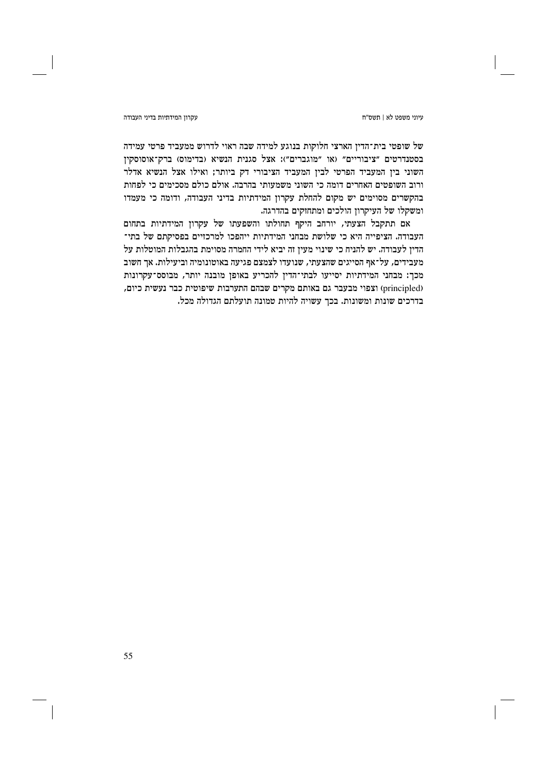עיוני משפט לא | תשס"ח

### עקרון המידתיות בדיני העבודה

של שופטי בית־הדין הארצי חלוקות בנוגע למידה שבה ראוי לדרוש ממעביד פרטי עמידה בסטנדרטים "ציבוריים" (או "מוגברים"): אצל סגנית הנשיא (בדימוס) ברק־אוסוסקין השוני בין המעביד הפרטי לבין המעביד הציבורי דק ביותר; ואילו אצל הנשיא אדלר ורוב השופטים האחרים דומה כי השוני משמעותי בהרבה. אולם כולם מסכימים כי לפחות בהקשרים מסוימים יש מקום להחלת עקרון המידתיות בדיני העבודה, ודומה כי מעמדו ומשקלו של העיקרון הולכים ומתחזקים בהדרגה.

אם תתקבל הצעתי, יורחב היקף תחולתו והשפעתו של עקרון המידתיות בתחום העבודה. הציפייה היא כי שלושת מבחני המידתיות ייהפכו למרכזיים בפסיקתם של בתי־ הדין לעבודה. יש להניח כי שינוי מעין זה יביא לידי החמרה מסוימת בהגבלות המוטלות על מעבידים, על־אף הסייגים שהצעתי, שנועדו לצמצם פגיעה באוטונומיה וביעילות. אך חשוב מכך: מבחני המידתיות יסייעו לבתי־הדין להכריע באופן מובנה יותר, מבוסס־עקרונות (principled) וצפוי מבעבר גם באותם מקרים שבהם התערבות שיפוטית כבר נעשית כיום, בדרכים שונות ומשונות. בכך עשויה להיות טמונה תועלתם הגדולה מכל.